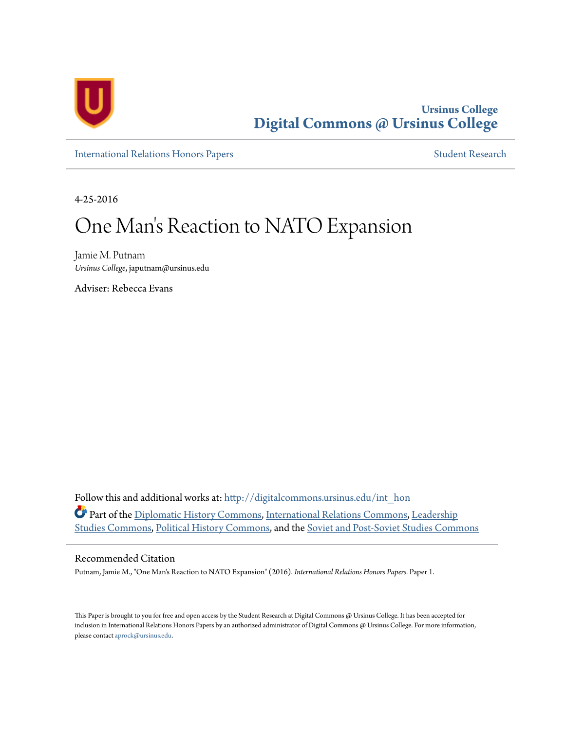

**Ursinus College [Digital Commons @ Ursinus College](http://digitalcommons.ursinus.edu?utm_source=digitalcommons.ursinus.edu%2Fint_hon%2F1&utm_medium=PDF&utm_campaign=PDFCoverPages)**

[International Relations Honors Papers](http://digitalcommons.ursinus.edu/int_hon?utm_source=digitalcommons.ursinus.edu%2Fint_hon%2F1&utm_medium=PDF&utm_campaign=PDFCoverPages) **[Student Research](http://digitalcommons.ursinus.edu/pol_int_stu?utm_source=digitalcommons.ursinus.edu%2Fint_hon%2F1&utm_medium=PDF&utm_campaign=PDFCoverPages)** 

4-25-2016

# One Man 's Reaction to NATO Expansion

Jamie M. Putnam *Ursinus College*, japutnam@ursinus.edu

Adviser: Rebecca Evans

Follow this and additional works at: [http://digitalcommons.ursinus.edu/int\\_hon](http://digitalcommons.ursinus.edu/int_hon?utm_source=digitalcommons.ursinus.edu%2Fint_hon%2F1&utm_medium=PDF&utm_campaign=PDFCoverPages) Part of the [Diplomatic History Commons,](http://network.bepress.com/hgg/discipline/497?utm_source=digitalcommons.ursinus.edu%2Fint_hon%2F1&utm_medium=PDF&utm_campaign=PDFCoverPages) [International Relations Commons,](http://network.bepress.com/hgg/discipline/389?utm_source=digitalcommons.ursinus.edu%2Fint_hon%2F1&utm_medium=PDF&utm_campaign=PDFCoverPages) [Leadership](http://network.bepress.com/hgg/discipline/1250?utm_source=digitalcommons.ursinus.edu%2Fint_hon%2F1&utm_medium=PDF&utm_campaign=PDFCoverPages) [Studies Commons](http://network.bepress.com/hgg/discipline/1250?utm_source=digitalcommons.ursinus.edu%2Fint_hon%2F1&utm_medium=PDF&utm_campaign=PDFCoverPages), [Political History Commons](http://network.bepress.com/hgg/discipline/505?utm_source=digitalcommons.ursinus.edu%2Fint_hon%2F1&utm_medium=PDF&utm_campaign=PDFCoverPages), and the [Soviet and Post-Soviet Studies Commons](http://network.bepress.com/hgg/discipline/364?utm_source=digitalcommons.ursinus.edu%2Fint_hon%2F1&utm_medium=PDF&utm_campaign=PDFCoverPages)

#### Recommended Citation

Putnam, Jamie M., "One Man's Reaction to NATO Expansion" (2016). *International Relations Honors Papers.* Paper 1.

This Paper is brought to you for free and open access by the Student Research at Digital Commons @ Ursinus College. It has been accepted for inclusion in International Relations Honors Papers by an authorized administrator of Digital Commons @ Ursinus College. For more information, please contact [aprock@ursinus.edu](mailto:aprock@ursinus.edu).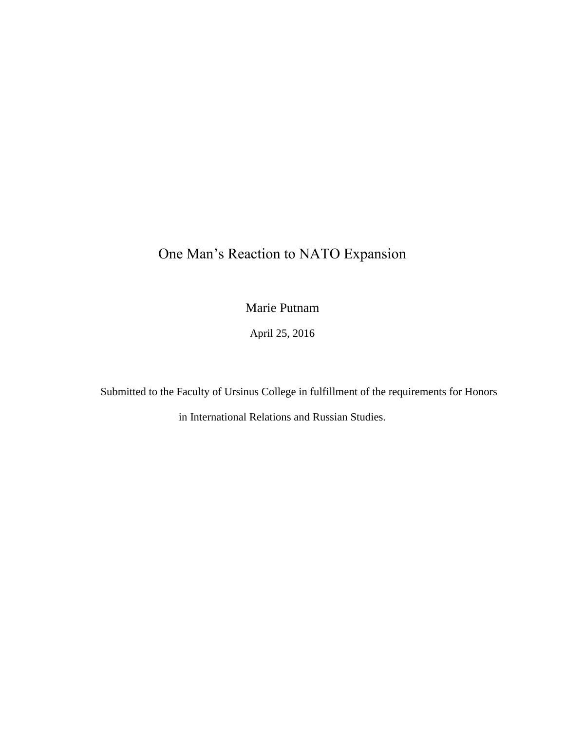# One Man's Reaction to NATO Expansion

Marie Putnam

April 25, 2016

Submitted to the Faculty of Ursinus College in fulfillment of the requirements for Honors

in International Relations and Russian Studies.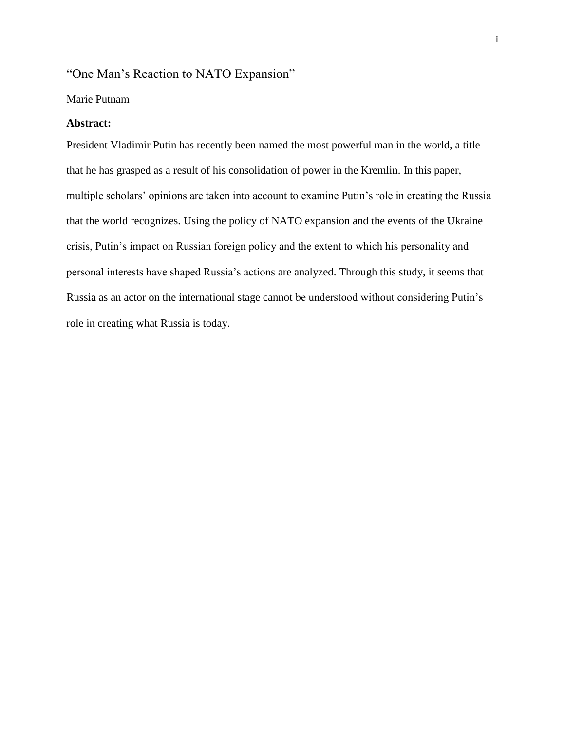### "One Man's Reaction to NATO Expansion"

#### Marie Putnam

#### **Abstract:**

President Vladimir Putin has recently been named the most powerful man in the world, a title that he has grasped as a result of his consolidation of power in the Kremlin. In this paper, multiple scholars' opinions are taken into account to examine Putin's role in creating the Russia that the world recognizes. Using the policy of NATO expansion and the events of the Ukraine crisis, Putin's impact on Russian foreign policy and the extent to which his personality and personal interests have shaped Russia's actions are analyzed. Through this study, it seems that Russia as an actor on the international stage cannot be understood without considering Putin's role in creating what Russia is today.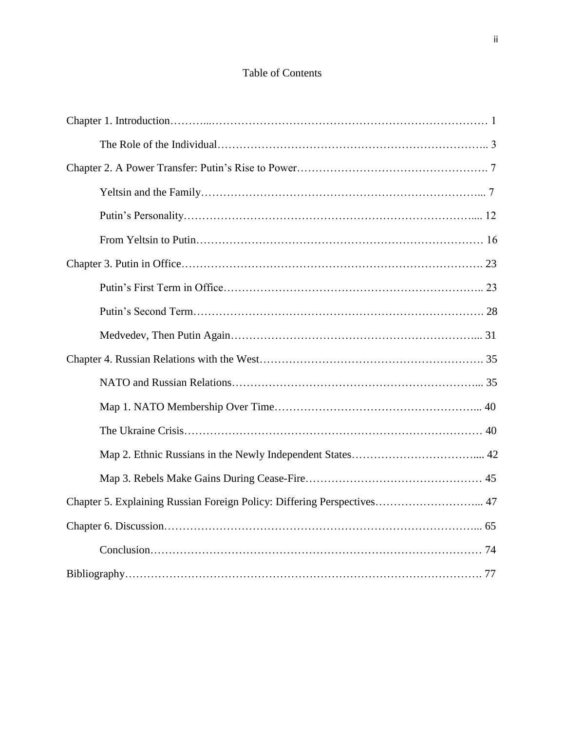## Table of Contents

| Chapter 5. Explaining Russian Foreign Policy: Differing Perspectives 47 |  |
|-------------------------------------------------------------------------|--|
|                                                                         |  |
|                                                                         |  |
|                                                                         |  |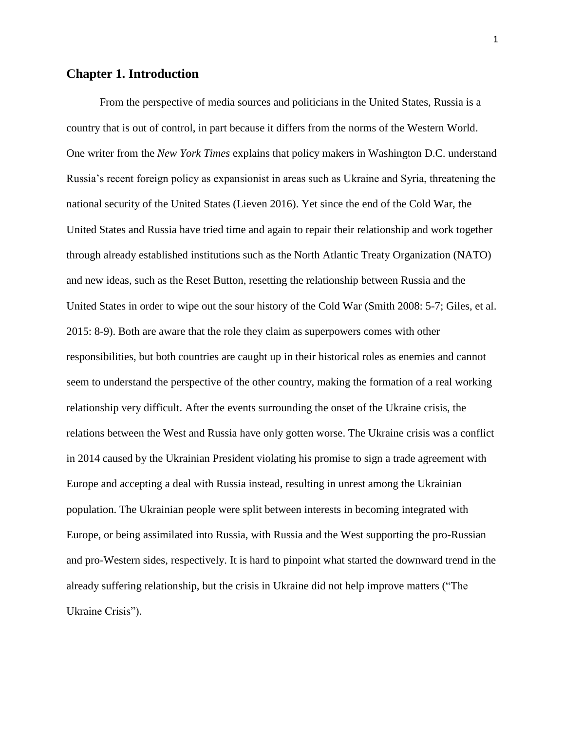#### **Chapter 1. Introduction**

From the perspective of media sources and politicians in the United States, Russia is a country that is out of control, in part because it differs from the norms of the Western World. One writer from the *New York Times* explains that policy makers in Washington D.C. understand Russia's recent foreign policy as expansionist in areas such as Ukraine and Syria, threatening the national security of the United States (Lieven 2016). Yet since the end of the Cold War, the United States and Russia have tried time and again to repair their relationship and work together through already established institutions such as the North Atlantic Treaty Organization (NATO) and new ideas, such as the Reset Button, resetting the relationship between Russia and the United States in order to wipe out the sour history of the Cold War (Smith 2008: 5-7; Giles, et al. 2015: 8-9). Both are aware that the role they claim as superpowers comes with other responsibilities, but both countries are caught up in their historical roles as enemies and cannot seem to understand the perspective of the other country, making the formation of a real working relationship very difficult. After the events surrounding the onset of the Ukraine crisis, the relations between the West and Russia have only gotten worse. The Ukraine crisis was a conflict in 2014 caused by the Ukrainian President violating his promise to sign a trade agreement with Europe and accepting a deal with Russia instead, resulting in unrest among the Ukrainian population. The Ukrainian people were split between interests in becoming integrated with Europe, or being assimilated into Russia, with Russia and the West supporting the pro-Russian and pro-Western sides, respectively. It is hard to pinpoint what started the downward trend in the already suffering relationship, but the crisis in Ukraine did not help improve matters ("The Ukraine Crisis").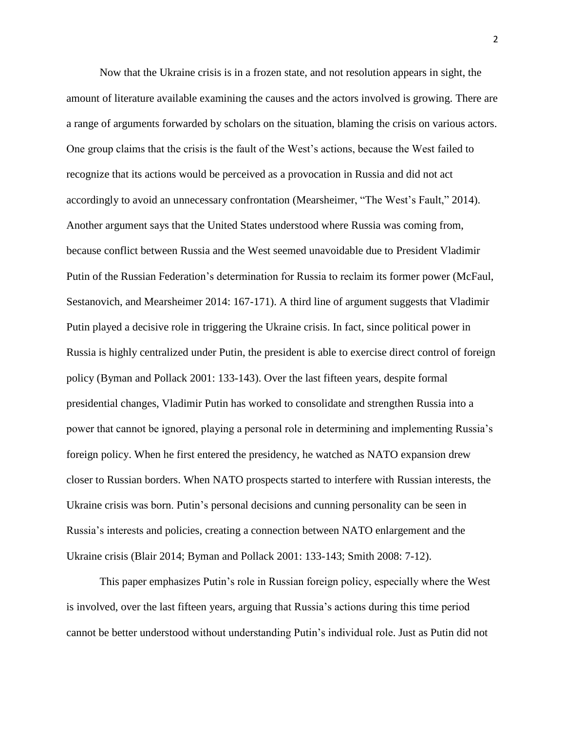Now that the Ukraine crisis is in a frozen state, and not resolution appears in sight, the amount of literature available examining the causes and the actors involved is growing. There are a range of arguments forwarded by scholars on the situation, blaming the crisis on various actors. One group claims that the crisis is the fault of the West's actions, because the West failed to recognize that its actions would be perceived as a provocation in Russia and did not act accordingly to avoid an unnecessary confrontation (Mearsheimer, "The West's Fault," 2014). Another argument says that the United States understood where Russia was coming from, because conflict between Russia and the West seemed unavoidable due to President Vladimir Putin of the Russian Federation's determination for Russia to reclaim its former power (McFaul, Sestanovich, and Mearsheimer 2014: 167-171). A third line of argument suggests that Vladimir Putin played a decisive role in triggering the Ukraine crisis. In fact, since political power in Russia is highly centralized under Putin, the president is able to exercise direct control of foreign policy (Byman and Pollack 2001: 133-143). Over the last fifteen years, despite formal presidential changes, Vladimir Putin has worked to consolidate and strengthen Russia into a power that cannot be ignored, playing a personal role in determining and implementing Russia's foreign policy. When he first entered the presidency, he watched as NATO expansion drew closer to Russian borders. When NATO prospects started to interfere with Russian interests, the Ukraine crisis was born. Putin's personal decisions and cunning personality can be seen in Russia's interests and policies, creating a connection between NATO enlargement and the Ukraine crisis (Blair 2014; Byman and Pollack 2001: 133-143; Smith 2008: 7-12).

This paper emphasizes Putin's role in Russian foreign policy, especially where the West is involved, over the last fifteen years, arguing that Russia's actions during this time period cannot be better understood without understanding Putin's individual role. Just as Putin did not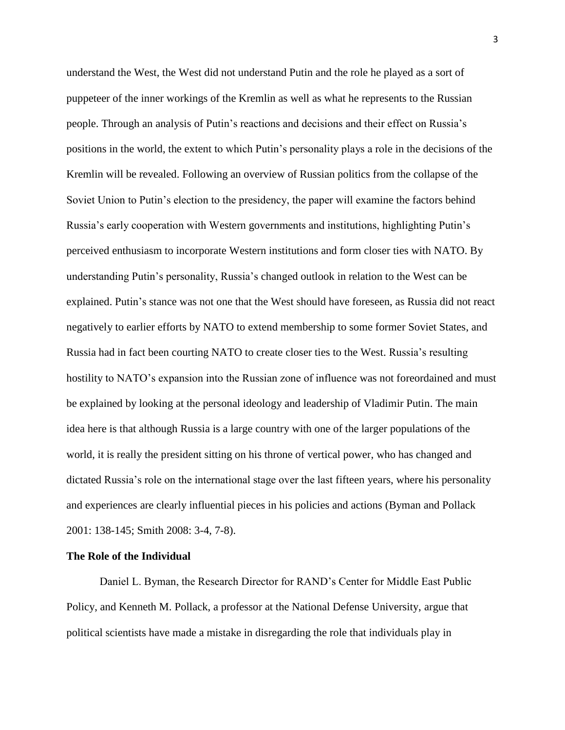understand the West, the West did not understand Putin and the role he played as a sort of puppeteer of the inner workings of the Kremlin as well as what he represents to the Russian people. Through an analysis of Putin's reactions and decisions and their effect on Russia's positions in the world, the extent to which Putin's personality plays a role in the decisions of the Kremlin will be revealed. Following an overview of Russian politics from the collapse of the Soviet Union to Putin's election to the presidency, the paper will examine the factors behind Russia's early cooperation with Western governments and institutions, highlighting Putin's perceived enthusiasm to incorporate Western institutions and form closer ties with NATO. By understanding Putin's personality, Russia's changed outlook in relation to the West can be explained. Putin's stance was not one that the West should have foreseen, as Russia did not react negatively to earlier efforts by NATO to extend membership to some former Soviet States, and Russia had in fact been courting NATO to create closer ties to the West. Russia's resulting hostility to NATO's expansion into the Russian zone of influence was not foreordained and must be explained by looking at the personal ideology and leadership of Vladimir Putin. The main idea here is that although Russia is a large country with one of the larger populations of the world, it is really the president sitting on his throne of vertical power, who has changed and dictated Russia's role on the international stage over the last fifteen years, where his personality and experiences are clearly influential pieces in his policies and actions (Byman and Pollack 2001: 138-145; Smith 2008: 3-4, 7-8).

#### **The Role of the Individual**

Daniel L. Byman, the Research Director for RAND's Center for Middle East Public Policy, and Kenneth M. Pollack, a professor at the National Defense University, argue that political scientists have made a mistake in disregarding the role that individuals play in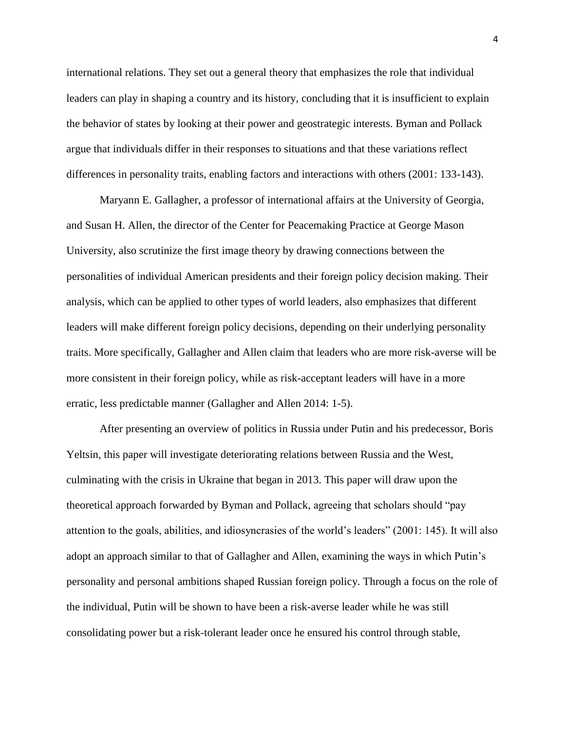international relations. They set out a general theory that emphasizes the role that individual leaders can play in shaping a country and its history, concluding that it is insufficient to explain the behavior of states by looking at their power and geostrategic interests. Byman and Pollack argue that individuals differ in their responses to situations and that these variations reflect differences in personality traits, enabling factors and interactions with others (2001: 133-143).

Maryann E. Gallagher, a professor of international affairs at the University of Georgia, and Susan H. Allen, the director of the Center for Peacemaking Practice at George Mason University, also scrutinize the first image theory by drawing connections between the personalities of individual American presidents and their foreign policy decision making. Their analysis, which can be applied to other types of world leaders, also emphasizes that different leaders will make different foreign policy decisions, depending on their underlying personality traits. More specifically, Gallagher and Allen claim that leaders who are more risk-averse will be more consistent in their foreign policy, while as risk-acceptant leaders will have in a more erratic, less predictable manner (Gallagher and Allen 2014: 1-5).

After presenting an overview of politics in Russia under Putin and his predecessor, Boris Yeltsin, this paper will investigate deteriorating relations between Russia and the West, culminating with the crisis in Ukraine that began in 2013. This paper will draw upon the theoretical approach forwarded by Byman and Pollack, agreeing that scholars should "pay attention to the goals, abilities, and idiosyncrasies of the world's leaders" (2001: 145). It will also adopt an approach similar to that of Gallagher and Allen, examining the ways in which Putin's personality and personal ambitions shaped Russian foreign policy. Through a focus on the role of the individual, Putin will be shown to have been a risk-averse leader while he was still consolidating power but a risk-tolerant leader once he ensured his control through stable,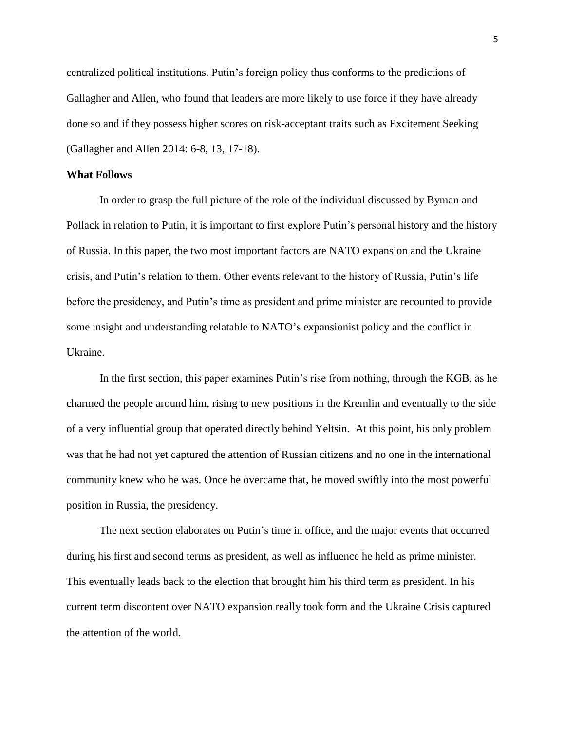centralized political institutions. Putin's foreign policy thus conforms to the predictions of Gallagher and Allen, who found that leaders are more likely to use force if they have already done so and if they possess higher scores on risk-acceptant traits such as Excitement Seeking (Gallagher and Allen 2014: 6-8, 13, 17-18).

#### **What Follows**

In order to grasp the full picture of the role of the individual discussed by Byman and Pollack in relation to Putin, it is important to first explore Putin's personal history and the history of Russia. In this paper, the two most important factors are NATO expansion and the Ukraine crisis, and Putin's relation to them. Other events relevant to the history of Russia, Putin's life before the presidency, and Putin's time as president and prime minister are recounted to provide some insight and understanding relatable to NATO's expansionist policy and the conflict in Ukraine.

In the first section, this paper examines Putin's rise from nothing, through the KGB, as he charmed the people around him, rising to new positions in the Kremlin and eventually to the side of a very influential group that operated directly behind Yeltsin. At this point, his only problem was that he had not yet captured the attention of Russian citizens and no one in the international community knew who he was. Once he overcame that, he moved swiftly into the most powerful position in Russia, the presidency.

The next section elaborates on Putin's time in office, and the major events that occurred during his first and second terms as president, as well as influence he held as prime minister. This eventually leads back to the election that brought him his third term as president. In his current term discontent over NATO expansion really took form and the Ukraine Crisis captured the attention of the world.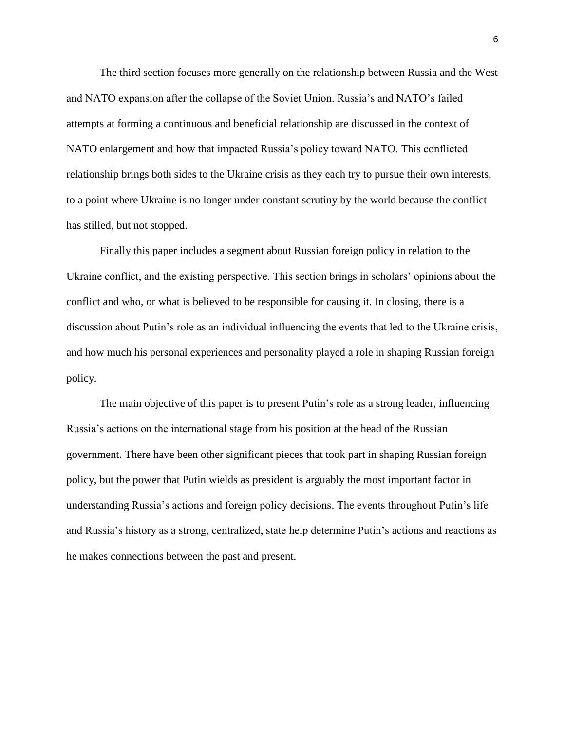The third section focuses more generally on the relationship between Russia and the West and NATO expansion after the collapse of the Soviet Union. Russia's and NATO's failed attempts at forming a continuous and beneficial relationship are discussed in the context of NATO enlargement and how that impacted Russia's policy toward NATO. This conflicted relationship brings both sides to the Ukraine crisis as they each try to pursue their own interests, to a point where Ukraine is no longer under constant scrutiny by the world because the conflict has stilled, but not stopped.

Finally this paper includes a segment about Russian foreign policy in relation to the Ukraine conflict, and the existing perspective. This section brings in scholars' opinions about the conflict and who, or what is believed to be responsible for causing it. In closing, there is a discussion about Putin's role as an individual influencing the events that led to the Ukraine crisis, and how much his personal experiences and personality played a role in shaping Russian foreign policy.

The main objective of this paper is to present Putin's role as a strong leader, influencing Russia's actions on the international stage from his position at the head of the Russian government. There have been other significant pieces that took part in shaping Russian foreign policy, but the power that Putin wields as president is arguably the most important factor in understanding Russia's actions and foreign policy decisions. The events throughout Putin's life and Russia's history as a strong, centralized, state help determine Putin's actions and reactions as he makes connections between the past and present.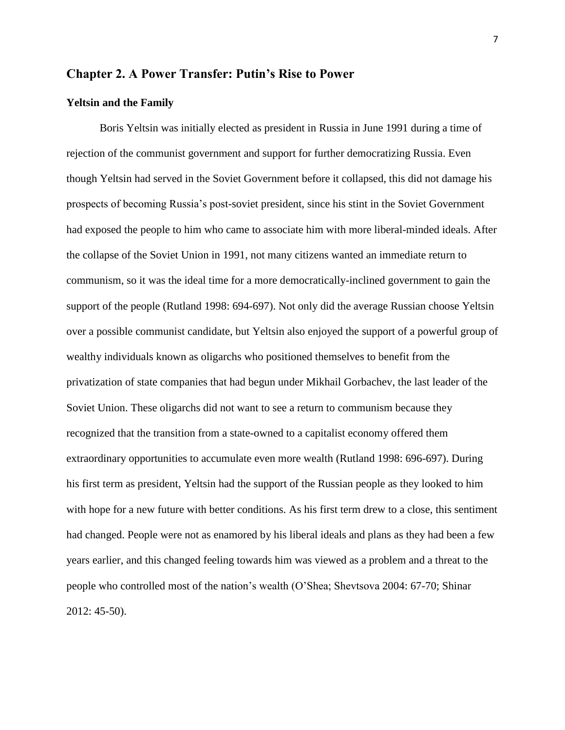#### **Chapter 2. A Power Transfer: Putin's Rise to Power**

#### **Yeltsin and the Family**

Boris Yeltsin was initially elected as president in Russia in June 1991 during a time of rejection of the communist government and support for further democratizing Russia. Even though Yeltsin had served in the Soviet Government before it collapsed, this did not damage his prospects of becoming Russia's post-soviet president, since his stint in the Soviet Government had exposed the people to him who came to associate him with more liberal-minded ideals. After the collapse of the Soviet Union in 1991, not many citizens wanted an immediate return to communism, so it was the ideal time for a more democratically-inclined government to gain the support of the people (Rutland 1998: 694-697). Not only did the average Russian choose Yeltsin over a possible communist candidate, but Yeltsin also enjoyed the support of a powerful group of wealthy individuals known as oligarchs who positioned themselves to benefit from the privatization of state companies that had begun under Mikhail Gorbachev, the last leader of the Soviet Union. These oligarchs did not want to see a return to communism because they recognized that the transition from a state-owned to a capitalist economy offered them extraordinary opportunities to accumulate even more wealth (Rutland 1998: 696-697). During his first term as president, Yeltsin had the support of the Russian people as they looked to him with hope for a new future with better conditions. As his first term drew to a close, this sentiment had changed. People were not as enamored by his liberal ideals and plans as they had been a few years earlier, and this changed feeling towards him was viewed as a problem and a threat to the people who controlled most of the nation's wealth (O'Shea; Shevtsova 2004: 67-70; Shinar 2012: 45-50).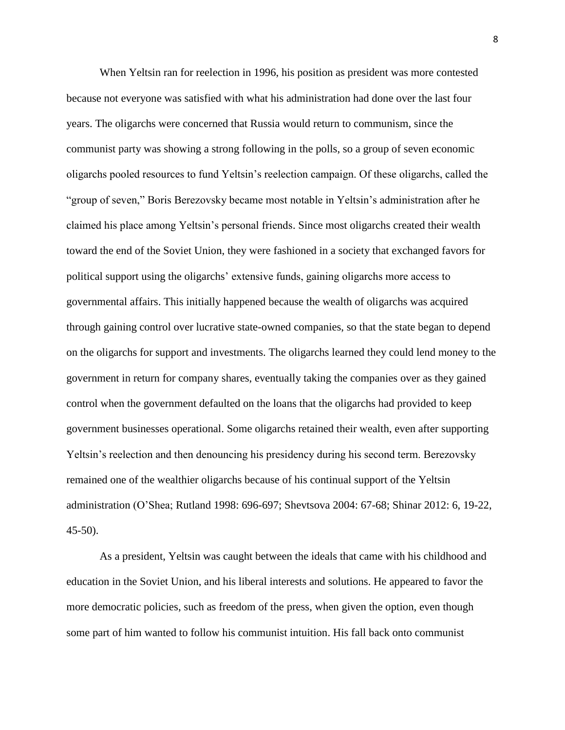When Yeltsin ran for reelection in 1996, his position as president was more contested because not everyone was satisfied with what his administration had done over the last four years. The oligarchs were concerned that Russia would return to communism, since the communist party was showing a strong following in the polls, so a group of seven economic oligarchs pooled resources to fund Yeltsin's reelection campaign. Of these oligarchs, called the "group of seven," Boris Berezovsky became most notable in Yeltsin's administration after he claimed his place among Yeltsin's personal friends. Since most oligarchs created their wealth toward the end of the Soviet Union, they were fashioned in a society that exchanged favors for political support using the oligarchs' extensive funds, gaining oligarchs more access to governmental affairs. This initially happened because the wealth of oligarchs was acquired through gaining control over lucrative state-owned companies, so that the state began to depend on the oligarchs for support and investments. The oligarchs learned they could lend money to the government in return for company shares, eventually taking the companies over as they gained control when the government defaulted on the loans that the oligarchs had provided to keep government businesses operational. Some oligarchs retained their wealth, even after supporting Yeltsin's reelection and then denouncing his presidency during his second term. Berezovsky remained one of the wealthier oligarchs because of his continual support of the Yeltsin administration (O'Shea; Rutland 1998: 696-697; Shevtsova 2004: 67-68; Shinar 2012: 6, 19-22, 45-50).

As a president, Yeltsin was caught between the ideals that came with his childhood and education in the Soviet Union, and his liberal interests and solutions. He appeared to favor the more democratic policies, such as freedom of the press, when given the option, even though some part of him wanted to follow his communist intuition. His fall back onto communist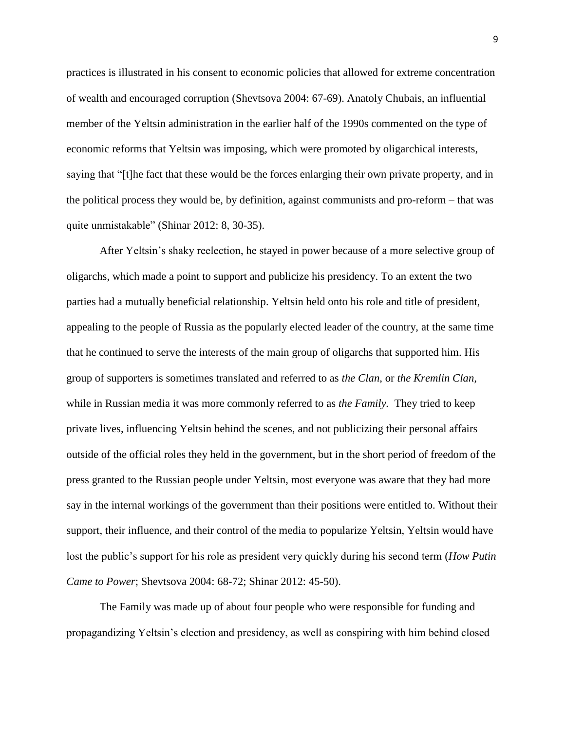practices is illustrated in his consent to economic policies that allowed for extreme concentration of wealth and encouraged corruption (Shevtsova 2004: 67-69). Anatoly Chubais, an influential member of the Yeltsin administration in the earlier half of the 1990s commented on the type of economic reforms that Yeltsin was imposing, which were promoted by oligarchical interests, saying that "[t]he fact that these would be the forces enlarging their own private property, and in the political process they would be, by definition, against communists and pro-reform – that was quite unmistakable" (Shinar 2012: 8, 30-35).

After Yeltsin's shaky reelection, he stayed in power because of a more selective group of oligarchs, which made a point to support and publicize his presidency. To an extent the two parties had a mutually beneficial relationship. Yeltsin held onto his role and title of president, appealing to the people of Russia as the popularly elected leader of the country, at the same time that he continued to serve the interests of the main group of oligarchs that supported him. His group of supporters is sometimes translated and referred to as *the Clan*, or *the Kremlin Clan,*  while in Russian media it was more commonly referred to as *the Family.* They tried to keep private lives, influencing Yeltsin behind the scenes, and not publicizing their personal affairs outside of the official roles they held in the government, but in the short period of freedom of the press granted to the Russian people under Yeltsin, most everyone was aware that they had more say in the internal workings of the government than their positions were entitled to. Without their support, their influence, and their control of the media to popularize Yeltsin, Yeltsin would have lost the public's support for his role as president very quickly during his second term (*How Putin Came to Power*; Shevtsova 2004: 68-72; Shinar 2012: 45-50).

The Family was made up of about four people who were responsible for funding and propagandizing Yeltsin's election and presidency, as well as conspiring with him behind closed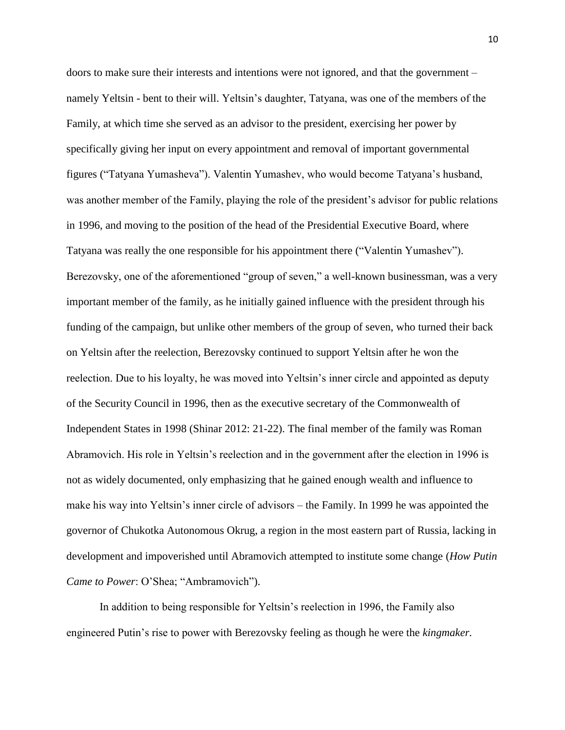doors to make sure their interests and intentions were not ignored, and that the government – namely Yeltsin - bent to their will. Yeltsin's daughter, Tatyana, was one of the members of the Family, at which time she served as an advisor to the president, exercising her power by specifically giving her input on every appointment and removal of important governmental figures ("Tatyana Yumasheva"). Valentin Yumashev, who would become Tatyana's husband, was another member of the Family, playing the role of the president's advisor for public relations in 1996, and moving to the position of the head of the Presidential Executive Board, where Tatyana was really the one responsible for his appointment there ("Valentin Yumashev"). Berezovsky, one of the aforementioned "group of seven," a well-known businessman, was a very important member of the family, as he initially gained influence with the president through his funding of the campaign, but unlike other members of the group of seven, who turned their back on Yeltsin after the reelection, Berezovsky continued to support Yeltsin after he won the reelection. Due to his loyalty, he was moved into Yeltsin's inner circle and appointed as deputy of the Security Council in 1996, then as the executive secretary of the Commonwealth of Independent States in 1998 (Shinar 2012: 21-22). The final member of the family was Roman Abramovich. His role in Yeltsin's reelection and in the government after the election in 1996 is not as widely documented, only emphasizing that he gained enough wealth and influence to make his way into Yeltsin's inner circle of advisors – the Family. In 1999 he was appointed the governor of Chukotka Autonomous Okrug, a region in the most eastern part of Russia, lacking in development and impoverished until Abramovich attempted to institute some change (*How Putin Came to Power*: O'Shea; "Ambramovich").

In addition to being responsible for Yeltsin's reelection in 1996, the Family also engineered Putin's rise to power with Berezovsky feeling as though he were the *kingmaker.*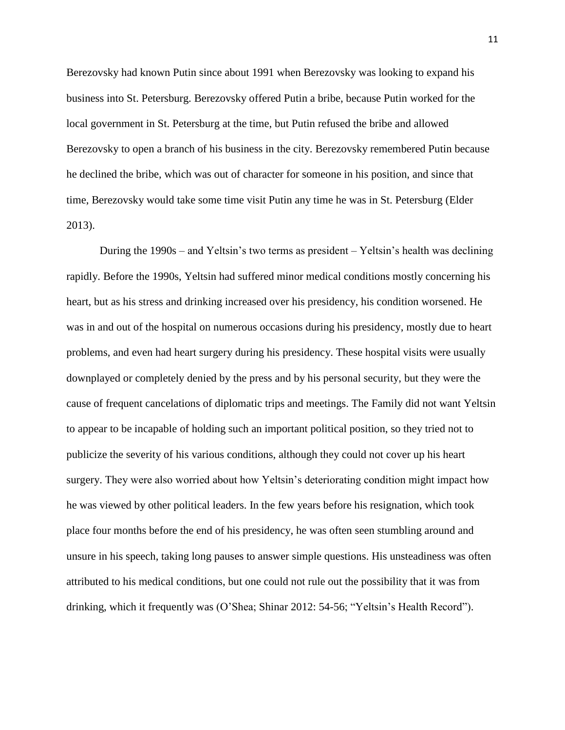Berezovsky had known Putin since about 1991 when Berezovsky was looking to expand his business into St. Petersburg. Berezovsky offered Putin a bribe, because Putin worked for the local government in St. Petersburg at the time, but Putin refused the bribe and allowed Berezovsky to open a branch of his business in the city. Berezovsky remembered Putin because he declined the bribe, which was out of character for someone in his position, and since that time, Berezovsky would take some time visit Putin any time he was in St. Petersburg (Elder 2013).

During the 1990s – and Yeltsin's two terms as president – Yeltsin's health was declining rapidly. Before the 1990s, Yeltsin had suffered minor medical conditions mostly concerning his heart, but as his stress and drinking increased over his presidency, his condition worsened. He was in and out of the hospital on numerous occasions during his presidency, mostly due to heart problems, and even had heart surgery during his presidency. These hospital visits were usually downplayed or completely denied by the press and by his personal security, but they were the cause of frequent cancelations of diplomatic trips and meetings. The Family did not want Yeltsin to appear to be incapable of holding such an important political position, so they tried not to publicize the severity of his various conditions, although they could not cover up his heart surgery. They were also worried about how Yeltsin's deteriorating condition might impact how he was viewed by other political leaders. In the few years before his resignation, which took place four months before the end of his presidency, he was often seen stumbling around and unsure in his speech, taking long pauses to answer simple questions. His unsteadiness was often attributed to his medical conditions, but one could not rule out the possibility that it was from drinking, which it frequently was (O'Shea; Shinar 2012: 54-56; "Yeltsin's Health Record").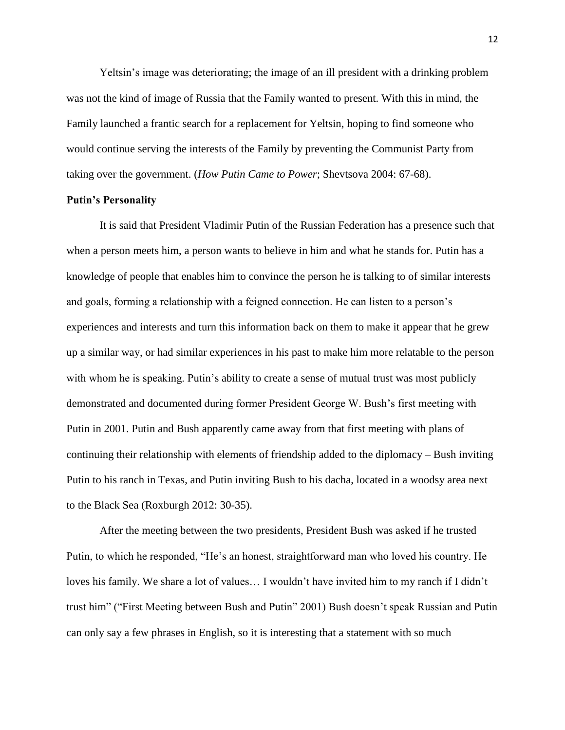Yeltsin's image was deteriorating; the image of an ill president with a drinking problem was not the kind of image of Russia that the Family wanted to present. With this in mind, the Family launched a frantic search for a replacement for Yeltsin, hoping to find someone who would continue serving the interests of the Family by preventing the Communist Party from taking over the government. (*How Putin Came to Power*; Shevtsova 2004: 67-68).

#### **Putin's Personality**

It is said that President Vladimir Putin of the Russian Federation has a presence such that when a person meets him, a person wants to believe in him and what he stands for. Putin has a knowledge of people that enables him to convince the person he is talking to of similar interests and goals, forming a relationship with a feigned connection. He can listen to a person's experiences and interests and turn this information back on them to make it appear that he grew up a similar way, or had similar experiences in his past to make him more relatable to the person with whom he is speaking. Putin's ability to create a sense of mutual trust was most publicly demonstrated and documented during former President George W. Bush's first meeting with Putin in 2001. Putin and Bush apparently came away from that first meeting with plans of continuing their relationship with elements of friendship added to the diplomacy – Bush inviting Putin to his ranch in Texas, and Putin inviting Bush to his dacha, located in a woodsy area next to the Black Sea (Roxburgh 2012: 30-35).

After the meeting between the two presidents, President Bush was asked if he trusted Putin, to which he responded, "He's an honest, straightforward man who loved his country. He loves his family. We share a lot of values… I wouldn't have invited him to my ranch if I didn't trust him" ("First Meeting between Bush and Putin" 2001) Bush doesn't speak Russian and Putin can only say a few phrases in English, so it is interesting that a statement with so much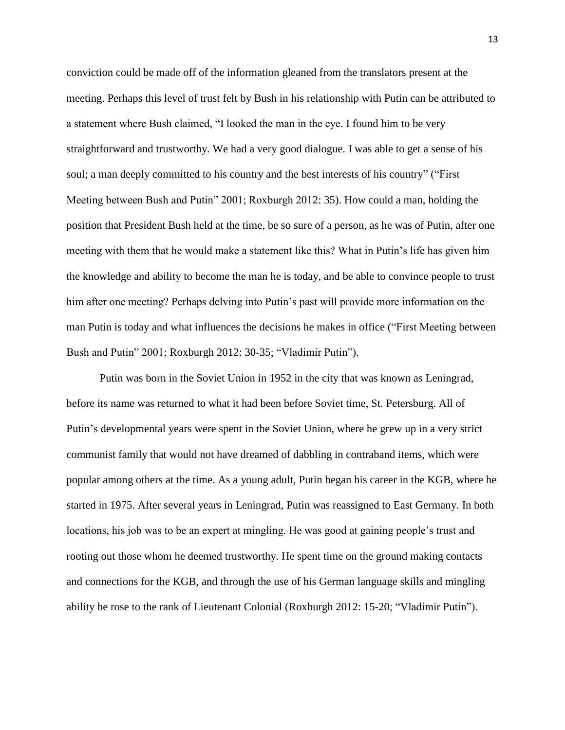conviction could be made off of the information gleaned from the translators present at the meeting. Perhaps this level of trust felt by Bush in his relationship with Putin can be attributed to a statement where Bush claimed, "I looked the man in the eye. I found him to be very straightforward and trustworthy. We had a very good dialogue. I was able to get a sense of his soul; a man deeply committed to his country and the best interests of his country" ("First Meeting between Bush and Putin" 2001; Roxburgh 2012: 35). How could a man, holding the position that President Bush held at the time, be so sure of a person, as he was of Putin, after one meeting with them that he would make a statement like this? What in Putin's life has given him the knowledge and ability to become the man he is today, and be able to convince people to trust him after one meeting? Perhaps delving into Putin's past will provide more information on the man Putin is today and what influences the decisions he makes in office ("First Meeting between Bush and Putin" 2001; Roxburgh 2012: 30-35; "Vladimir Putin").

Putin was born in the Soviet Union in 1952 in the city that was known as Leningrad, before its name was returned to what it had been before Soviet time, St. Petersburg. All of Putin's developmental years were spent in the Soviet Union, where he grew up in a very strict communist family that would not have dreamed of dabbling in contraband items, which were popular among others at the time. As a young adult, Putin began his career in the KGB, where he started in 1975. After several years in Leningrad, Putin was reassigned to East Germany. In both locations, his job was to be an expert at mingling. He was good at gaining people's trust and rooting out those whom he deemed trustworthy. He spent time on the ground making contacts and connections for the KGB, and through the use of his German language skills and mingling ability he rose to the rank of Lieutenant Colonial (Roxburgh 2012: 15-20; "Vladimir Putin").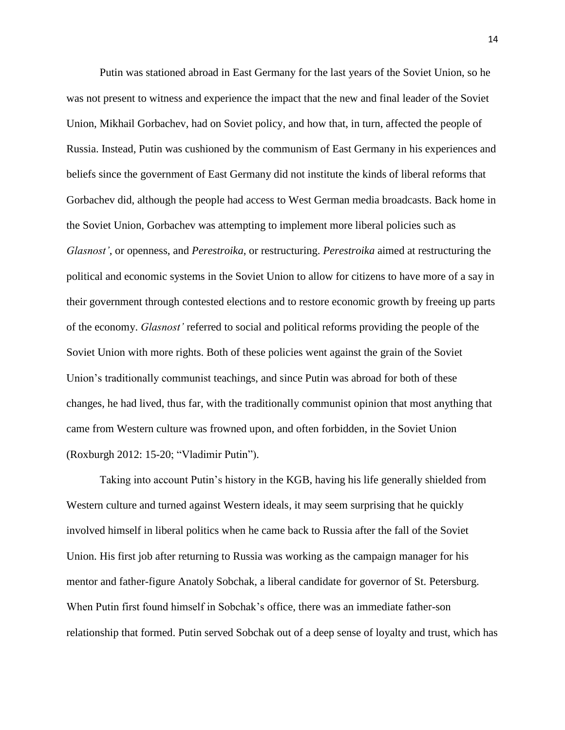Putin was stationed abroad in East Germany for the last years of the Soviet Union, so he was not present to witness and experience the impact that the new and final leader of the Soviet Union, Mikhail Gorbachev, had on Soviet policy, and how that, in turn, affected the people of Russia. Instead, Putin was cushioned by the communism of East Germany in his experiences and beliefs since the government of East Germany did not institute the kinds of liberal reforms that Gorbachev did, although the people had access to West German media broadcasts. Back home in the Soviet Union, Gorbachev was attempting to implement more liberal policies such as *Glasnost'*, or openness, and *Perestroika*, or restructuring. *Perestroika* aimed at restructuring the political and economic systems in the Soviet Union to allow for citizens to have more of a say in their government through contested elections and to restore economic growth by freeing up parts of the economy. *Glasnost'* referred to social and political reforms providing the people of the Soviet Union with more rights. Both of these policies went against the grain of the Soviet Union's traditionally communist teachings, and since Putin was abroad for both of these changes, he had lived, thus far, with the traditionally communist opinion that most anything that came from Western culture was frowned upon, and often forbidden, in the Soviet Union (Roxburgh 2012: 15-20; "Vladimir Putin").

Taking into account Putin's history in the KGB, having his life generally shielded from Western culture and turned against Western ideals, it may seem surprising that he quickly involved himself in liberal politics when he came back to Russia after the fall of the Soviet Union. His first job after returning to Russia was working as the campaign manager for his mentor and father-figure Anatoly Sobchak, a liberal candidate for governor of St. Petersburg. When Putin first found himself in Sobchak's office, there was an immediate father-son relationship that formed. Putin served Sobchak out of a deep sense of loyalty and trust, which has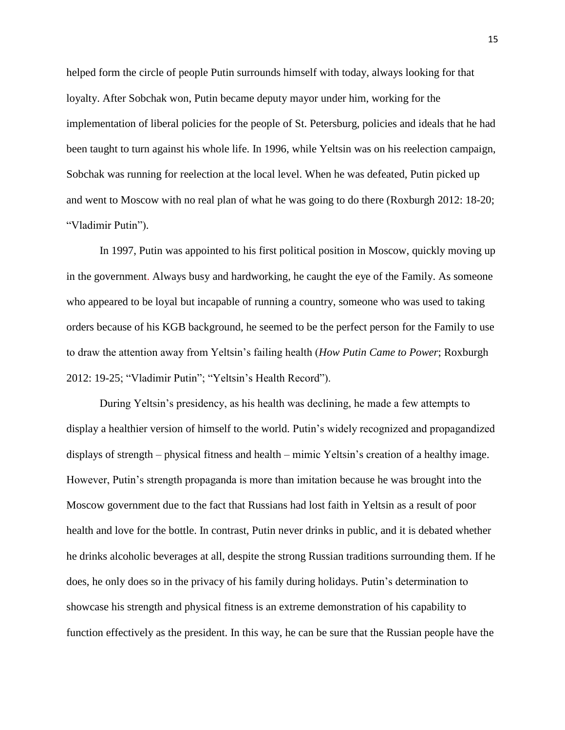helped form the circle of people Putin surrounds himself with today, always looking for that loyalty. After Sobchak won, Putin became deputy mayor under him, working for the implementation of liberal policies for the people of St. Petersburg, policies and ideals that he had been taught to turn against his whole life. In 1996, while Yeltsin was on his reelection campaign, Sobchak was running for reelection at the local level. When he was defeated, Putin picked up and went to Moscow with no real plan of what he was going to do there (Roxburgh 2012: 18-20; "Vladimir Putin").

In 1997, Putin was appointed to his first political position in Moscow, quickly moving up in the government. Always busy and hardworking, he caught the eye of the Family. As someone who appeared to be loyal but incapable of running a country, someone who was used to taking orders because of his KGB background, he seemed to be the perfect person for the Family to use to draw the attention away from Yeltsin's failing health (*How Putin Came to Power*; Roxburgh 2012: 19-25; "Vladimir Putin"; "Yeltsin's Health Record").

During Yeltsin's presidency, as his health was declining, he made a few attempts to display a healthier version of himself to the world. Putin's widely recognized and propagandized displays of strength – physical fitness and health – mimic Yeltsin's creation of a healthy image. However, Putin's strength propaganda is more than imitation because he was brought into the Moscow government due to the fact that Russians had lost faith in Yeltsin as a result of poor health and love for the bottle. In contrast, Putin never drinks in public, and it is debated whether he drinks alcoholic beverages at all, despite the strong Russian traditions surrounding them. If he does, he only does so in the privacy of his family during holidays. Putin's determination to showcase his strength and physical fitness is an extreme demonstration of his capability to function effectively as the president. In this way, he can be sure that the Russian people have the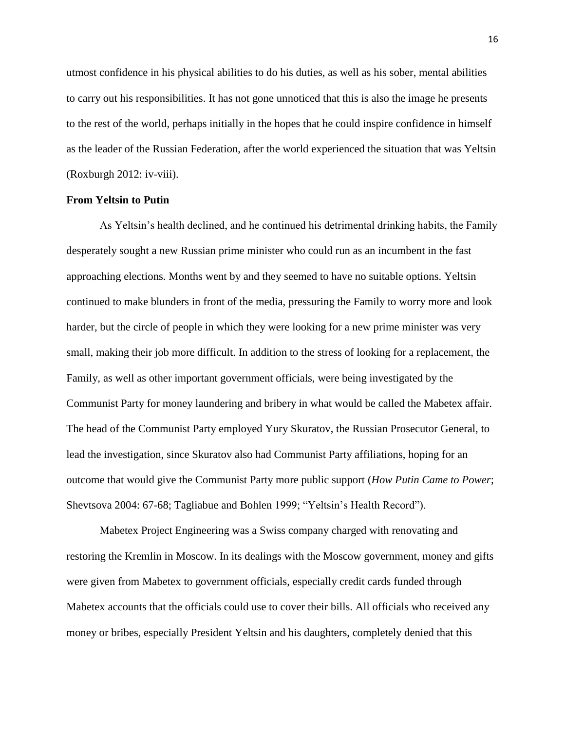utmost confidence in his physical abilities to do his duties, as well as his sober, mental abilities to carry out his responsibilities. It has not gone unnoticed that this is also the image he presents to the rest of the world, perhaps initially in the hopes that he could inspire confidence in himself as the leader of the Russian Federation, after the world experienced the situation that was Yeltsin (Roxburgh 2012: iv-viii).

#### **From Yeltsin to Putin**

As Yeltsin's health declined, and he continued his detrimental drinking habits, the Family desperately sought a new Russian prime minister who could run as an incumbent in the fast approaching elections. Months went by and they seemed to have no suitable options. Yeltsin continued to make blunders in front of the media, pressuring the Family to worry more and look harder, but the circle of people in which they were looking for a new prime minister was very small, making their job more difficult. In addition to the stress of looking for a replacement, the Family, as well as other important government officials, were being investigated by the Communist Party for money laundering and bribery in what would be called the Mabetex affair. The head of the Communist Party employed Yury Skuratov, the Russian Prosecutor General, to lead the investigation, since Skuratov also had Communist Party affiliations, hoping for an outcome that would give the Communist Party more public support (*How Putin Came to Power*; Shevtsova 2004: 67-68; Tagliabue and Bohlen 1999; "Yeltsin's Health Record").

Mabetex Project Engineering was a Swiss company charged with renovating and restoring the Kremlin in Moscow. In its dealings with the Moscow government, money and gifts were given from Mabetex to government officials, especially credit cards funded through Mabetex accounts that the officials could use to cover their bills. All officials who received any money or bribes, especially President Yeltsin and his daughters, completely denied that this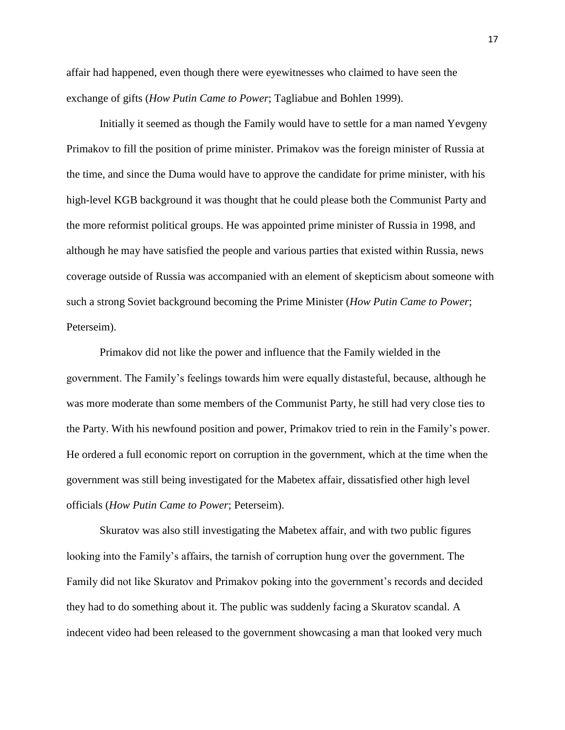affair had happened, even though there were eyewitnesses who claimed to have seen the exchange of gifts (*How Putin Came to Power*; Tagliabue and Bohlen 1999).

Initially it seemed as though the Family would have to settle for a man named Yevgeny Primakov to fill the position of prime minister. Primakov was the foreign minister of Russia at the time, and since the Duma would have to approve the candidate for prime minister, with his high-level KGB background it was thought that he could please both the Communist Party and the more reformist political groups. He was appointed prime minister of Russia in 1998, and although he may have satisfied the people and various parties that existed within Russia, news coverage outside of Russia was accompanied with an element of skepticism about someone with such a strong Soviet background becoming the Prime Minister (*How Putin Came to Power*; Peterseim).

Primakov did not like the power and influence that the Family wielded in the government. The Family's feelings towards him were equally distasteful, because, although he was more moderate than some members of the Communist Party, he still had very close ties to the Party. With his newfound position and power, Primakov tried to rein in the Family's power. He ordered a full economic report on corruption in the government, which at the time when the government was still being investigated for the Mabetex affair, dissatisfied other high level officials (*How Putin Came to Power*; Peterseim).

Skuratov was also still investigating the Mabetex affair, and with two public figures looking into the Family's affairs, the tarnish of corruption hung over the government. The Family did not like Skuratov and Primakov poking into the government's records and decided they had to do something about it. The public was suddenly facing a Skuratov scandal. A indecent video had been released to the government showcasing a man that looked very much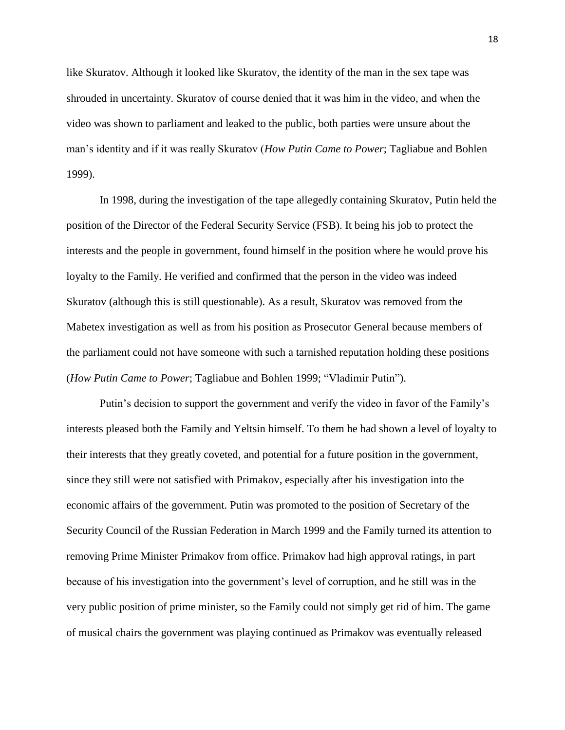like Skuratov. Although it looked like Skuratov, the identity of the man in the sex tape was shrouded in uncertainty. Skuratov of course denied that it was him in the video, and when the video was shown to parliament and leaked to the public, both parties were unsure about the man's identity and if it was really Skuratov (*How Putin Came to Power*; Tagliabue and Bohlen 1999).

In 1998, during the investigation of the tape allegedly containing Skuratov, Putin held the position of the Director of the Federal Security Service (FSB). It being his job to protect the interests and the people in government, found himself in the position where he would prove his loyalty to the Family. He verified and confirmed that the person in the video was indeed Skuratov (although this is still questionable). As a result, Skuratov was removed from the Mabetex investigation as well as from his position as Prosecutor General because members of the parliament could not have someone with such a tarnished reputation holding these positions (*How Putin Came to Power*; Tagliabue and Bohlen 1999; "Vladimir Putin").

Putin's decision to support the government and verify the video in favor of the Family's interests pleased both the Family and Yeltsin himself. To them he had shown a level of loyalty to their interests that they greatly coveted, and potential for a future position in the government, since they still were not satisfied with Primakov, especially after his investigation into the economic affairs of the government. Putin was promoted to the position of Secretary of the Security Council of the Russian Federation in March 1999 and the Family turned its attention to removing Prime Minister Primakov from office. Primakov had high approval ratings, in part because of his investigation into the government's level of corruption, and he still was in the very public position of prime minister, so the Family could not simply get rid of him. The game of musical chairs the government was playing continued as Primakov was eventually released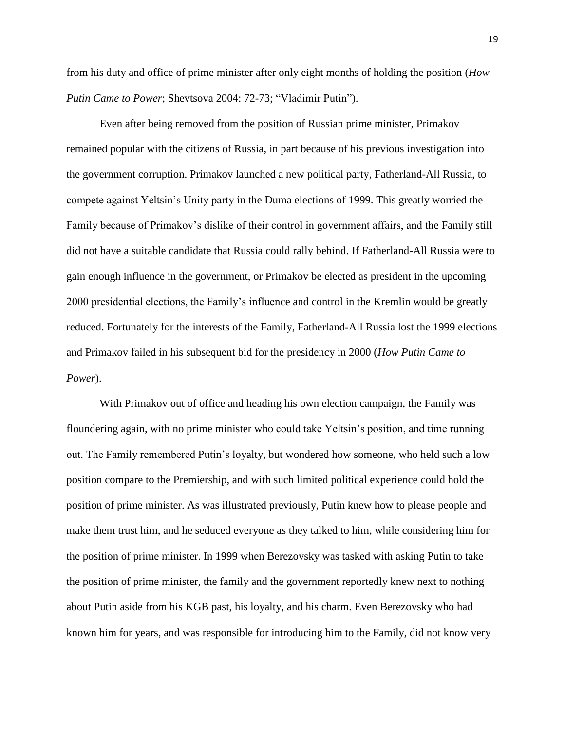from his duty and office of prime minister after only eight months of holding the position (*How Putin Came to Power*; Shevtsova 2004: 72-73; "Vladimir Putin").

Even after being removed from the position of Russian prime minister, Primakov remained popular with the citizens of Russia, in part because of his previous investigation into the government corruption. Primakov launched a new political party, Fatherland-All Russia, to compete against Yeltsin's Unity party in the Duma elections of 1999. This greatly worried the Family because of Primakov's dislike of their control in government affairs, and the Family still did not have a suitable candidate that Russia could rally behind. If Fatherland-All Russia were to gain enough influence in the government, or Primakov be elected as president in the upcoming 2000 presidential elections, the Family's influence and control in the Kremlin would be greatly reduced. Fortunately for the interests of the Family, Fatherland-All Russia lost the 1999 elections and Primakov failed in his subsequent bid for the presidency in 2000 (*How Putin Came to Power*).

With Primakov out of office and heading his own election campaign, the Family was floundering again, with no prime minister who could take Yeltsin's position, and time running out. The Family remembered Putin's loyalty, but wondered how someone, who held such a low position compare to the Premiership, and with such limited political experience could hold the position of prime minister. As was illustrated previously, Putin knew how to please people and make them trust him, and he seduced everyone as they talked to him, while considering him for the position of prime minister. In 1999 when Berezovsky was tasked with asking Putin to take the position of prime minister, the family and the government reportedly knew next to nothing about Putin aside from his KGB past, his loyalty, and his charm. Even Berezovsky who had known him for years, and was responsible for introducing him to the Family, did not know very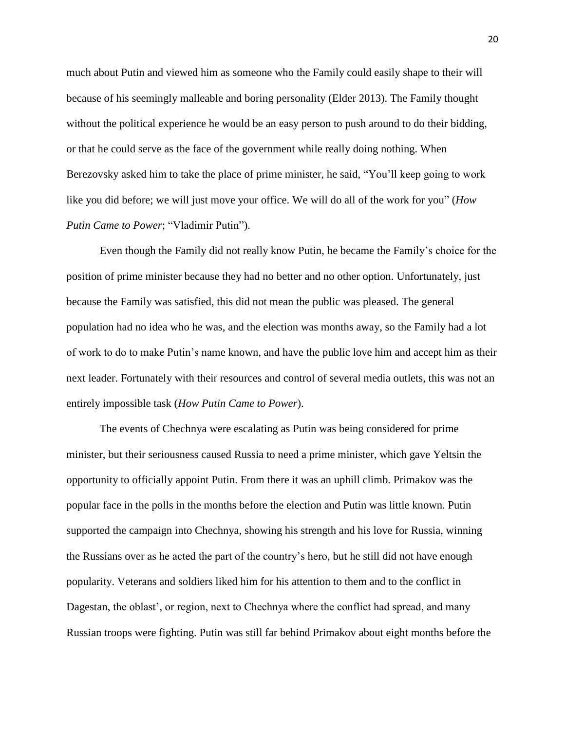much about Putin and viewed him as someone who the Family could easily shape to their will because of his seemingly malleable and boring personality (Elder 2013). The Family thought without the political experience he would be an easy person to push around to do their bidding, or that he could serve as the face of the government while really doing nothing. When Berezovsky asked him to take the place of prime minister, he said, "You'll keep going to work like you did before; we will just move your office. We will do all of the work for you" (*How Putin Came to Power*; "Vladimir Putin").

Even though the Family did not really know Putin, he became the Family's choice for the position of prime minister because they had no better and no other option. Unfortunately, just because the Family was satisfied, this did not mean the public was pleased. The general population had no idea who he was, and the election was months away, so the Family had a lot of work to do to make Putin's name known, and have the public love him and accept him as their next leader. Fortunately with their resources and control of several media outlets, this was not an entirely impossible task (*How Putin Came to Power*).

The events of Chechnya were escalating as Putin was being considered for prime minister, but their seriousness caused Russia to need a prime minister, which gave Yeltsin the opportunity to officially appoint Putin. From there it was an uphill climb. Primakov was the popular face in the polls in the months before the election and Putin was little known. Putin supported the campaign into Chechnya, showing his strength and his love for Russia, winning the Russians over as he acted the part of the country's hero, but he still did not have enough popularity. Veterans and soldiers liked him for his attention to them and to the conflict in Dagestan, the oblast', or region, next to Chechnya where the conflict had spread, and many Russian troops were fighting. Putin was still far behind Primakov about eight months before the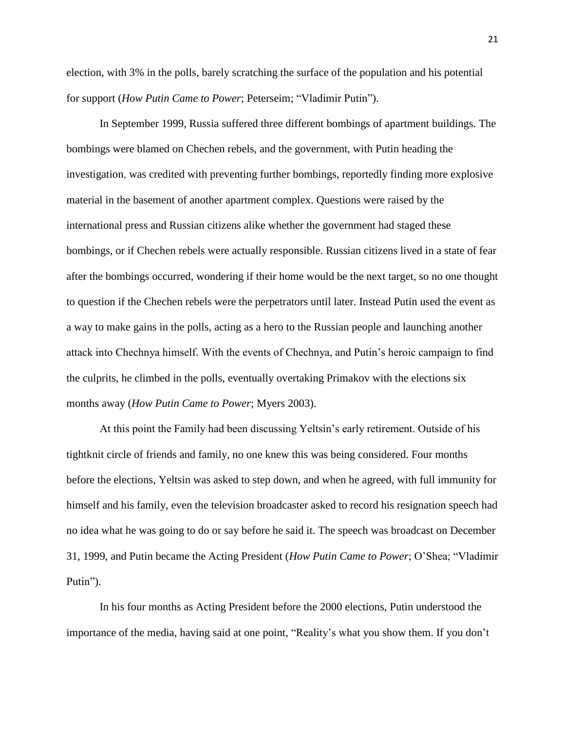election, with 3% in the polls, barely scratching the surface of the population and his potential for support (*How Putin Came to Power*; Peterseim; "Vladimir Putin").

In September 1999, Russia suffered three different bombings of apartment buildings. The bombings were blamed on Chechen rebels, and the government, with Putin heading the investigation, was credited with preventing further bombings, reportedly finding more explosive material in the basement of another apartment complex. Questions were raised by the international press and Russian citizens alike whether the government had staged these bombings, or if Chechen rebels were actually responsible. Russian citizens lived in a state of fear after the bombings occurred, wondering if their home would be the next target, so no one thought to question if the Chechen rebels were the perpetrators until later. Instead Putin used the event as a way to make gains in the polls, acting as a hero to the Russian people and launching another attack into Chechnya himself. With the events of Chechnya, and Putin's heroic campaign to find the culprits, he climbed in the polls, eventually overtaking Primakov with the elections six months away (*How Putin Came to Power*; Myers 2003).

At this point the Family had been discussing Yeltsin's early retirement. Outside of his tightknit circle of friends and family, no one knew this was being considered. Four months before the elections, Yeltsin was asked to step down, and when he agreed, with full immunity for himself and his family, even the television broadcaster asked to record his resignation speech had no idea what he was going to do or say before he said it. The speech was broadcast on December 31, 1999, and Putin became the Acting President (*How Putin Came to Power*; O'Shea; "Vladimir Putin").

In his four months as Acting President before the 2000 elections, Putin understood the importance of the media, having said at one point, "Reality's what you show them. If you don't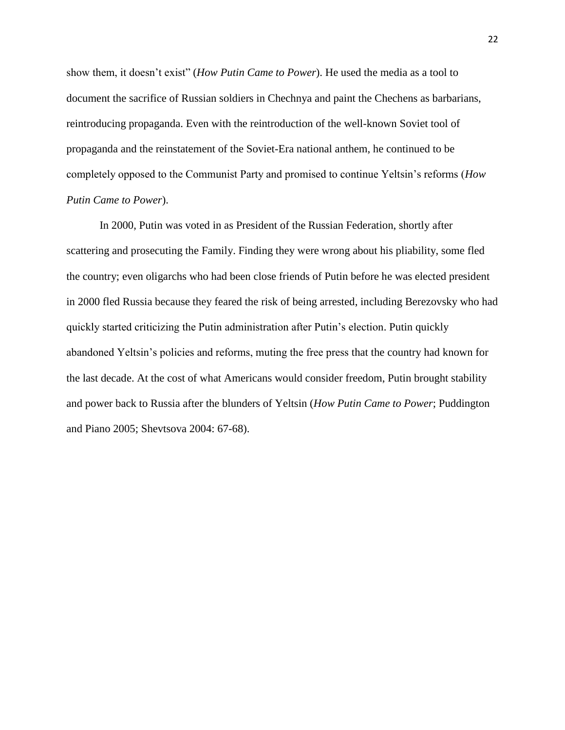show them, it doesn't exist" (*How Putin Came to Power*). He used the media as a tool to document the sacrifice of Russian soldiers in Chechnya and paint the Chechens as barbarians, reintroducing propaganda. Even with the reintroduction of the well-known Soviet tool of propaganda and the reinstatement of the Soviet-Era national anthem, he continued to be completely opposed to the Communist Party and promised to continue Yeltsin's reforms (*How Putin Came to Power*).

In 2000, Putin was voted in as President of the Russian Federation, shortly after scattering and prosecuting the Family. Finding they were wrong about his pliability, some fled the country; even oligarchs who had been close friends of Putin before he was elected president in 2000 fled Russia because they feared the risk of being arrested, including Berezovsky who had quickly started criticizing the Putin administration after Putin's election. Putin quickly abandoned Yeltsin's policies and reforms, muting the free press that the country had known for the last decade. At the cost of what Americans would consider freedom, Putin brought stability and power back to Russia after the blunders of Yeltsin (*How Putin Came to Power*; Puddington and Piano 2005; Shevtsova 2004: 67-68).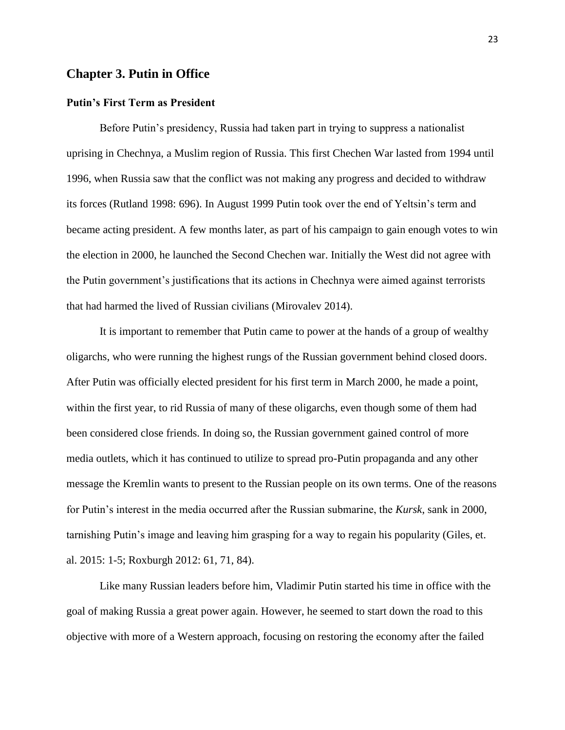#### **Chapter 3. Putin in Office**

#### **Putin's First Term as President**

Before Putin's presidency, Russia had taken part in trying to suppress a nationalist uprising in Chechnya, a Muslim region of Russia. This first Chechen War lasted from 1994 until 1996, when Russia saw that the conflict was not making any progress and decided to withdraw its forces (Rutland 1998: 696). In August 1999 Putin took over the end of Yeltsin's term and became acting president. A few months later, as part of his campaign to gain enough votes to win the election in 2000, he launched the Second Chechen war. Initially the West did not agree with the Putin government's justifications that its actions in Chechnya were aimed against terrorists that had harmed the lived of Russian civilians (Mirovalev 2014).

It is important to remember that Putin came to power at the hands of a group of wealthy oligarchs, who were running the highest rungs of the Russian government behind closed doors. After Putin was officially elected president for his first term in March 2000, he made a point, within the first year, to rid Russia of many of these oligarchs, even though some of them had been considered close friends. In doing so, the Russian government gained control of more media outlets, which it has continued to utilize to spread pro-Putin propaganda and any other message the Kremlin wants to present to the Russian people on its own terms. One of the reasons for Putin's interest in the media occurred after the Russian submarine, the *Kursk*, sank in 2000, tarnishing Putin's image and leaving him grasping for a way to regain his popularity (Giles, et. al. 2015: 1-5; Roxburgh 2012: 61, 71, 84).

Like many Russian leaders before him, Vladimir Putin started his time in office with the goal of making Russia a great power again. However, he seemed to start down the road to this objective with more of a Western approach, focusing on restoring the economy after the failed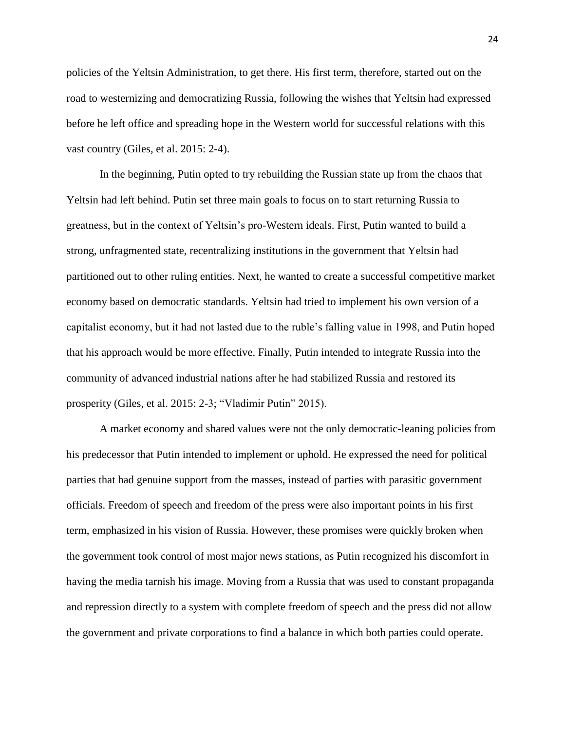policies of the Yeltsin Administration, to get there. His first term, therefore, started out on the road to westernizing and democratizing Russia, following the wishes that Yeltsin had expressed before he left office and spreading hope in the Western world for successful relations with this vast country (Giles, et al. 2015: 2-4).

In the beginning, Putin opted to try rebuilding the Russian state up from the chaos that Yeltsin had left behind. Putin set three main goals to focus on to start returning Russia to greatness, but in the context of Yeltsin's pro-Western ideals. First, Putin wanted to build a strong, unfragmented state, recentralizing institutions in the government that Yeltsin had partitioned out to other ruling entities. Next, he wanted to create a successful competitive market economy based on democratic standards. Yeltsin had tried to implement his own version of a capitalist economy, but it had not lasted due to the ruble's falling value in 1998, and Putin hoped that his approach would be more effective. Finally, Putin intended to integrate Russia into the community of advanced industrial nations after he had stabilized Russia and restored its prosperity (Giles, et al. 2015: 2-3; "Vladimir Putin" 2015).

A market economy and shared values were not the only democratic-leaning policies from his predecessor that Putin intended to implement or uphold. He expressed the need for political parties that had genuine support from the masses, instead of parties with parasitic government officials. Freedom of speech and freedom of the press were also important points in his first term, emphasized in his vision of Russia. However, these promises were quickly broken when the government took control of most major news stations, as Putin recognized his discomfort in having the media tarnish his image. Moving from a Russia that was used to constant propaganda and repression directly to a system with complete freedom of speech and the press did not allow the government and private corporations to find a balance in which both parties could operate.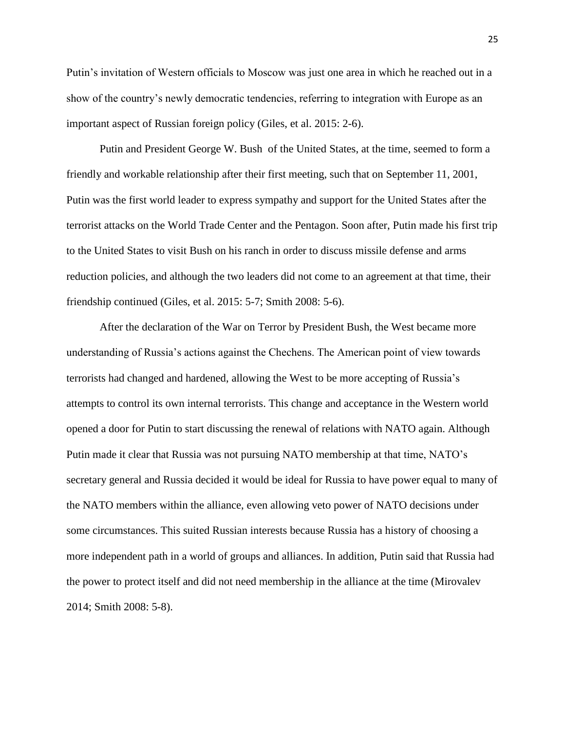Putin's invitation of Western officials to Moscow was just one area in which he reached out in a show of the country's newly democratic tendencies, referring to integration with Europe as an important aspect of Russian foreign policy (Giles, et al. 2015: 2-6).

Putin and President George W. Bush of the United States, at the time, seemed to form a friendly and workable relationship after their first meeting, such that on September 11, 2001, Putin was the first world leader to express sympathy and support for the United States after the terrorist attacks on the World Trade Center and the Pentagon. Soon after, Putin made his first trip to the United States to visit Bush on his ranch in order to discuss missile defense and arms reduction policies, and although the two leaders did not come to an agreement at that time, their friendship continued (Giles, et al. 2015: 5-7; Smith 2008: 5-6).

After the declaration of the War on Terror by President Bush, the West became more understanding of Russia's actions against the Chechens. The American point of view towards terrorists had changed and hardened, allowing the West to be more accepting of Russia's attempts to control its own internal terrorists. This change and acceptance in the Western world opened a door for Putin to start discussing the renewal of relations with NATO again. Although Putin made it clear that Russia was not pursuing NATO membership at that time, NATO's secretary general and Russia decided it would be ideal for Russia to have power equal to many of the NATO members within the alliance, even allowing veto power of NATO decisions under some circumstances. This suited Russian interests because Russia has a history of choosing a more independent path in a world of groups and alliances. In addition, Putin said that Russia had the power to protect itself and did not need membership in the alliance at the time (Mirovalev 2014; Smith 2008: 5-8).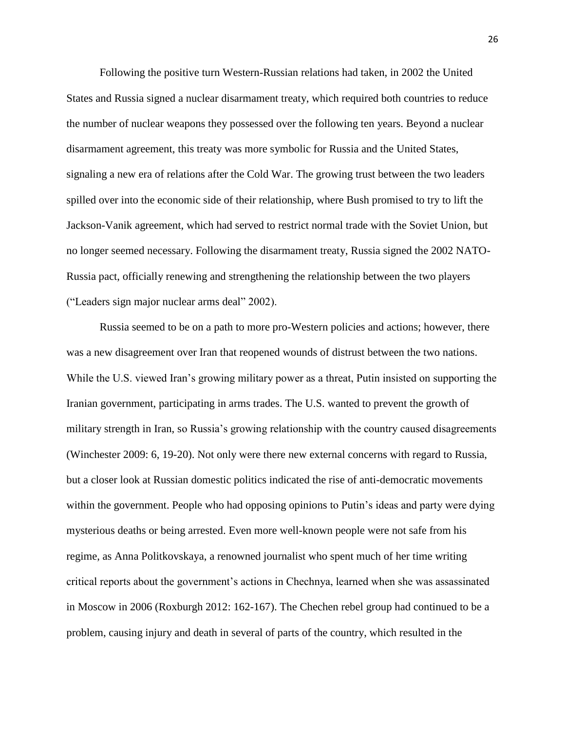Following the positive turn Western-Russian relations had taken, in 2002 the United States and Russia signed a nuclear disarmament treaty, which required both countries to reduce the number of nuclear weapons they possessed over the following ten years. Beyond a nuclear disarmament agreement, this treaty was more symbolic for Russia and the United States, signaling a new era of relations after the Cold War. The growing trust between the two leaders spilled over into the economic side of their relationship, where Bush promised to try to lift the Jackson-Vanik agreement, which had served to restrict normal trade with the Soviet Union, but no longer seemed necessary. Following the disarmament treaty, Russia signed the 2002 NATO-Russia pact, officially renewing and strengthening the relationship between the two players ("Leaders sign major nuclear arms deal" 2002).

Russia seemed to be on a path to more pro-Western policies and actions; however, there was a new disagreement over Iran that reopened wounds of distrust between the two nations. While the U.S. viewed Iran's growing military power as a threat, Putin insisted on supporting the Iranian government, participating in arms trades. The U.S. wanted to prevent the growth of military strength in Iran, so Russia's growing relationship with the country caused disagreements (Winchester 2009: 6, 19-20). Not only were there new external concerns with regard to Russia, but a closer look at Russian domestic politics indicated the rise of anti-democratic movements within the government. People who had opposing opinions to Putin's ideas and party were dying mysterious deaths or being arrested. Even more well-known people were not safe from his regime, as Anna Politkovskaya, a renowned journalist who spent much of her time writing critical reports about the government's actions in Chechnya, learned when she was assassinated in Moscow in 2006 (Roxburgh 2012: 162-167). The Chechen rebel group had continued to be a problem, causing injury and death in several of parts of the country, which resulted in the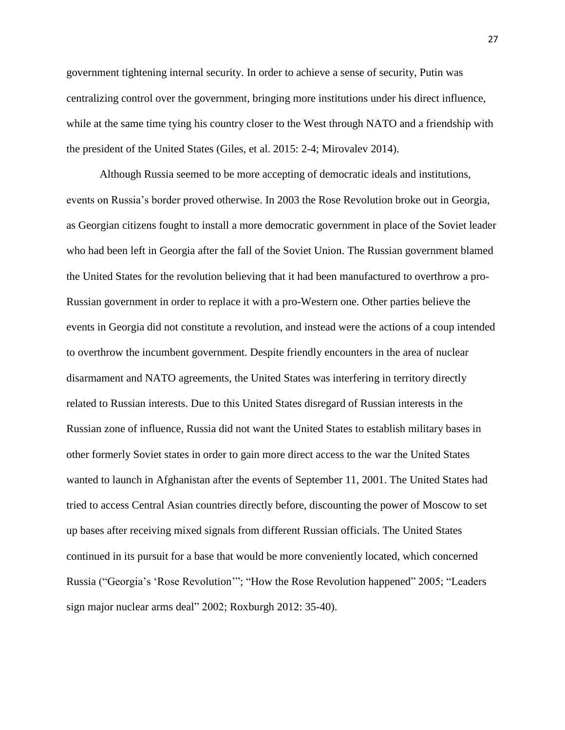government tightening internal security. In order to achieve a sense of security, Putin was centralizing control over the government, bringing more institutions under his direct influence, while at the same time tying his country closer to the West through NATO and a friendship with the president of the United States (Giles, et al. 2015: 2-4; Mirovalev 2014).

Although Russia seemed to be more accepting of democratic ideals and institutions, events on Russia's border proved otherwise. In 2003 the Rose Revolution broke out in Georgia, as Georgian citizens fought to install a more democratic government in place of the Soviet leader who had been left in Georgia after the fall of the Soviet Union. The Russian government blamed the United States for the revolution believing that it had been manufactured to overthrow a pro-Russian government in order to replace it with a pro-Western one. Other parties believe the events in Georgia did not constitute a revolution, and instead were the actions of a coup intended to overthrow the incumbent government. Despite friendly encounters in the area of nuclear disarmament and NATO agreements, the United States was interfering in territory directly related to Russian interests. Due to this United States disregard of Russian interests in the Russian zone of influence, Russia did not want the United States to establish military bases in other formerly Soviet states in order to gain more direct access to the war the United States wanted to launch in Afghanistan after the events of September 11, 2001. The United States had tried to access Central Asian countries directly before, discounting the power of Moscow to set up bases after receiving mixed signals from different Russian officials. The United States continued in its pursuit for a base that would be more conveniently located, which concerned Russia ("Georgia's 'Rose Revolution'"; "How the Rose Revolution happened" 2005; "Leaders sign major nuclear arms deal" 2002; Roxburgh 2012: 35-40).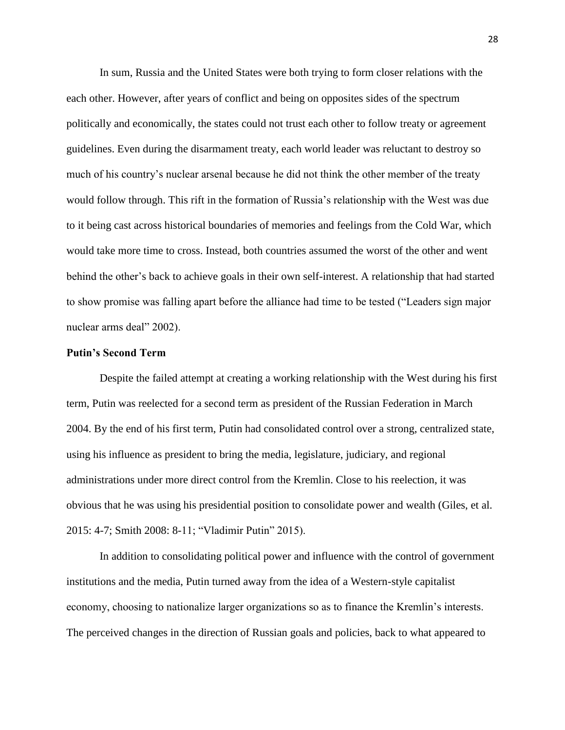In sum, Russia and the United States were both trying to form closer relations with the each other. However, after years of conflict and being on opposites sides of the spectrum politically and economically, the states could not trust each other to follow treaty or agreement guidelines. Even during the disarmament treaty, each world leader was reluctant to destroy so much of his country's nuclear arsenal because he did not think the other member of the treaty would follow through. This rift in the formation of Russia's relationship with the West was due to it being cast across historical boundaries of memories and feelings from the Cold War, which would take more time to cross. Instead, both countries assumed the worst of the other and went behind the other's back to achieve goals in their own self-interest. A relationship that had started to show promise was falling apart before the alliance had time to be tested ("Leaders sign major nuclear arms deal" 2002).

#### **Putin's Second Term**

Despite the failed attempt at creating a working relationship with the West during his first term, Putin was reelected for a second term as president of the Russian Federation in March 2004. By the end of his first term, Putin had consolidated control over a strong, centralized state, using his influence as president to bring the media, legislature, judiciary, and regional administrations under more direct control from the Kremlin. Close to his reelection, it was obvious that he was using his presidential position to consolidate power and wealth (Giles, et al. 2015: 4-7; Smith 2008: 8-11; "Vladimir Putin" 2015).

In addition to consolidating political power and influence with the control of government institutions and the media, Putin turned away from the idea of a Western-style capitalist economy, choosing to nationalize larger organizations so as to finance the Kremlin's interests. The perceived changes in the direction of Russian goals and policies, back to what appeared to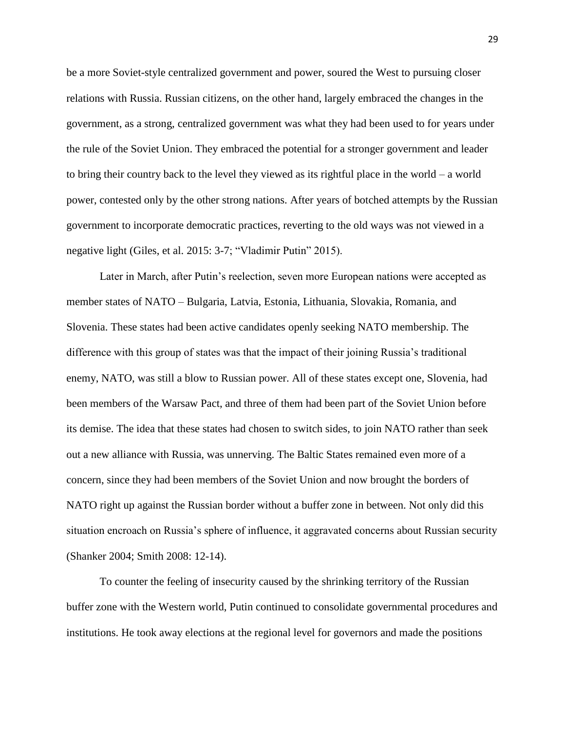be a more Soviet-style centralized government and power, soured the West to pursuing closer relations with Russia. Russian citizens, on the other hand, largely embraced the changes in the government, as a strong, centralized government was what they had been used to for years under the rule of the Soviet Union. They embraced the potential for a stronger government and leader to bring their country back to the level they viewed as its rightful place in the world – a world power, contested only by the other strong nations. After years of botched attempts by the Russian government to incorporate democratic practices, reverting to the old ways was not viewed in a negative light (Giles, et al. 2015: 3-7; "Vladimir Putin" 2015).

Later in March, after Putin's reelection, seven more European nations were accepted as member states of NATO – Bulgaria, Latvia, Estonia, Lithuania, Slovakia, Romania, and Slovenia. These states had been active candidates openly seeking NATO membership. The difference with this group of states was that the impact of their joining Russia's traditional enemy, NATO, was still a blow to Russian power. All of these states except one, Slovenia, had been members of the Warsaw Pact, and three of them had been part of the Soviet Union before its demise. The idea that these states had chosen to switch sides, to join NATO rather than seek out a new alliance with Russia, was unnerving. The Baltic States remained even more of a concern, since they had been members of the Soviet Union and now brought the borders of NATO right up against the Russian border without a buffer zone in between. Not only did this situation encroach on Russia's sphere of influence, it aggravated concerns about Russian security (Shanker 2004; Smith 2008: 12-14).

To counter the feeling of insecurity caused by the shrinking territory of the Russian buffer zone with the Western world, Putin continued to consolidate governmental procedures and institutions. He took away elections at the regional level for governors and made the positions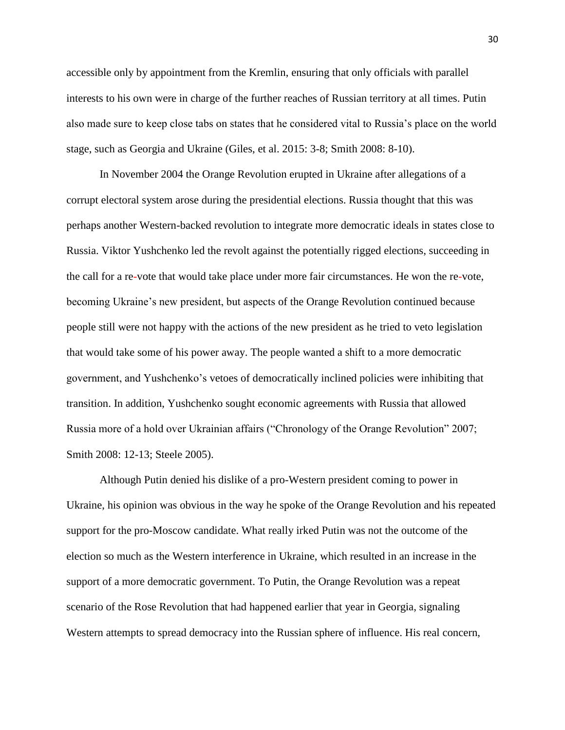accessible only by appointment from the Kremlin, ensuring that only officials with parallel interests to his own were in charge of the further reaches of Russian territory at all times. Putin also made sure to keep close tabs on states that he considered vital to Russia's place on the world stage, such as Georgia and Ukraine (Giles, et al. 2015: 3-8; Smith 2008: 8-10).

In November 2004 the Orange Revolution erupted in Ukraine after allegations of a corrupt electoral system arose during the presidential elections. Russia thought that this was perhaps another Western-backed revolution to integrate more democratic ideals in states close to Russia. Viktor Yushchenko led the revolt against the potentially rigged elections, succeeding in the call for a re-vote that would take place under more fair circumstances. He won the re-vote, becoming Ukraine's new president, but aspects of the Orange Revolution continued because people still were not happy with the actions of the new president as he tried to veto legislation that would take some of his power away. The people wanted a shift to a more democratic government, and Yushchenko's vetoes of democratically inclined policies were inhibiting that transition. In addition, Yushchenko sought economic agreements with Russia that allowed Russia more of a hold over Ukrainian affairs ("Chronology of the Orange Revolution" 2007; Smith 2008: 12-13; Steele 2005).

Although Putin denied his dislike of a pro-Western president coming to power in Ukraine, his opinion was obvious in the way he spoke of the Orange Revolution and his repeated support for the pro-Moscow candidate. What really irked Putin was not the outcome of the election so much as the Western interference in Ukraine, which resulted in an increase in the support of a more democratic government. To Putin, the Orange Revolution was a repeat scenario of the Rose Revolution that had happened earlier that year in Georgia, signaling Western attempts to spread democracy into the Russian sphere of influence. His real concern,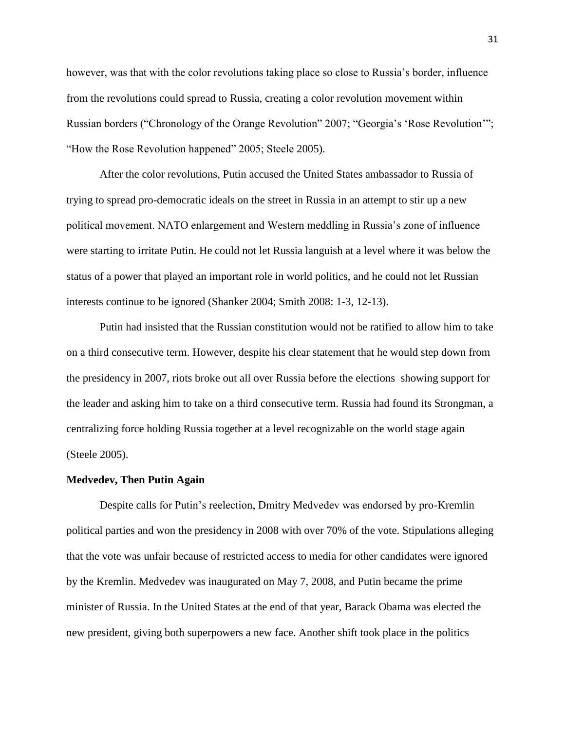however, was that with the color revolutions taking place so close to Russia's border, influence from the revolutions could spread to Russia, creating a color revolution movement within Russian borders ("Chronology of the Orange Revolution" 2007; "Georgia's 'Rose Revolution'"; "How the Rose Revolution happened" 2005; Steele 2005).

After the color revolutions, Putin accused the United States ambassador to Russia of trying to spread pro-democratic ideals on the street in Russia in an attempt to stir up a new political movement. NATO enlargement and Western meddling in Russia's zone of influence were starting to irritate Putin. He could not let Russia languish at a level where it was below the status of a power that played an important role in world politics, and he could not let Russian interests continue to be ignored (Shanker 2004; Smith 2008: 1-3, 12-13).

Putin had insisted that the Russian constitution would not be ratified to allow him to take on a third consecutive term. However, despite his clear statement that he would step down from the presidency in 2007, riots broke out all over Russia before the elections showing support for the leader and asking him to take on a third consecutive term. Russia had found its Strongman, a centralizing force holding Russia together at a level recognizable on the world stage again (Steele 2005).

#### **Medvedev, Then Putin Again**

Despite calls for Putin's reelection, Dmitry Medvedev was endorsed by pro-Kremlin political parties and won the presidency in 2008 with over 70% of the vote. Stipulations alleging that the vote was unfair because of restricted access to media for other candidates were ignored by the Kremlin. Medvedev was inaugurated on May 7, 2008, and Putin became the prime minister of Russia. In the United States at the end of that year, Barack Obama was elected the new president, giving both superpowers a new face. Another shift took place in the politics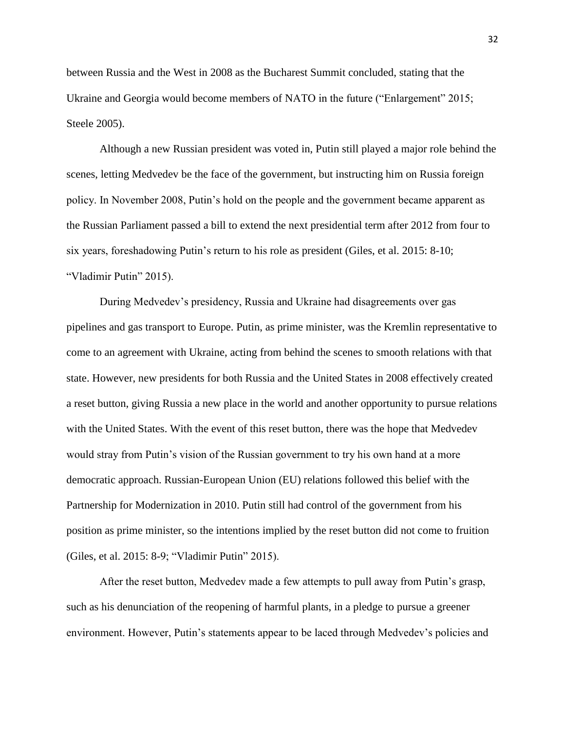between Russia and the West in 2008 as the Bucharest Summit concluded, stating that the Ukraine and Georgia would become members of NATO in the future ("Enlargement" 2015; Steele 2005).

Although a new Russian president was voted in, Putin still played a major role behind the scenes, letting Medvedev be the face of the government, but instructing him on Russia foreign policy. In November 2008, Putin's hold on the people and the government became apparent as the Russian Parliament passed a bill to extend the next presidential term after 2012 from four to six years, foreshadowing Putin's return to his role as president (Giles, et al. 2015: 8-10; "Vladimir Putin" 2015).

During Medvedev's presidency, Russia and Ukraine had disagreements over gas pipelines and gas transport to Europe. Putin, as prime minister, was the Kremlin representative to come to an agreement with Ukraine, acting from behind the scenes to smooth relations with that state. However, new presidents for both Russia and the United States in 2008 effectively created a reset button, giving Russia a new place in the world and another opportunity to pursue relations with the United States. With the event of this reset button, there was the hope that Medvedev would stray from Putin's vision of the Russian government to try his own hand at a more democratic approach. Russian-European Union (EU) relations followed this belief with the Partnership for Modernization in 2010. Putin still had control of the government from his position as prime minister, so the intentions implied by the reset button did not come to fruition (Giles, et al. 2015: 8-9; "Vladimir Putin" 2015).

After the reset button, Medvedev made a few attempts to pull away from Putin's grasp, such as his denunciation of the reopening of harmful plants, in a pledge to pursue a greener environment. However, Putin's statements appear to be laced through Medvedev's policies and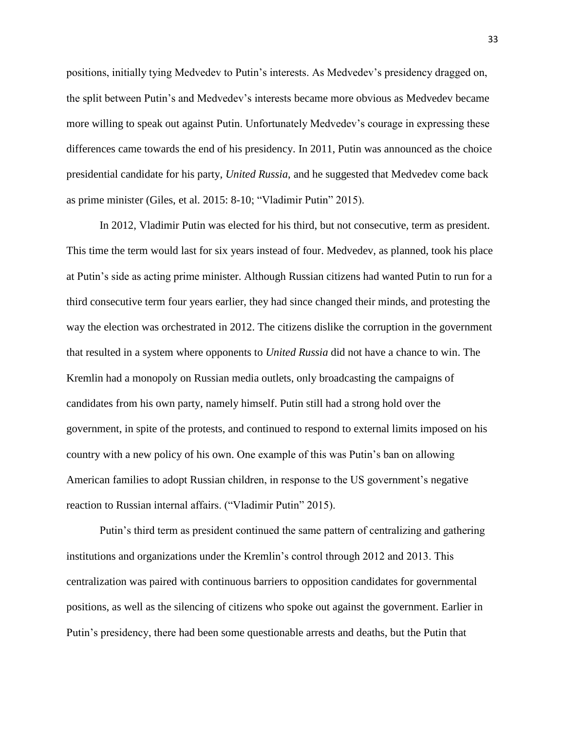positions, initially tying Medvedev to Putin's interests. As Medvedev's presidency dragged on, the split between Putin's and Medvedev's interests became more obvious as Medvedev became more willing to speak out against Putin. Unfortunately Medvedev's courage in expressing these differences came towards the end of his presidency. In 2011, Putin was announced as the choice presidential candidate for his party, *United Russia*, and he suggested that Medvedev come back as prime minister (Giles, et al. 2015: 8-10; "Vladimir Putin" 2015).

In 2012, Vladimir Putin was elected for his third, but not consecutive, term as president. This time the term would last for six years instead of four. Medvedev, as planned, took his place at Putin's side as acting prime minister. Although Russian citizens had wanted Putin to run for a third consecutive term four years earlier, they had since changed their minds, and protesting the way the election was orchestrated in 2012. The citizens dislike the corruption in the government that resulted in a system where opponents to *United Russia* did not have a chance to win. The Kremlin had a monopoly on Russian media outlets, only broadcasting the campaigns of candidates from his own party, namely himself. Putin still had a strong hold over the government, in spite of the protests, and continued to respond to external limits imposed on his country with a new policy of his own. One example of this was Putin's ban on allowing American families to adopt Russian children, in response to the US government's negative reaction to Russian internal affairs. ("Vladimir Putin" 2015).

Putin's third term as president continued the same pattern of centralizing and gathering institutions and organizations under the Kremlin's control through 2012 and 2013. This centralization was paired with continuous barriers to opposition candidates for governmental positions, as well as the silencing of citizens who spoke out against the government. Earlier in Putin's presidency, there had been some questionable arrests and deaths, but the Putin that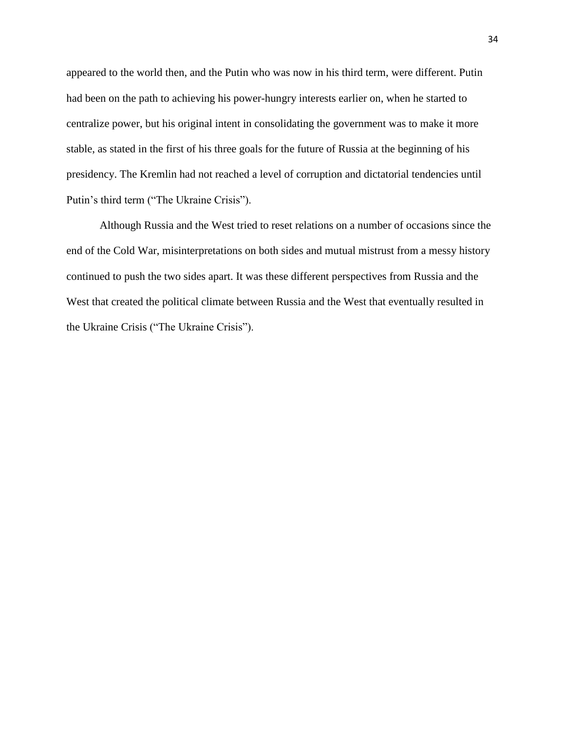appeared to the world then, and the Putin who was now in his third term, were different. Putin had been on the path to achieving his power-hungry interests earlier on, when he started to centralize power, but his original intent in consolidating the government was to make it more stable, as stated in the first of his three goals for the future of Russia at the beginning of his presidency. The Kremlin had not reached a level of corruption and dictatorial tendencies until Putin's third term ("The Ukraine Crisis").

Although Russia and the West tried to reset relations on a number of occasions since the end of the Cold War, misinterpretations on both sides and mutual mistrust from a messy history continued to push the two sides apart. It was these different perspectives from Russia and the West that created the political climate between Russia and the West that eventually resulted in the Ukraine Crisis ("The Ukraine Crisis").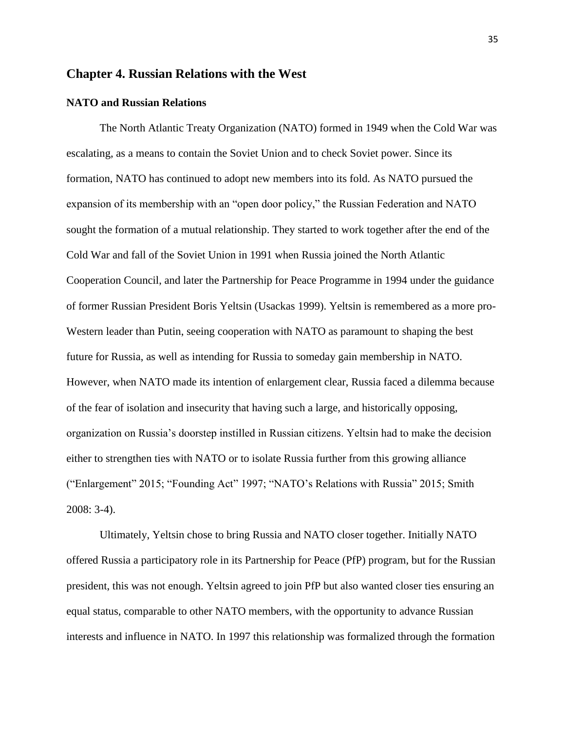# **Chapter 4. Russian Relations with the West**

#### **NATO and Russian Relations**

The North Atlantic Treaty Organization (NATO) formed in 1949 when the Cold War was escalating, as a means to contain the Soviet Union and to check Soviet power. Since its formation, NATO has continued to adopt new members into its fold. As NATO pursued the expansion of its membership with an "open door policy," the Russian Federation and NATO sought the formation of a mutual relationship. They started to work together after the end of the Cold War and fall of the Soviet Union in 1991 when Russia joined the North Atlantic Cooperation Council, and later the Partnership for Peace Programme in 1994 under the guidance of former Russian President Boris Yeltsin (Usackas 1999). Yeltsin is remembered as a more pro-Western leader than Putin, seeing cooperation with NATO as paramount to shaping the best future for Russia, as well as intending for Russia to someday gain membership in NATO. However, when NATO made its intention of enlargement clear, Russia faced a dilemma because of the fear of isolation and insecurity that having such a large, and historically opposing, organization on Russia's doorstep instilled in Russian citizens. Yeltsin had to make the decision either to strengthen ties with NATO or to isolate Russia further from this growing alliance ("Enlargement" 2015; "Founding Act" 1997; "NATO's Relations with Russia" 2015; Smith 2008: 3-4).

Ultimately, Yeltsin chose to bring Russia and NATO closer together. Initially NATO offered Russia a participatory role in its Partnership for Peace (PfP) program, but for the Russian president, this was not enough. Yeltsin agreed to join PfP but also wanted closer ties ensuring an equal status, comparable to other NATO members, with the opportunity to advance Russian interests and influence in NATO. In 1997 this relationship was formalized through the formation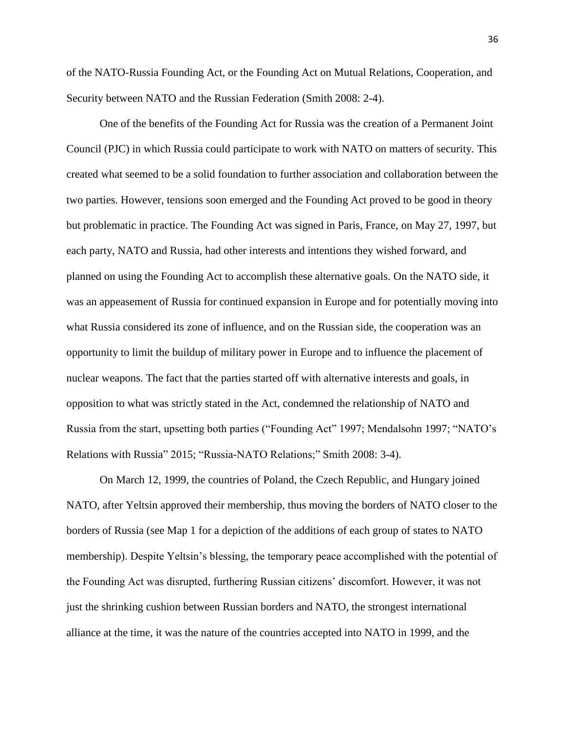of the NATO-Russia Founding Act, or the Founding Act on Mutual Relations, Cooperation, and Security between NATO and the Russian Federation (Smith 2008: 2-4).

One of the benefits of the Founding Act for Russia was the creation of a Permanent Joint Council (PJC) in which Russia could participate to work with NATO on matters of security. This created what seemed to be a solid foundation to further association and collaboration between the two parties. However, tensions soon emerged and the Founding Act proved to be good in theory but problematic in practice. The Founding Act was signed in Paris, France, on May 27, 1997, but each party, NATO and Russia, had other interests and intentions they wished forward, and planned on using the Founding Act to accomplish these alternative goals. On the NATO side, it was an appeasement of Russia for continued expansion in Europe and for potentially moving into what Russia considered its zone of influence, and on the Russian side, the cooperation was an opportunity to limit the buildup of military power in Europe and to influence the placement of nuclear weapons. The fact that the parties started off with alternative interests and goals, in opposition to what was strictly stated in the Act, condemned the relationship of NATO and Russia from the start, upsetting both parties ("Founding Act" 1997; Mendalsohn 1997; "NATO's Relations with Russia" 2015; "Russia-NATO Relations;" Smith 2008: 3-4).

On March 12, 1999, the countries of Poland, the Czech Republic, and Hungary joined NATO, after Yeltsin approved their membership, thus moving the borders of NATO closer to the borders of Russia (see Map 1 for a depiction of the additions of each group of states to NATO membership). Despite Yeltsin's blessing, the temporary peace accomplished with the potential of the Founding Act was disrupted, furthering Russian citizens' discomfort. However, it was not just the shrinking cushion between Russian borders and NATO, the strongest international alliance at the time, it was the nature of the countries accepted into NATO in 1999, and the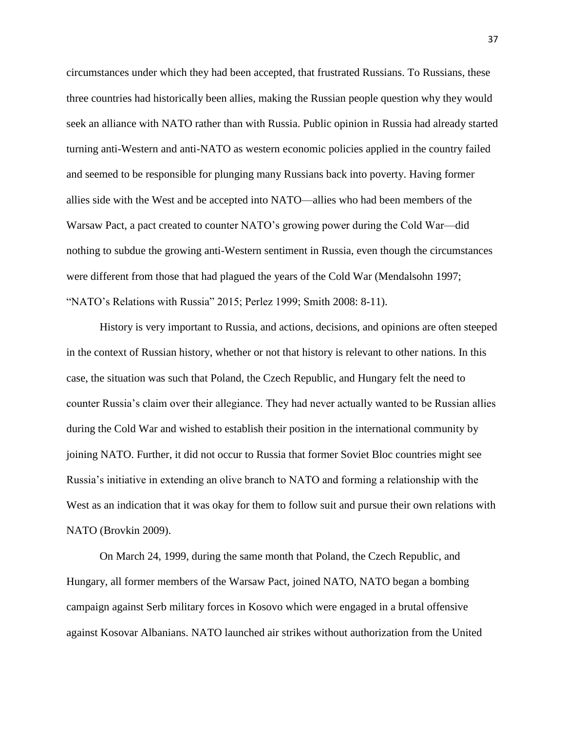circumstances under which they had been accepted, that frustrated Russians. To Russians, these three countries had historically been allies, making the Russian people question why they would seek an alliance with NATO rather than with Russia. Public opinion in Russia had already started turning anti-Western and anti-NATO as western economic policies applied in the country failed and seemed to be responsible for plunging many Russians back into poverty. Having former allies side with the West and be accepted into NATO—allies who had been members of the Warsaw Pact, a pact created to counter NATO's growing power during the Cold War—did nothing to subdue the growing anti-Western sentiment in Russia, even though the circumstances were different from those that had plagued the years of the Cold War (Mendalsohn 1997; "NATO's Relations with Russia" 2015; Perlez 1999; Smith 2008: 8-11).

History is very important to Russia, and actions, decisions, and opinions are often steeped in the context of Russian history, whether or not that history is relevant to other nations. In this case, the situation was such that Poland, the Czech Republic, and Hungary felt the need to counter Russia's claim over their allegiance. They had never actually wanted to be Russian allies during the Cold War and wished to establish their position in the international community by joining NATO. Further, it did not occur to Russia that former Soviet Bloc countries might see Russia's initiative in extending an olive branch to NATO and forming a relationship with the West as an indication that it was okay for them to follow suit and pursue their own relations with NATO (Brovkin 2009).

On March 24, 1999, during the same month that Poland, the Czech Republic, and Hungary, all former members of the Warsaw Pact, joined NATO, NATO began a bombing campaign against Serb military forces in Kosovo which were engaged in a brutal offensive against Kosovar Albanians. NATO launched air strikes without authorization from the United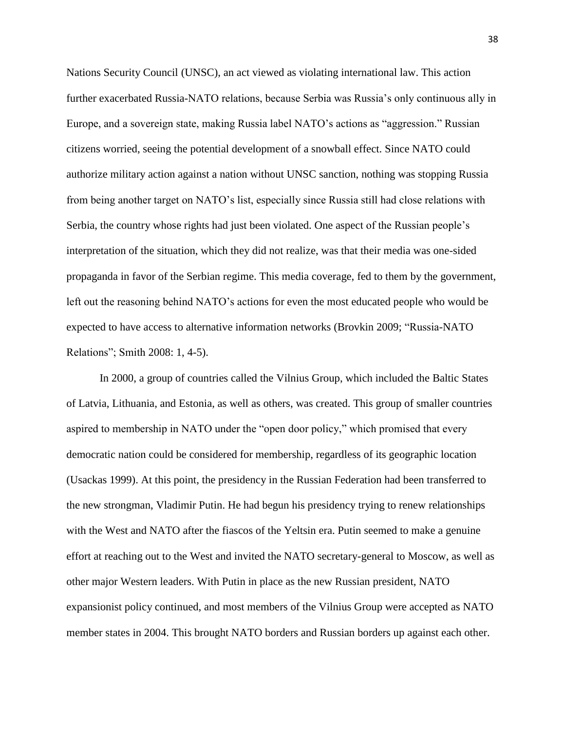Nations Security Council (UNSC), an act viewed as violating international law. This action further exacerbated Russia-NATO relations, because Serbia was Russia's only continuous ally in Europe, and a sovereign state, making Russia label NATO's actions as "aggression." Russian citizens worried, seeing the potential development of a snowball effect. Since NATO could authorize military action against a nation without UNSC sanction, nothing was stopping Russia from being another target on NATO's list, especially since Russia still had close relations with Serbia, the country whose rights had just been violated. One aspect of the Russian people's interpretation of the situation, which they did not realize, was that their media was one-sided propaganda in favor of the Serbian regime. This media coverage, fed to them by the government, left out the reasoning behind NATO's actions for even the most educated people who would be expected to have access to alternative information networks (Brovkin 2009; "Russia-NATO Relations"; Smith 2008: 1, 4-5).

In 2000, a group of countries called the Vilnius Group, which included the Baltic States of Latvia, Lithuania, and Estonia, as well as others, was created. This group of smaller countries aspired to membership in NATO under the "open door policy," which promised that every democratic nation could be considered for membership, regardless of its geographic location (Usackas 1999). At this point, the presidency in the Russian Federation had been transferred to the new strongman, Vladimir Putin. He had begun his presidency trying to renew relationships with the West and NATO after the fiascos of the Yeltsin era. Putin seemed to make a genuine effort at reaching out to the West and invited the NATO secretary-general to Moscow, as well as other major Western leaders. With Putin in place as the new Russian president, NATO expansionist policy continued, and most members of the Vilnius Group were accepted as NATO member states in 2004. This brought NATO borders and Russian borders up against each other.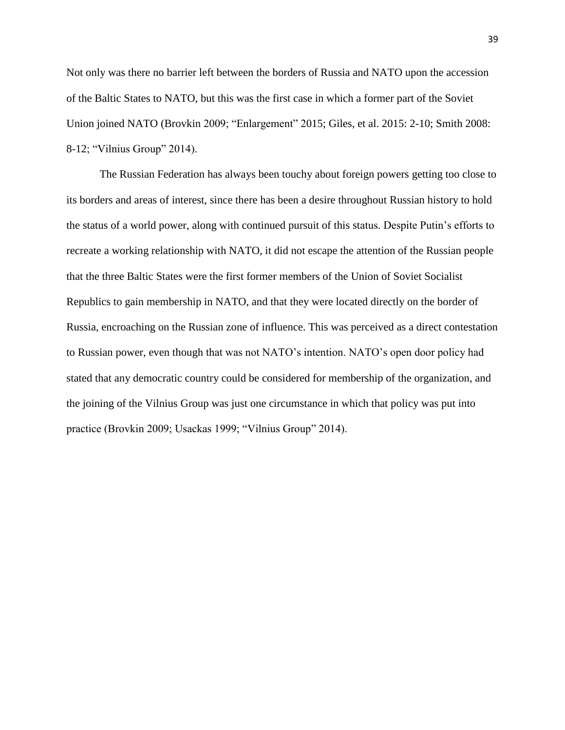Not only was there no barrier left between the borders of Russia and NATO upon the accession of the Baltic States to NATO, but this was the first case in which a former part of the Soviet Union joined NATO (Brovkin 2009; "Enlargement" 2015; Giles, et al. 2015: 2-10; Smith 2008: 8-12; "Vilnius Group" 2014).

The Russian Federation has always been touchy about foreign powers getting too close to its borders and areas of interest, since there has been a desire throughout Russian history to hold the status of a world power, along with continued pursuit of this status. Despite Putin's efforts to recreate a working relationship with NATO, it did not escape the attention of the Russian people that the three Baltic States were the first former members of the Union of Soviet Socialist Republics to gain membership in NATO, and that they were located directly on the border of Russia, encroaching on the Russian zone of influence. This was perceived as a direct contestation to Russian power, even though that was not NATO's intention. NATO's open door policy had stated that any democratic country could be considered for membership of the organization, and the joining of the Vilnius Group was just one circumstance in which that policy was put into practice (Brovkin 2009; Usackas 1999; "Vilnius Group" 2014).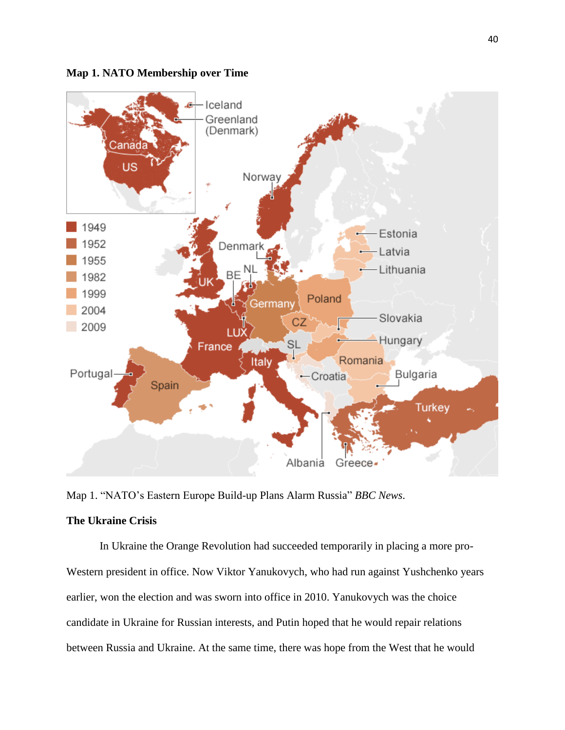**Map 1. NATO Membership over Time**



Map 1. "NATO's Eastern Europe Build-up Plans Alarm Russia" *BBC News*.

# **The Ukraine Crisis**

In Ukraine the Orange Revolution had succeeded temporarily in placing a more pro-Western president in office. Now Viktor Yanukovych, who had run against Yushchenko years earlier, won the election and was sworn into office in 2010. Yanukovych was the choice candidate in Ukraine for Russian interests, and Putin hoped that he would repair relations between Russia and Ukraine. At the same time, there was hope from the West that he would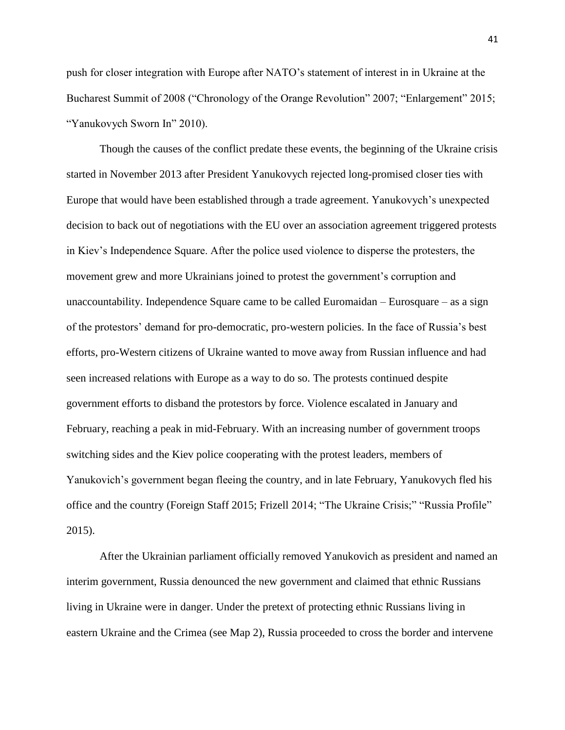push for closer integration with Europe after NATO's statement of interest in in Ukraine at the Bucharest Summit of 2008 ("Chronology of the Orange Revolution" 2007; "Enlargement" 2015; "Yanukovych Sworn In" 2010).

Though the causes of the conflict predate these events, the beginning of the Ukraine crisis started in November 2013 after President Yanukovych rejected long-promised closer ties with Europe that would have been established through a trade agreement. Yanukovych's unexpected decision to back out of negotiations with the EU over an association agreement triggered protests in Kiev's Independence Square. After the police used violence to disperse the protesters, the movement grew and more Ukrainians joined to protest the government's corruption and unaccountability. Independence Square came to be called Euromaidan – Eurosquare – as a sign of the protestors' demand for pro-democratic, pro-western policies. In the face of Russia's best efforts, pro-Western citizens of Ukraine wanted to move away from Russian influence and had seen increased relations with Europe as a way to do so. The protests continued despite government efforts to disband the protestors by force. Violence escalated in January and February, reaching a peak in mid-February. With an increasing number of government troops switching sides and the Kiev police cooperating with the protest leaders, members of Yanukovich's government began fleeing the country, and in late February, Yanukovych fled his office and the country (Foreign Staff 2015; Frizell 2014; "The Ukraine Crisis;" "Russia Profile" 2015).

After the Ukrainian parliament officially removed Yanukovich as president and named an interim government, Russia denounced the new government and claimed that ethnic Russians living in Ukraine were in danger. Under the pretext of protecting ethnic Russians living in eastern Ukraine and the Crimea (see Map 2), Russia proceeded to cross the border and intervene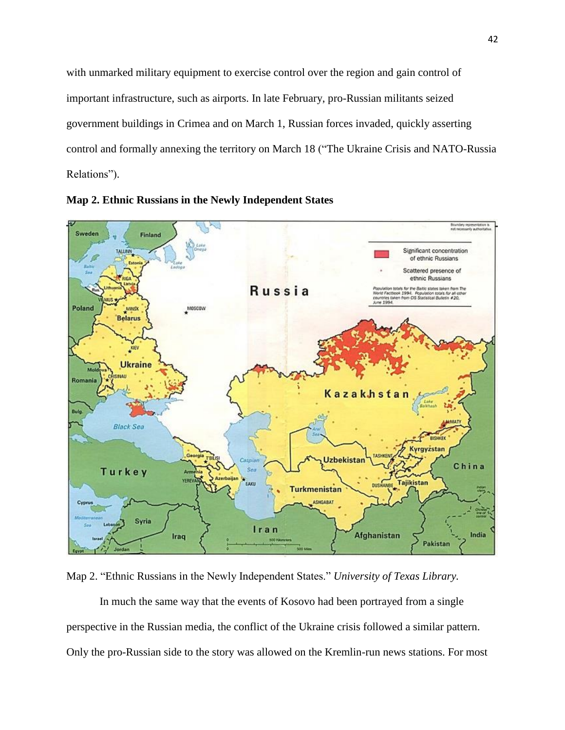with unmarked military equipment to exercise control over the region and gain control of important infrastructure, such as airports. In late February, pro-Russian militants seized government buildings in Crimea and on March 1, Russian forces invaded, quickly asserting control and formally annexing the territory on March 18 ("The Ukraine Crisis and NATO-Russia Relations").





Map 2. "Ethnic Russians in the Newly Independent States." *University of Texas Library.*

In much the same way that the events of Kosovo had been portrayed from a single perspective in the Russian media, the conflict of the Ukraine crisis followed a similar pattern. Only the pro-Russian side to the story was allowed on the Kremlin-run news stations. For most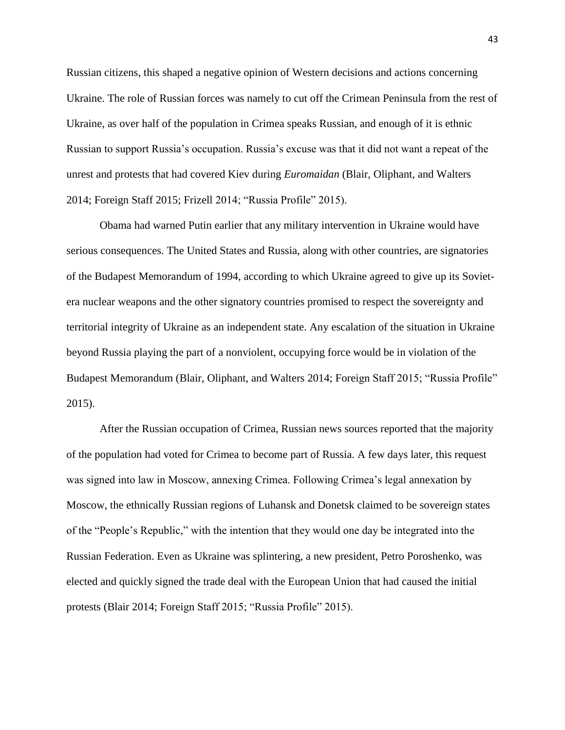Russian citizens, this shaped a negative opinion of Western decisions and actions concerning Ukraine. The role of Russian forces was namely to cut off the Crimean Peninsula from the rest of Ukraine, as over half of the population in Crimea speaks Russian, and enough of it is ethnic Russian to support Russia's occupation. Russia's excuse was that it did not want a repeat of the unrest and protests that had covered Kiev during *Euromaidan* (Blair, Oliphant, and Walters 2014; Foreign Staff 2015; Frizell 2014; "Russia Profile" 2015).

Obama had warned Putin earlier that any military intervention in Ukraine would have serious consequences. The United States and Russia, along with other countries, are signatories of the Budapest Memorandum of 1994, according to which Ukraine agreed to give up its Sovietera nuclear weapons and the other signatory countries promised to respect the sovereignty and territorial integrity of Ukraine as an independent state. Any escalation of the situation in Ukraine beyond Russia playing the part of a nonviolent, occupying force would be in violation of the Budapest Memorandum (Blair, Oliphant, and Walters 2014; Foreign Staff 2015; "Russia Profile" 2015).

After the Russian occupation of Crimea, Russian news sources reported that the majority of the population had voted for Crimea to become part of Russia. A few days later, this request was signed into law in Moscow, annexing Crimea. Following Crimea's legal annexation by Moscow, the ethnically Russian regions of Luhansk and Donetsk claimed to be sovereign states of the "People's Republic," with the intention that they would one day be integrated into the Russian Federation. Even as Ukraine was splintering, a new president, Petro Poroshenko, was elected and quickly signed the trade deal with the European Union that had caused the initial protests (Blair 2014; Foreign Staff 2015; "Russia Profile" 2015).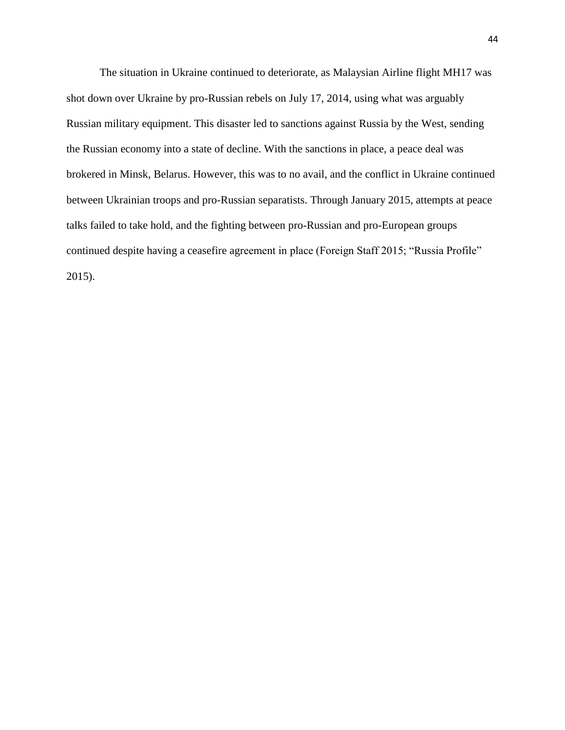The situation in Ukraine continued to deteriorate, as Malaysian Airline flight MH17 was shot down over Ukraine by pro-Russian rebels on July 17, 2014, using what was arguably Russian military equipment. This disaster led to sanctions against Russia by the West, sending the Russian economy into a state of decline. With the sanctions in place, a peace deal was brokered in Minsk, Belarus. However, this was to no avail, and the conflict in Ukraine continued between Ukrainian troops and pro-Russian separatists. Through January 2015, attempts at peace talks failed to take hold, and the fighting between pro-Russian and pro-European groups continued despite having a ceasefire agreement in place (Foreign Staff 2015; "Russia Profile" 2015).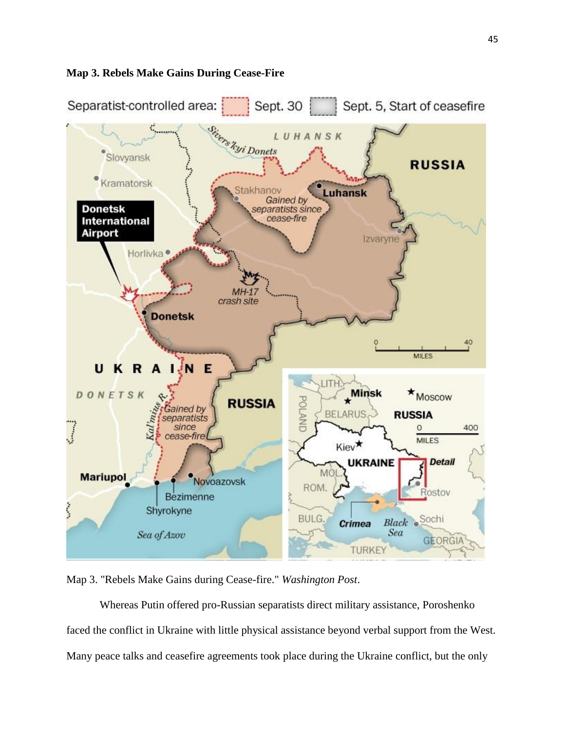

# **Map 3. Rebels Make Gains During Cease-Fire**

Map 3. "Rebels Make Gains during Cease-fire." *Washington Post*.

Whereas Putin offered pro-Russian separatists direct military assistance, Poroshenko faced the conflict in Ukraine with little physical assistance beyond verbal support from the West. Many peace talks and ceasefire agreements took place during the Ukraine conflict, but the only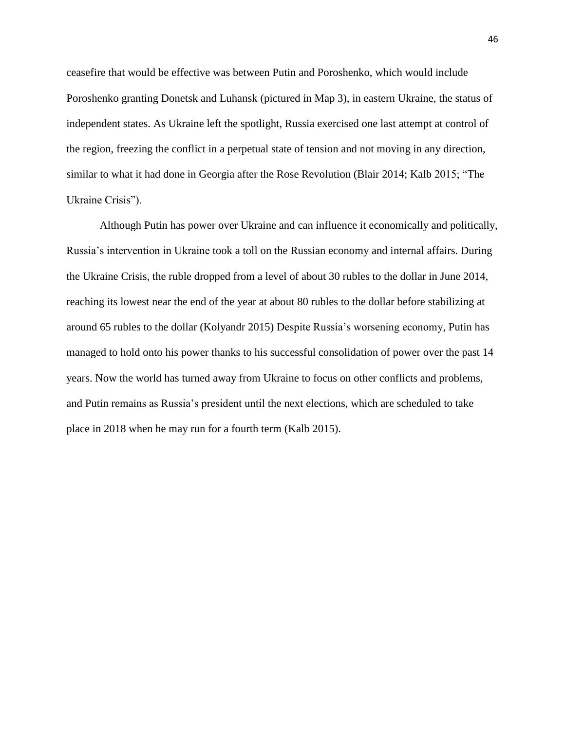ceasefire that would be effective was between Putin and Poroshenko, which would include Poroshenko granting Donetsk and Luhansk (pictured in Map 3), in eastern Ukraine, the status of independent states. As Ukraine left the spotlight, Russia exercised one last attempt at control of the region, freezing the conflict in a perpetual state of tension and not moving in any direction, similar to what it had done in Georgia after the Rose Revolution (Blair 2014; Kalb 2015; "The Ukraine Crisis").

Although Putin has power over Ukraine and can influence it economically and politically, Russia's intervention in Ukraine took a toll on the Russian economy and internal affairs. During the Ukraine Crisis, the ruble dropped from a level of about 30 rubles to the dollar in June 2014, reaching its lowest near the end of the year at about 80 rubles to the dollar before stabilizing at around 65 rubles to the dollar (Kolyandr 2015) Despite Russia's worsening economy, Putin has managed to hold onto his power thanks to his successful consolidation of power over the past 14 years. Now the world has turned away from Ukraine to focus on other conflicts and problems, and Putin remains as Russia's president until the next elections, which are scheduled to take place in 2018 when he may run for a fourth term (Kalb 2015).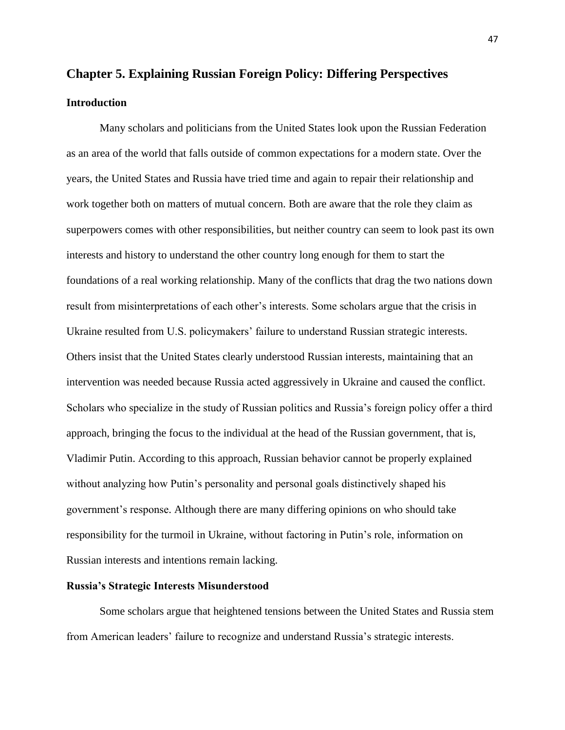# **Chapter 5. Explaining Russian Foreign Policy: Differing Perspectives Introduction**

Many scholars and politicians from the United States look upon the Russian Federation as an area of the world that falls outside of common expectations for a modern state. Over the years, the United States and Russia have tried time and again to repair their relationship and work together both on matters of mutual concern. Both are aware that the role they claim as superpowers comes with other responsibilities, but neither country can seem to look past its own interests and history to understand the other country long enough for them to start the foundations of a real working relationship. Many of the conflicts that drag the two nations down result from misinterpretations of each other's interests. Some scholars argue that the crisis in Ukraine resulted from U.S. policymakers' failure to understand Russian strategic interests. Others insist that the United States clearly understood Russian interests, maintaining that an intervention was needed because Russia acted aggressively in Ukraine and caused the conflict. Scholars who specialize in the study of Russian politics and Russia's foreign policy offer a third approach, bringing the focus to the individual at the head of the Russian government, that is, Vladimir Putin. According to this approach, Russian behavior cannot be properly explained without analyzing how Putin's personality and personal goals distinctively shaped his government's response. Although there are many differing opinions on who should take responsibility for the turmoil in Ukraine, without factoring in Putin's role, information on Russian interests and intentions remain lacking.

#### **Russia's Strategic Interests Misunderstood**

Some scholars argue that heightened tensions between the United States and Russia stem from American leaders' failure to recognize and understand Russia's strategic interests.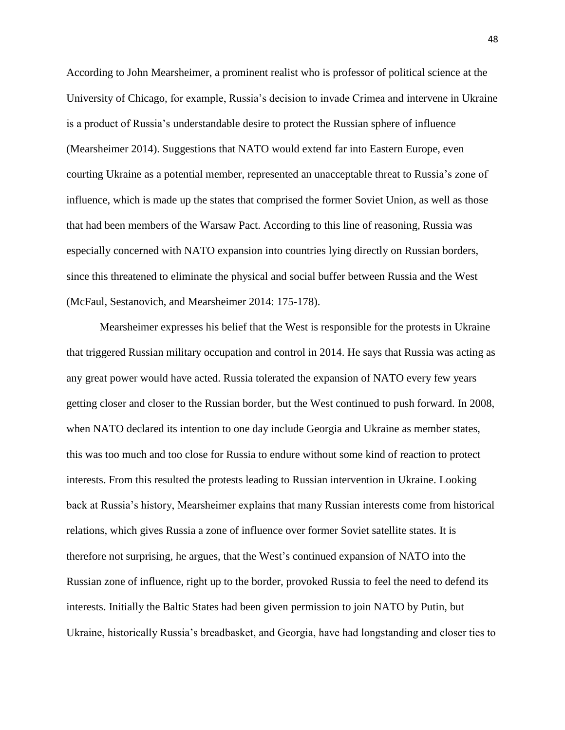According to John Mearsheimer, a prominent realist who is professor of political science at the University of Chicago, for example, Russia's decision to invade Crimea and intervene in Ukraine is a product of Russia's understandable desire to protect the Russian sphere of influence (Mearsheimer 2014). Suggestions that NATO would extend far into Eastern Europe, even courting Ukraine as a potential member, represented an unacceptable threat to Russia's zone of influence, which is made up the states that comprised the former Soviet Union, as well as those that had been members of the Warsaw Pact. According to this line of reasoning, Russia was especially concerned with NATO expansion into countries lying directly on Russian borders, since this threatened to eliminate the physical and social buffer between Russia and the West (McFaul, Sestanovich, and Mearsheimer 2014: 175-178).

Mearsheimer expresses his belief that the West is responsible for the protests in Ukraine that triggered Russian military occupation and control in 2014. He says that Russia was acting as any great power would have acted. Russia tolerated the expansion of NATO every few years getting closer and closer to the Russian border, but the West continued to push forward. In 2008, when NATO declared its intention to one day include Georgia and Ukraine as member states, this was too much and too close for Russia to endure without some kind of reaction to protect interests. From this resulted the protests leading to Russian intervention in Ukraine. Looking back at Russia's history, Mearsheimer explains that many Russian interests come from historical relations, which gives Russia a zone of influence over former Soviet satellite states. It is therefore not surprising, he argues, that the West's continued expansion of NATO into the Russian zone of influence, right up to the border, provoked Russia to feel the need to defend its interests. Initially the Baltic States had been given permission to join NATO by Putin, but Ukraine, historically Russia's breadbasket, and Georgia, have had longstanding and closer ties to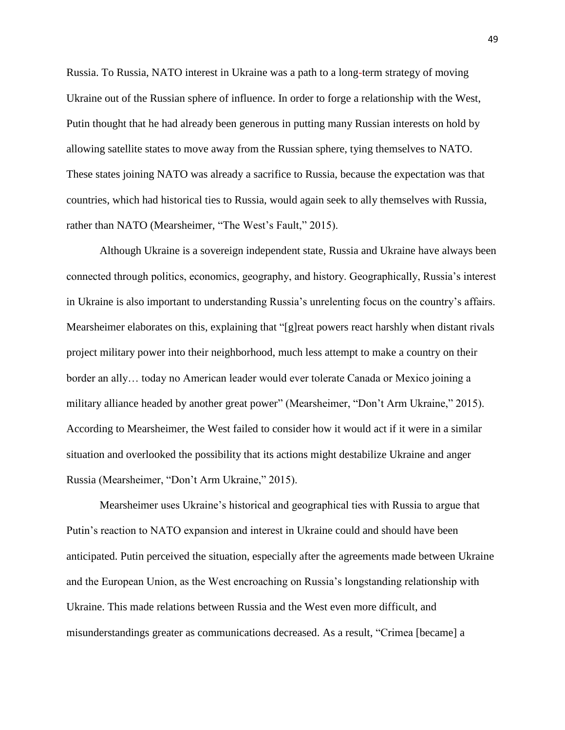Russia. To Russia, NATO interest in Ukraine was a path to a long-term strategy of moving Ukraine out of the Russian sphere of influence. In order to forge a relationship with the West, Putin thought that he had already been generous in putting many Russian interests on hold by allowing satellite states to move away from the Russian sphere, tying themselves to NATO. These states joining NATO was already a sacrifice to Russia, because the expectation was that countries, which had historical ties to Russia, would again seek to ally themselves with Russia, rather than NATO (Mearsheimer, "The West's Fault," 2015).

Although Ukraine is a sovereign independent state, Russia and Ukraine have always been connected through politics, economics, geography, and history. Geographically, Russia's interest in Ukraine is also important to understanding Russia's unrelenting focus on the country's affairs. Mearsheimer elaborates on this, explaining that "[g]reat powers react harshly when distant rivals project military power into their neighborhood, much less attempt to make a country on their border an ally… today no American leader would ever tolerate Canada or Mexico joining a military alliance headed by another great power" (Mearsheimer, "Don't Arm Ukraine," 2015). According to Mearsheimer, the West failed to consider how it would act if it were in a similar situation and overlooked the possibility that its actions might destabilize Ukraine and anger Russia (Mearsheimer, "Don't Arm Ukraine," 2015).

Mearsheimer uses Ukraine's historical and geographical ties with Russia to argue that Putin's reaction to NATO expansion and interest in Ukraine could and should have been anticipated. Putin perceived the situation, especially after the agreements made between Ukraine and the European Union, as the West encroaching on Russia's longstanding relationship with Ukraine. This made relations between Russia and the West even more difficult, and misunderstandings greater as communications decreased. As a result, "Crimea [became] a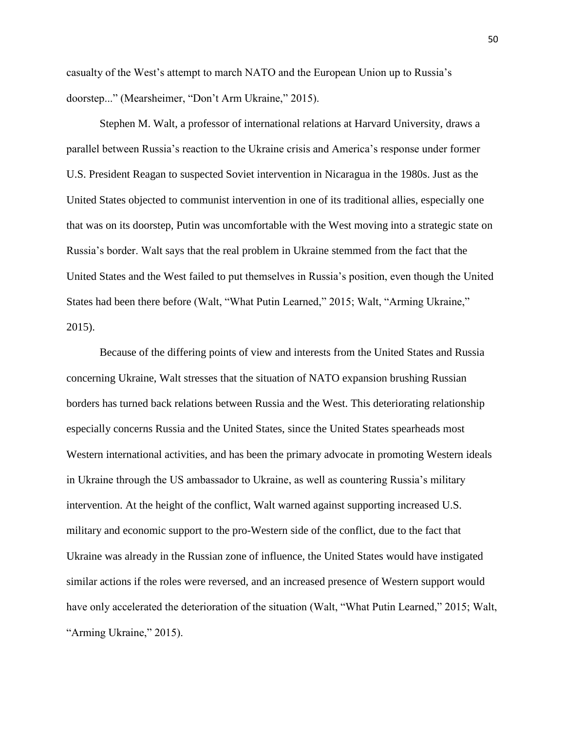casualty of the West's attempt to march NATO and the European Union up to Russia's doorstep..." (Mearsheimer, "Don't Arm Ukraine," 2015).

Stephen M. Walt, a professor of international relations at Harvard University, draws a parallel between Russia's reaction to the Ukraine crisis and America's response under former U.S. President Reagan to suspected Soviet intervention in Nicaragua in the 1980s. Just as the United States objected to communist intervention in one of its traditional allies, especially one that was on its doorstep, Putin was uncomfortable with the West moving into a strategic state on Russia's border. Walt says that the real problem in Ukraine stemmed from the fact that the United States and the West failed to put themselves in Russia's position, even though the United States had been there before (Walt, "What Putin Learned," 2015; Walt, "Arming Ukraine," 2015).

Because of the differing points of view and interests from the United States and Russia concerning Ukraine, Walt stresses that the situation of NATO expansion brushing Russian borders has turned back relations between Russia and the West. This deteriorating relationship especially concerns Russia and the United States, since the United States spearheads most Western international activities, and has been the primary advocate in promoting Western ideals in Ukraine through the US ambassador to Ukraine, as well as countering Russia's military intervention. At the height of the conflict, Walt warned against supporting increased U.S. military and economic support to the pro-Western side of the conflict, due to the fact that Ukraine was already in the Russian zone of influence, the United States would have instigated similar actions if the roles were reversed, and an increased presence of Western support would have only accelerated the deterioration of the situation (Walt, "What Putin Learned," 2015; Walt, "Arming Ukraine," 2015).

50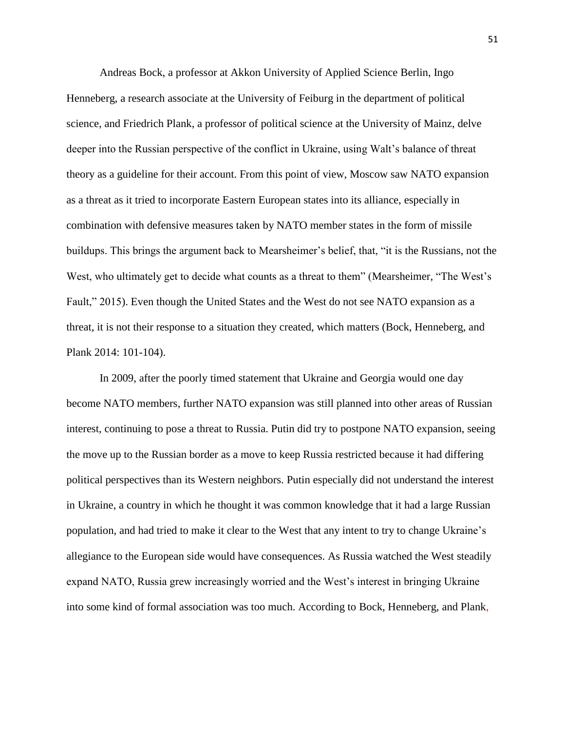Andreas Bock, a professor at Akkon University of Applied Science Berlin, Ingo Henneberg, a research associate at the University of Feiburg in the department of political science, and Friedrich Plank, a professor of political science at the University of Mainz, delve deeper into the Russian perspective of the conflict in Ukraine, using Walt's balance of threat theory as a guideline for their account. From this point of view, Moscow saw NATO expansion as a threat as it tried to incorporate Eastern European states into its alliance, especially in combination with defensive measures taken by NATO member states in the form of missile buildups. This brings the argument back to Mearsheimer's belief, that, "it is the Russians, not the West, who ultimately get to decide what counts as a threat to them" (Mearsheimer, "The West's Fault," 2015). Even though the United States and the West do not see NATO expansion as a threat, it is not their response to a situation they created, which matters (Bock, Henneberg, and Plank 2014: 101-104).

In 2009, after the poorly timed statement that Ukraine and Georgia would one day become NATO members, further NATO expansion was still planned into other areas of Russian interest, continuing to pose a threat to Russia. Putin did try to postpone NATO expansion, seeing the move up to the Russian border as a move to keep Russia restricted because it had differing political perspectives than its Western neighbors. Putin especially did not understand the interest in Ukraine, a country in which he thought it was common knowledge that it had a large Russian population, and had tried to make it clear to the West that any intent to try to change Ukraine's allegiance to the European side would have consequences. As Russia watched the West steadily expand NATO, Russia grew increasingly worried and the West's interest in bringing Ukraine into some kind of formal association was too much. According to Bock, Henneberg, and Plank,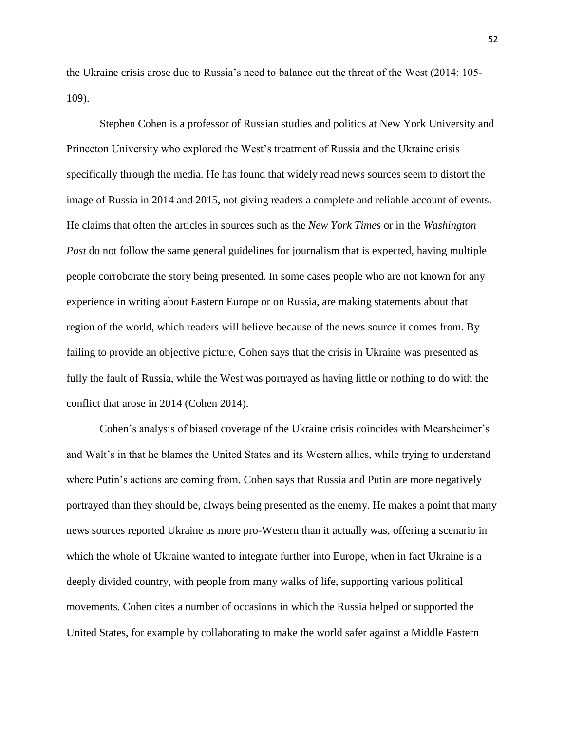the Ukraine crisis arose due to Russia's need to balance out the threat of the West (2014: 105- 109).

Stephen Cohen is a professor of Russian studies and politics at New York University and Princeton University who explored the West's treatment of Russia and the Ukraine crisis specifically through the media. He has found that widely read news sources seem to distort the image of Russia in 2014 and 2015, not giving readers a complete and reliable account of events. He claims that often the articles in sources such as the *New York Times* or in the *Washington Post* do not follow the same general guidelines for journalism that is expected, having multiple people corroborate the story being presented. In some cases people who are not known for any experience in writing about Eastern Europe or on Russia, are making statements about that region of the world, which readers will believe because of the news source it comes from. By failing to provide an objective picture, Cohen says that the crisis in Ukraine was presented as fully the fault of Russia, while the West was portrayed as having little or nothing to do with the conflict that arose in 2014 (Cohen 2014).

Cohen's analysis of biased coverage of the Ukraine crisis coincides with Mearsheimer's and Walt's in that he blames the United States and its Western allies, while trying to understand where Putin's actions are coming from. Cohen says that Russia and Putin are more negatively portrayed than they should be, always being presented as the enemy. He makes a point that many news sources reported Ukraine as more pro-Western than it actually was, offering a scenario in which the whole of Ukraine wanted to integrate further into Europe, when in fact Ukraine is a deeply divided country, with people from many walks of life, supporting various political movements. Cohen cites a number of occasions in which the Russia helped or supported the United States, for example by collaborating to make the world safer against a Middle Eastern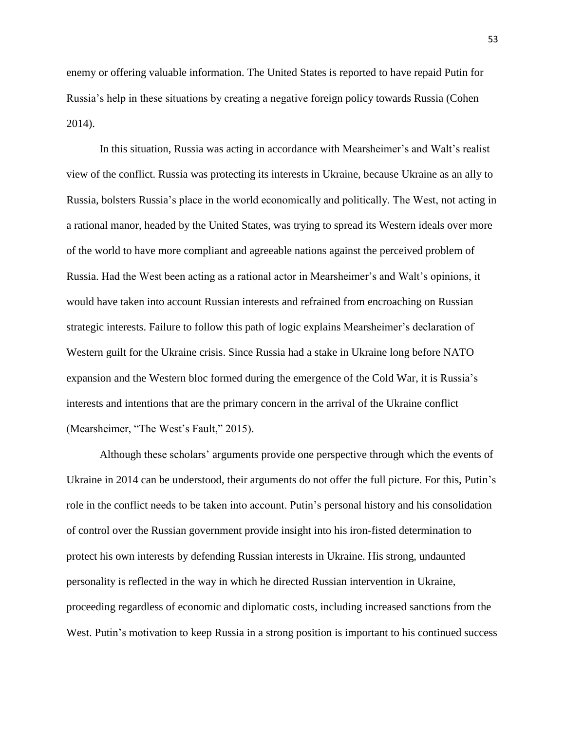enemy or offering valuable information. The United States is reported to have repaid Putin for Russia's help in these situations by creating a negative foreign policy towards Russia (Cohen 2014).

In this situation, Russia was acting in accordance with Mearsheimer's and Walt's realist view of the conflict. Russia was protecting its interests in Ukraine, because Ukraine as an ally to Russia, bolsters Russia's place in the world economically and politically. The West, not acting in a rational manor, headed by the United States, was trying to spread its Western ideals over more of the world to have more compliant and agreeable nations against the perceived problem of Russia. Had the West been acting as a rational actor in Mearsheimer's and Walt's opinions, it would have taken into account Russian interests and refrained from encroaching on Russian strategic interests. Failure to follow this path of logic explains Mearsheimer's declaration of Western guilt for the Ukraine crisis. Since Russia had a stake in Ukraine long before NATO expansion and the Western bloc formed during the emergence of the Cold War, it is Russia's interests and intentions that are the primary concern in the arrival of the Ukraine conflict (Mearsheimer, "The West's Fault," 2015).

Although these scholars' arguments provide one perspective through which the events of Ukraine in 2014 can be understood, their arguments do not offer the full picture. For this, Putin's role in the conflict needs to be taken into account. Putin's personal history and his consolidation of control over the Russian government provide insight into his iron-fisted determination to protect his own interests by defending Russian interests in Ukraine. His strong, undaunted personality is reflected in the way in which he directed Russian intervention in Ukraine, proceeding regardless of economic and diplomatic costs, including increased sanctions from the West. Putin's motivation to keep Russia in a strong position is important to his continued success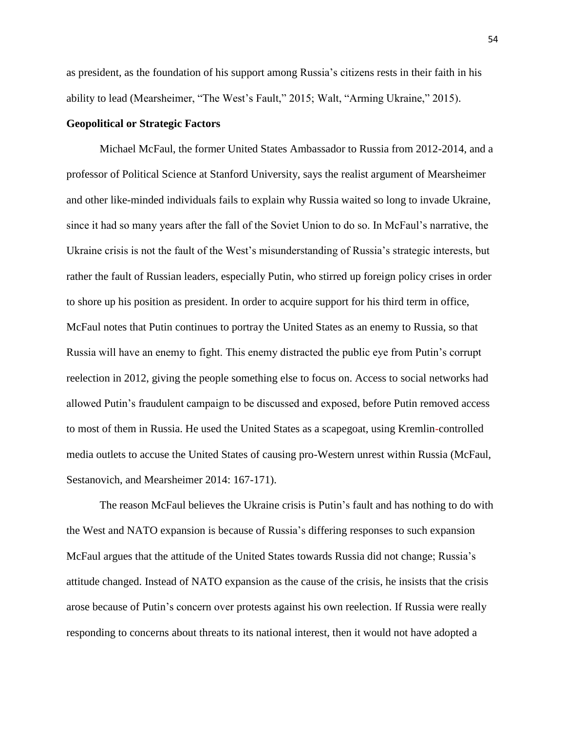as president, as the foundation of his support among Russia's citizens rests in their faith in his ability to lead (Mearsheimer, "The West's Fault," 2015; Walt, "Arming Ukraine," 2015).

#### **Geopolitical or Strategic Factors**

Michael McFaul, the former United States Ambassador to Russia from 2012-2014, and a professor of Political Science at Stanford University, says the realist argument of Mearsheimer and other like-minded individuals fails to explain why Russia waited so long to invade Ukraine, since it had so many years after the fall of the Soviet Union to do so. In McFaul's narrative, the Ukraine crisis is not the fault of the West's misunderstanding of Russia's strategic interests, but rather the fault of Russian leaders, especially Putin, who stirred up foreign policy crises in order to shore up his position as president. In order to acquire support for his third term in office, McFaul notes that Putin continues to portray the United States as an enemy to Russia, so that Russia will have an enemy to fight. This enemy distracted the public eye from Putin's corrupt reelection in 2012, giving the people something else to focus on. Access to social networks had allowed Putin's fraudulent campaign to be discussed and exposed, before Putin removed access to most of them in Russia. He used the United States as a scapegoat, using Kremlin-controlled media outlets to accuse the United States of causing pro-Western unrest within Russia (McFaul, Sestanovich, and Mearsheimer 2014: 167-171).

The reason McFaul believes the Ukraine crisis is Putin's fault and has nothing to do with the West and NATO expansion is because of Russia's differing responses to such expansion McFaul argues that the attitude of the United States towards Russia did not change; Russia's attitude changed. Instead of NATO expansion as the cause of the crisis, he insists that the crisis arose because of Putin's concern over protests against his own reelection. If Russia were really responding to concerns about threats to its national interest, then it would not have adopted a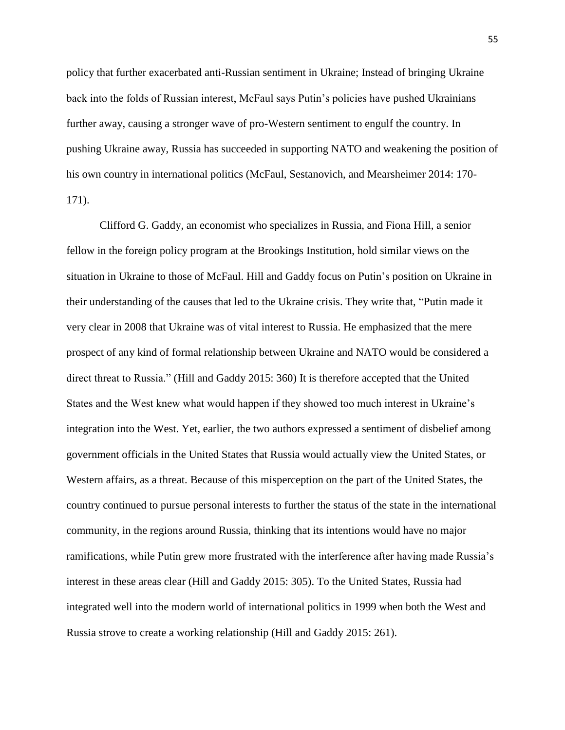policy that further exacerbated anti-Russian sentiment in Ukraine; Instead of bringing Ukraine back into the folds of Russian interest, McFaul says Putin's policies have pushed Ukrainians further away, causing a stronger wave of pro-Western sentiment to engulf the country. In pushing Ukraine away, Russia has succeeded in supporting NATO and weakening the position of his own country in international politics (McFaul, Sestanovich, and Mearsheimer 2014: 170- 171).

Clifford G. Gaddy, an economist who specializes in Russia, and Fiona Hill, a senior fellow in the foreign policy program at the Brookings Institution, hold similar views on the situation in Ukraine to those of McFaul. Hill and Gaddy focus on Putin's position on Ukraine in their understanding of the causes that led to the Ukraine crisis. They write that, "Putin made it very clear in 2008 that Ukraine was of vital interest to Russia. He emphasized that the mere prospect of any kind of formal relationship between Ukraine and NATO would be considered a direct threat to Russia." (Hill and Gaddy 2015: 360) It is therefore accepted that the United States and the West knew what would happen if they showed too much interest in Ukraine's integration into the West. Yet, earlier, the two authors expressed a sentiment of disbelief among government officials in the United States that Russia would actually view the United States, or Western affairs, as a threat. Because of this misperception on the part of the United States, the country continued to pursue personal interests to further the status of the state in the international community, in the regions around Russia, thinking that its intentions would have no major ramifications, while Putin grew more frustrated with the interference after having made Russia's interest in these areas clear (Hill and Gaddy 2015: 305). To the United States, Russia had integrated well into the modern world of international politics in 1999 when both the West and Russia strove to create a working relationship (Hill and Gaddy 2015: 261).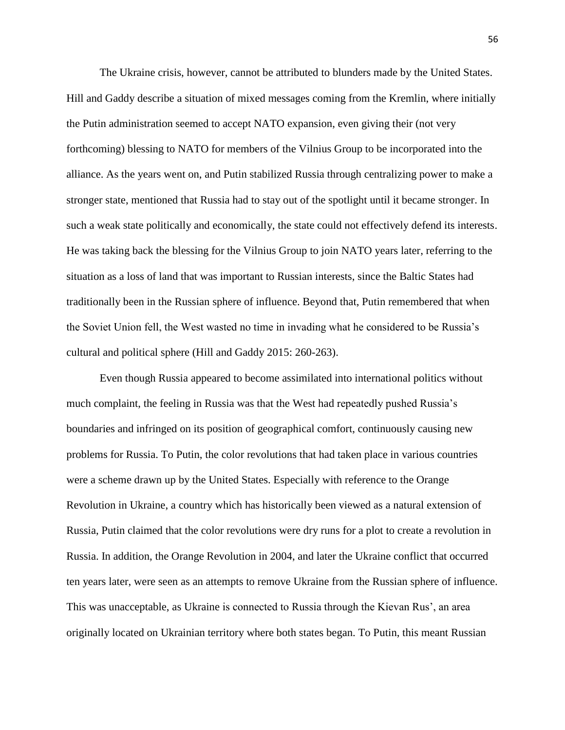The Ukraine crisis, however, cannot be attributed to blunders made by the United States. Hill and Gaddy describe a situation of mixed messages coming from the Kremlin, where initially the Putin administration seemed to accept NATO expansion, even giving their (not very forthcoming) blessing to NATO for members of the Vilnius Group to be incorporated into the alliance. As the years went on, and Putin stabilized Russia through centralizing power to make a stronger state, mentioned that Russia had to stay out of the spotlight until it became stronger. In such a weak state politically and economically, the state could not effectively defend its interests. He was taking back the blessing for the Vilnius Group to join NATO years later, referring to the situation as a loss of land that was important to Russian interests, since the Baltic States had traditionally been in the Russian sphere of influence. Beyond that, Putin remembered that when the Soviet Union fell, the West wasted no time in invading what he considered to be Russia's cultural and political sphere (Hill and Gaddy 2015: 260-263).

Even though Russia appeared to become assimilated into international politics without much complaint, the feeling in Russia was that the West had repeatedly pushed Russia's boundaries and infringed on its position of geographical comfort, continuously causing new problems for Russia. To Putin, the color revolutions that had taken place in various countries were a scheme drawn up by the United States. Especially with reference to the Orange Revolution in Ukraine, a country which has historically been viewed as a natural extension of Russia, Putin claimed that the color revolutions were dry runs for a plot to create a revolution in Russia. In addition, the Orange Revolution in 2004, and later the Ukraine conflict that occurred ten years later, were seen as an attempts to remove Ukraine from the Russian sphere of influence. This was unacceptable, as Ukraine is connected to Russia through the Kievan Rus', an area originally located on Ukrainian territory where both states began. To Putin, this meant Russian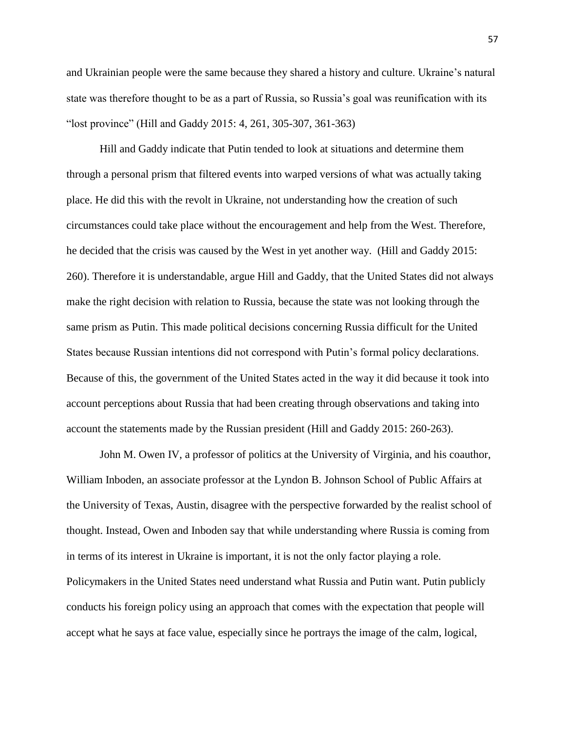and Ukrainian people were the same because they shared a history and culture. Ukraine's natural state was therefore thought to be as a part of Russia, so Russia's goal was reunification with its "lost province" (Hill and Gaddy 2015: 4, 261, 305-307, 361-363)

Hill and Gaddy indicate that Putin tended to look at situations and determine them through a personal prism that filtered events into warped versions of what was actually taking place. He did this with the revolt in Ukraine, not understanding how the creation of such circumstances could take place without the encouragement and help from the West. Therefore, he decided that the crisis was caused by the West in yet another way. (Hill and Gaddy 2015: 260). Therefore it is understandable, argue Hill and Gaddy, that the United States did not always make the right decision with relation to Russia, because the state was not looking through the same prism as Putin. This made political decisions concerning Russia difficult for the United States because Russian intentions did not correspond with Putin's formal policy declarations. Because of this, the government of the United States acted in the way it did because it took into account perceptions about Russia that had been creating through observations and taking into account the statements made by the Russian president (Hill and Gaddy 2015: 260-263).

John M. Owen IV, a professor of politics at the University of Virginia, and his coauthor, William Inboden, an associate professor at the Lyndon B. Johnson School of Public Affairs at the University of Texas, Austin, disagree with the perspective forwarded by the realist school of thought. Instead, Owen and Inboden say that while understanding where Russia is coming from in terms of its interest in Ukraine is important, it is not the only factor playing a role. Policymakers in the United States need understand what Russia and Putin want. Putin publicly conducts his foreign policy using an approach that comes with the expectation that people will accept what he says at face value, especially since he portrays the image of the calm, logical,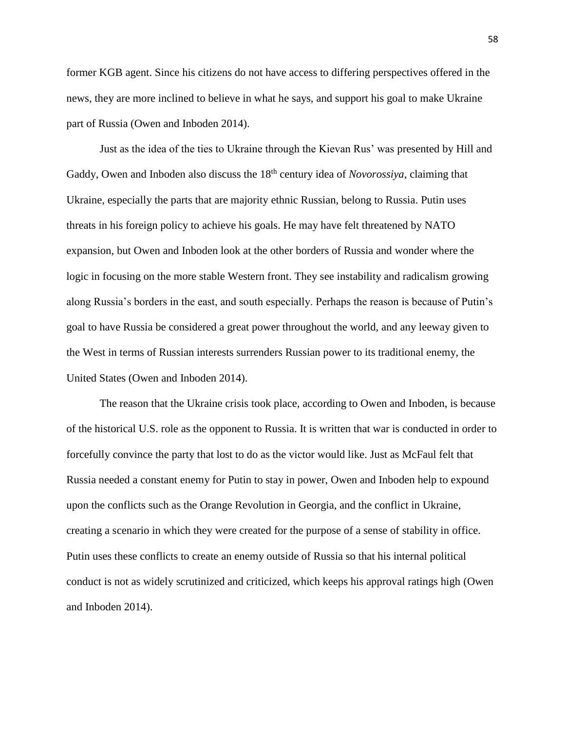former KGB agent. Since his citizens do not have access to differing perspectives offered in the news, they are more inclined to believe in what he says, and support his goal to make Ukraine part of Russia (Owen and Inboden 2014).

Just as the idea of the ties to Ukraine through the Kievan Rus' was presented by Hill and Gaddy, Owen and Inboden also discuss the 18<sup>th</sup> century idea of *Novorossiya*, claiming that Ukraine, especially the parts that are majority ethnic Russian, belong to Russia. Putin uses threats in his foreign policy to achieve his goals. He may have felt threatened by NATO expansion, but Owen and Inboden look at the other borders of Russia and wonder where the logic in focusing on the more stable Western front. They see instability and radicalism growing along Russia's borders in the east, and south especially. Perhaps the reason is because of Putin's goal to have Russia be considered a great power throughout the world, and any leeway given to the West in terms of Russian interests surrenders Russian power to its traditional enemy, the United States (Owen and Inboden 2014).

The reason that the Ukraine crisis took place, according to Owen and Inboden, is because of the historical U.S. role as the opponent to Russia. It is written that war is conducted in order to forcefully convince the party that lost to do as the victor would like. Just as McFaul felt that Russia needed a constant enemy for Putin to stay in power, Owen and Inboden help to expound upon the conflicts such as the Orange Revolution in Georgia, and the conflict in Ukraine, creating a scenario in which they were created for the purpose of a sense of stability in office. Putin uses these conflicts to create an enemy outside of Russia so that his internal political conduct is not as widely scrutinized and criticized, which keeps his approval ratings high (Owen and Inboden 2014).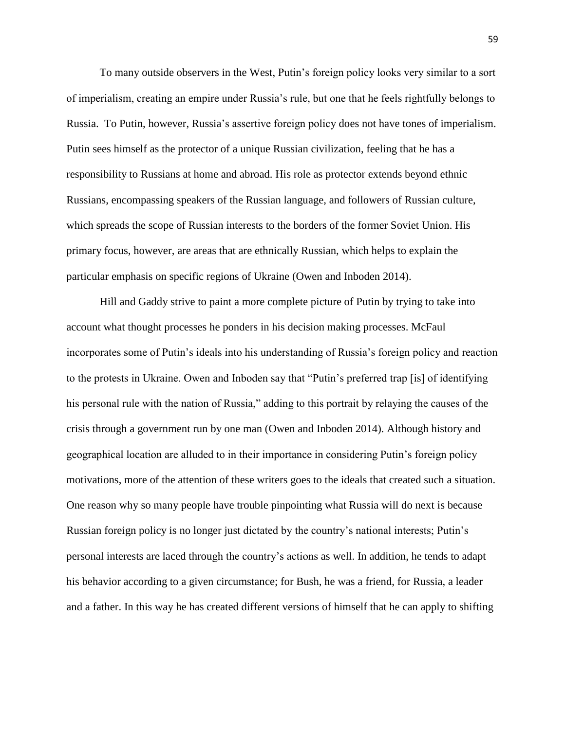To many outside observers in the West, Putin's foreign policy looks very similar to a sort of imperialism, creating an empire under Russia's rule, but one that he feels rightfully belongs to Russia. To Putin, however, Russia's assertive foreign policy does not have tones of imperialism. Putin sees himself as the protector of a unique Russian civilization, feeling that he has a responsibility to Russians at home and abroad. His role as protector extends beyond ethnic Russians, encompassing speakers of the Russian language, and followers of Russian culture, which spreads the scope of Russian interests to the borders of the former Soviet Union. His primary focus, however, are areas that are ethnically Russian, which helps to explain the particular emphasis on specific regions of Ukraine (Owen and Inboden 2014).

Hill and Gaddy strive to paint a more complete picture of Putin by trying to take into account what thought processes he ponders in his decision making processes. McFaul incorporates some of Putin's ideals into his understanding of Russia's foreign policy and reaction to the protests in Ukraine. Owen and Inboden say that "Putin's preferred trap [is] of identifying his personal rule with the nation of Russia," adding to this portrait by relaying the causes of the crisis through a government run by one man (Owen and Inboden 2014). Although history and geographical location are alluded to in their importance in considering Putin's foreign policy motivations, more of the attention of these writers goes to the ideals that created such a situation. One reason why so many people have trouble pinpointing what Russia will do next is because Russian foreign policy is no longer just dictated by the country's national interests; Putin's personal interests are laced through the country's actions as well. In addition, he tends to adapt his behavior according to a given circumstance; for Bush, he was a friend, for Russia, a leader and a father. In this way he has created different versions of himself that he can apply to shifting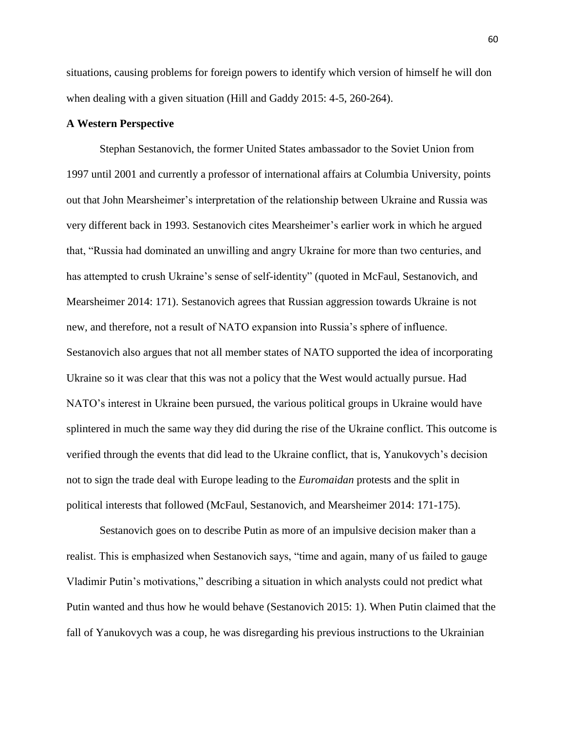situations, causing problems for foreign powers to identify which version of himself he will don when dealing with a given situation (Hill and Gaddy 2015: 4-5, 260-264).

#### **A Western Perspective**

Stephan Sestanovich, the former United States ambassador to the Soviet Union from 1997 until 2001 and currently a professor of international affairs at Columbia University, points out that John Mearsheimer's interpretation of the relationship between Ukraine and Russia was very different back in 1993. Sestanovich cites Mearsheimer's earlier work in which he argued that, "Russia had dominated an unwilling and angry Ukraine for more than two centuries, and has attempted to crush Ukraine's sense of self-identity" (quoted in McFaul, Sestanovich, and Mearsheimer 2014: 171). Sestanovich agrees that Russian aggression towards Ukraine is not new, and therefore, not a result of NATO expansion into Russia's sphere of influence. Sestanovich also argues that not all member states of NATO supported the idea of incorporating Ukraine so it was clear that this was not a policy that the West would actually pursue. Had NATO's interest in Ukraine been pursued, the various political groups in Ukraine would have splintered in much the same way they did during the rise of the Ukraine conflict. This outcome is verified through the events that did lead to the Ukraine conflict, that is, Yanukovych's decision not to sign the trade deal with Europe leading to the *Euromaidan* protests and the split in political interests that followed (McFaul, Sestanovich, and Mearsheimer 2014: 171-175).

Sestanovich goes on to describe Putin as more of an impulsive decision maker than a realist. This is emphasized when Sestanovich says, "time and again, many of us failed to gauge Vladimir Putin's motivations," describing a situation in which analysts could not predict what Putin wanted and thus how he would behave (Sestanovich 2015: 1). When Putin claimed that the fall of Yanukovych was a coup, he was disregarding his previous instructions to the Ukrainian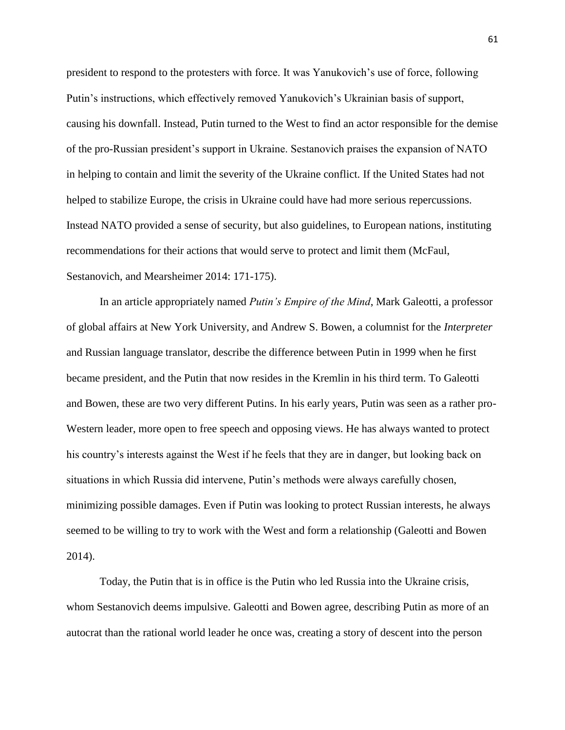president to respond to the protesters with force. It was Yanukovich's use of force, following Putin's instructions, which effectively removed Yanukovich's Ukrainian basis of support, causing his downfall. Instead, Putin turned to the West to find an actor responsible for the demise of the pro-Russian president's support in Ukraine. Sestanovich praises the expansion of NATO in helping to contain and limit the severity of the Ukraine conflict. If the United States had not helped to stabilize Europe, the crisis in Ukraine could have had more serious repercussions. Instead NATO provided a sense of security, but also guidelines, to European nations, instituting recommendations for their actions that would serve to protect and limit them (McFaul, Sestanovich, and Mearsheimer 2014: 171-175).

In an article appropriately named *Putin's Empire of the Mind*, Mark Galeotti, a professor of global affairs at New York University, and Andrew S. Bowen, a columnist for the *Interpreter* and Russian language translator, describe the difference between Putin in 1999 when he first became president, and the Putin that now resides in the Kremlin in his third term. To Galeotti and Bowen, these are two very different Putins. In his early years, Putin was seen as a rather pro-Western leader, more open to free speech and opposing views. He has always wanted to protect his country's interests against the West if he feels that they are in danger, but looking back on situations in which Russia did intervene, Putin's methods were always carefully chosen, minimizing possible damages. Even if Putin was looking to protect Russian interests, he always seemed to be willing to try to work with the West and form a relationship (Galeotti and Bowen 2014).

Today, the Putin that is in office is the Putin who led Russia into the Ukraine crisis, whom Sestanovich deems impulsive. Galeotti and Bowen agree, describing Putin as more of an autocrat than the rational world leader he once was, creating a story of descent into the person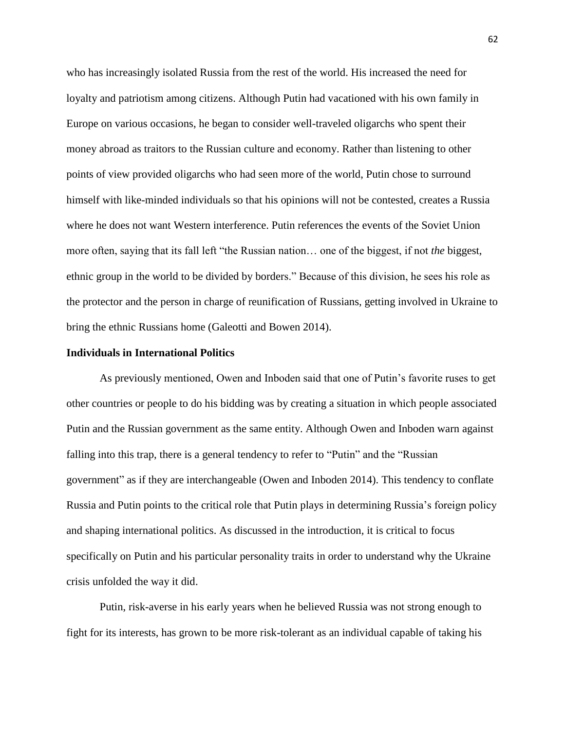who has increasingly isolated Russia from the rest of the world. His increased the need for loyalty and patriotism among citizens. Although Putin had vacationed with his own family in Europe on various occasions, he began to consider well-traveled oligarchs who spent their money abroad as traitors to the Russian culture and economy. Rather than listening to other points of view provided oligarchs who had seen more of the world, Putin chose to surround himself with like-minded individuals so that his opinions will not be contested, creates a Russia where he does not want Western interference. Putin references the events of the Soviet Union more often, saying that its fall left "the Russian nation… one of the biggest, if not *the* biggest, ethnic group in the world to be divided by borders." Because of this division, he sees his role as the protector and the person in charge of reunification of Russians, getting involved in Ukraine to bring the ethnic Russians home (Galeotti and Bowen 2014).

#### **Individuals in International Politics**

As previously mentioned, Owen and Inboden said that one of Putin's favorite ruses to get other countries or people to do his bidding was by creating a situation in which people associated Putin and the Russian government as the same entity. Although Owen and Inboden warn against falling into this trap, there is a general tendency to refer to "Putin" and the "Russian government" as if they are interchangeable (Owen and Inboden 2014). This tendency to conflate Russia and Putin points to the critical role that Putin plays in determining Russia's foreign policy and shaping international politics. As discussed in the introduction*,* it is critical to focus specifically on Putin and his particular personality traits in order to understand why the Ukraine crisis unfolded the way it did.

Putin, risk-averse in his early years when he believed Russia was not strong enough to fight for its interests, has grown to be more risk-tolerant as an individual capable of taking his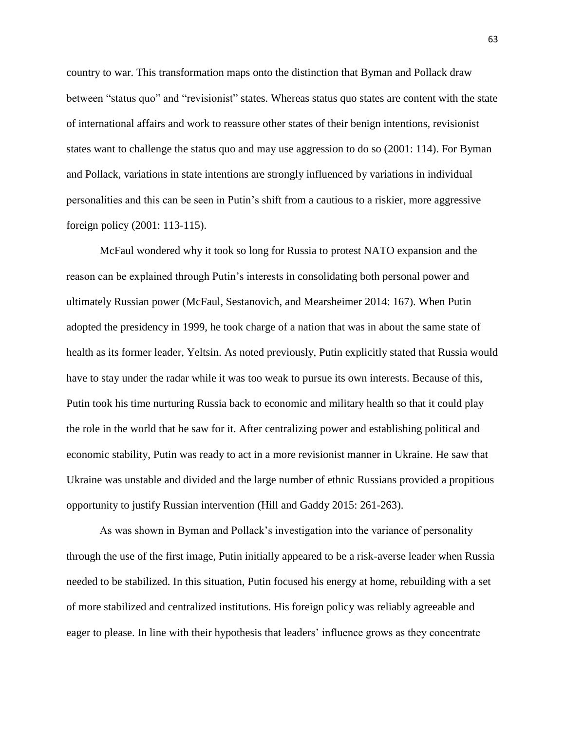country to war. This transformation maps onto the distinction that Byman and Pollack draw between "status quo" and "revisionist" states. Whereas status quo states are content with the state of international affairs and work to reassure other states of their benign intentions, revisionist states want to challenge the status quo and may use aggression to do so (2001: 114). For Byman and Pollack, variations in state intentions are strongly influenced by variations in individual personalities and this can be seen in Putin's shift from a cautious to a riskier, more aggressive foreign policy (2001: 113-115).

McFaul wondered why it took so long for Russia to protest NATO expansion and the reason can be explained through Putin's interests in consolidating both personal power and ultimately Russian power (McFaul, Sestanovich, and Mearsheimer 2014: 167). When Putin adopted the presidency in 1999, he took charge of a nation that was in about the same state of health as its former leader, Yeltsin. As noted previously, Putin explicitly stated that Russia would have to stay under the radar while it was too weak to pursue its own interests. Because of this, Putin took his time nurturing Russia back to economic and military health so that it could play the role in the world that he saw for it. After centralizing power and establishing political and economic stability, Putin was ready to act in a more revisionist manner in Ukraine. He saw that Ukraine was unstable and divided and the large number of ethnic Russians provided a propitious opportunity to justify Russian intervention (Hill and Gaddy 2015: 261-263).

As was shown in Byman and Pollack's investigation into the variance of personality through the use of the first image, Putin initially appeared to be a risk-averse leader when Russia needed to be stabilized. In this situation, Putin focused his energy at home, rebuilding with a set of more stabilized and centralized institutions. His foreign policy was reliably agreeable and eager to please. In line with their hypothesis that leaders' influence grows as they concentrate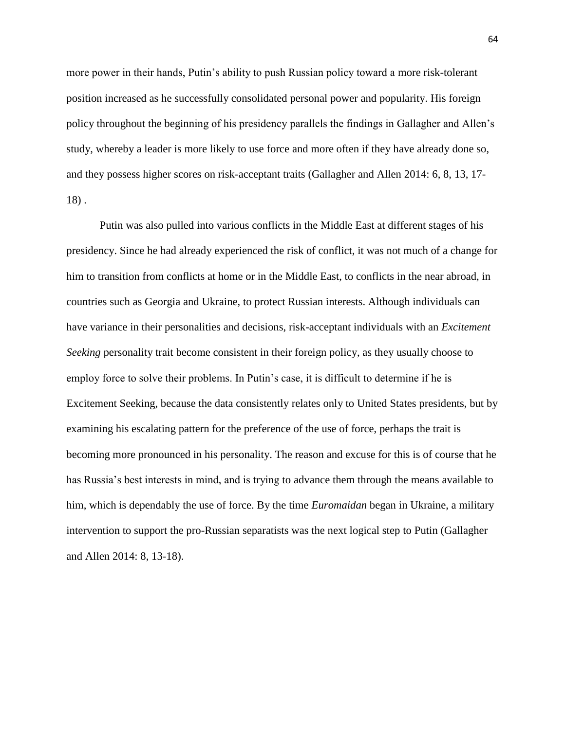more power in their hands, Putin's ability to push Russian policy toward a more risk-tolerant position increased as he successfully consolidated personal power and popularity. His foreign policy throughout the beginning of his presidency parallels the findings in Gallagher and Allen's study, whereby a leader is more likely to use force and more often if they have already done so, and they possess higher scores on risk-acceptant traits (Gallagher and Allen 2014: 6, 8, 13, 17- 18) .

Putin was also pulled into various conflicts in the Middle East at different stages of his presidency. Since he had already experienced the risk of conflict, it was not much of a change for him to transition from conflicts at home or in the Middle East, to conflicts in the near abroad, in countries such as Georgia and Ukraine, to protect Russian interests. Although individuals can have variance in their personalities and decisions, risk-acceptant individuals with an *Excitement Seeking* personality trait become consistent in their foreign policy, as they usually choose to employ force to solve their problems. In Putin's case, it is difficult to determine if he is Excitement Seeking, because the data consistently relates only to United States presidents, but by examining his escalating pattern for the preference of the use of force, perhaps the trait is becoming more pronounced in his personality. The reason and excuse for this is of course that he has Russia's best interests in mind, and is trying to advance them through the means available to him, which is dependably the use of force. By the time *Euromaidan* began in Ukraine, a military intervention to support the pro-Russian separatists was the next logical step to Putin (Gallagher and Allen 2014: 8, 13-18).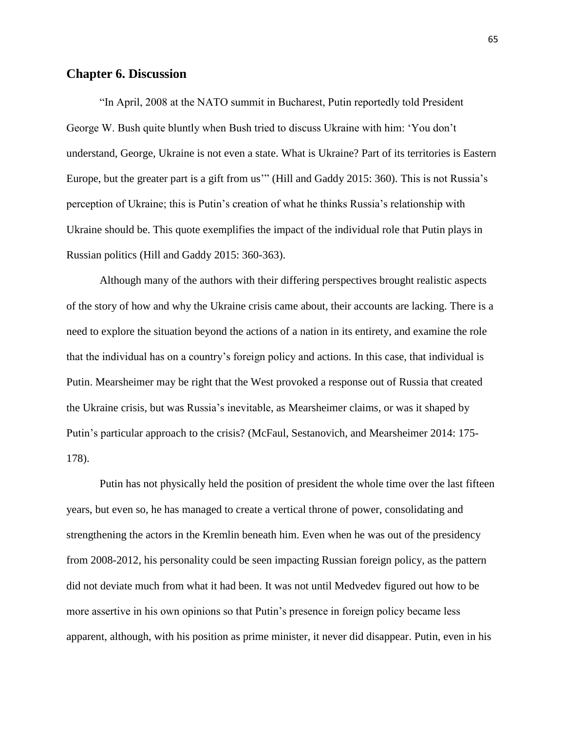# **Chapter 6. Discussion**

"In April, 2008 at the NATO summit in Bucharest, Putin reportedly told President George W. Bush quite bluntly when Bush tried to discuss Ukraine with him: 'You don't understand, George, Ukraine is not even a state. What is Ukraine? Part of its territories is Eastern Europe, but the greater part is a gift from us'" (Hill and Gaddy 2015: 360). This is not Russia's perception of Ukraine; this is Putin's creation of what he thinks Russia's relationship with Ukraine should be. This quote exemplifies the impact of the individual role that Putin plays in Russian politics (Hill and Gaddy 2015: 360-363).

Although many of the authors with their differing perspectives brought realistic aspects of the story of how and why the Ukraine crisis came about, their accounts are lacking. There is a need to explore the situation beyond the actions of a nation in its entirety, and examine the role that the individual has on a country's foreign policy and actions. In this case, that individual is Putin. Mearsheimer may be right that the West provoked a response out of Russia that created the Ukraine crisis, but was Russia's inevitable, as Mearsheimer claims, or was it shaped by Putin's particular approach to the crisis? (McFaul, Sestanovich, and Mearsheimer 2014: 175- 178).

Putin has not physically held the position of president the whole time over the last fifteen years, but even so, he has managed to create a vertical throne of power, consolidating and strengthening the actors in the Kremlin beneath him. Even when he was out of the presidency from 2008-2012, his personality could be seen impacting Russian foreign policy, as the pattern did not deviate much from what it had been. It was not until Medvedev figured out how to be more assertive in his own opinions so that Putin's presence in foreign policy became less apparent, although, with his position as prime minister, it never did disappear. Putin, even in his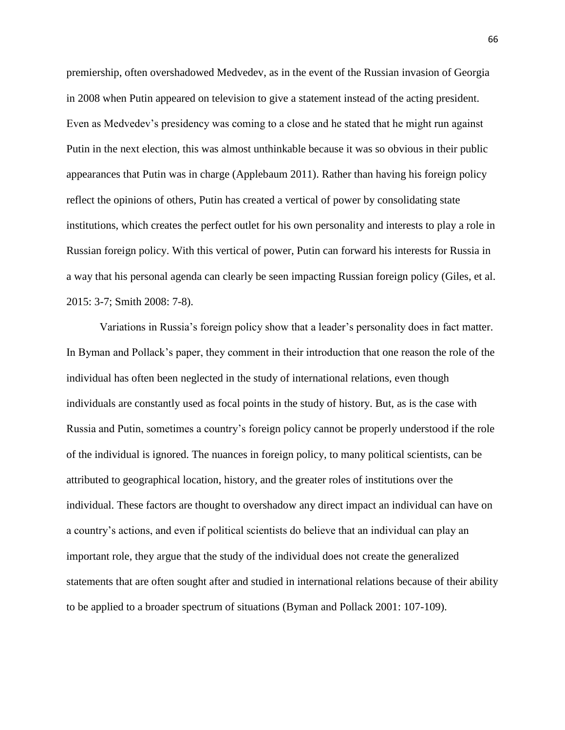premiership, often overshadowed Medvedev, as in the event of the Russian invasion of Georgia in 2008 when Putin appeared on television to give a statement instead of the acting president. Even as Medvedev's presidency was coming to a close and he stated that he might run against Putin in the next election, this was almost unthinkable because it was so obvious in their public appearances that Putin was in charge (Applebaum 2011). Rather than having his foreign policy reflect the opinions of others, Putin has created a vertical of power by consolidating state institutions, which creates the perfect outlet for his own personality and interests to play a role in Russian foreign policy. With this vertical of power, Putin can forward his interests for Russia in a way that his personal agenda can clearly be seen impacting Russian foreign policy (Giles, et al. 2015: 3-7; Smith 2008: 7-8).

Variations in Russia's foreign policy show that a leader's personality does in fact matter. In Byman and Pollack's paper, they comment in their introduction that one reason the role of the individual has often been neglected in the study of international relations, even though individuals are constantly used as focal points in the study of history. But, as is the case with Russia and Putin, sometimes a country's foreign policy cannot be properly understood if the role of the individual is ignored. The nuances in foreign policy, to many political scientists, can be attributed to geographical location, history, and the greater roles of institutions over the individual. These factors are thought to overshadow any direct impact an individual can have on a country's actions, and even if political scientists do believe that an individual can play an important role, they argue that the study of the individual does not create the generalized statements that are often sought after and studied in international relations because of their ability to be applied to a broader spectrum of situations (Byman and Pollack 2001: 107-109).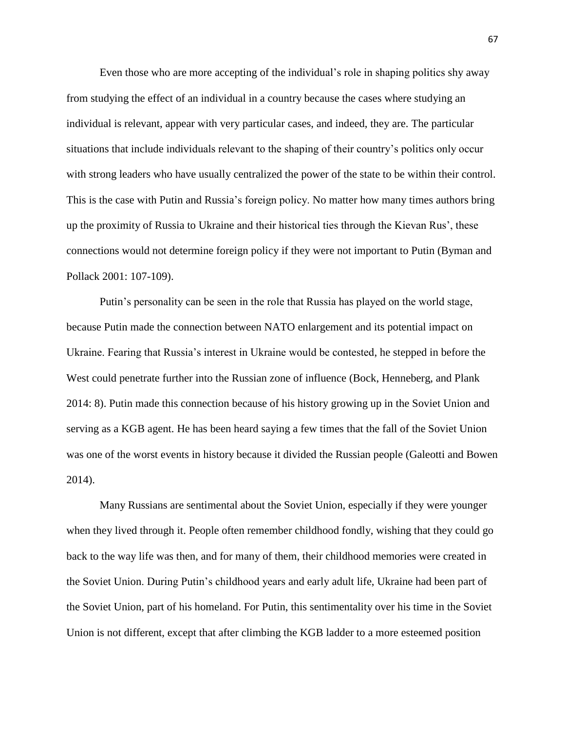Even those who are more accepting of the individual's role in shaping politics shy away from studying the effect of an individual in a country because the cases where studying an individual is relevant, appear with very particular cases, and indeed, they are. The particular situations that include individuals relevant to the shaping of their country's politics only occur with strong leaders who have usually centralized the power of the state to be within their control. This is the case with Putin and Russia's foreign policy. No matter how many times authors bring up the proximity of Russia to Ukraine and their historical ties through the Kievan Rus', these connections would not determine foreign policy if they were not important to Putin (Byman and Pollack 2001: 107-109).

Putin's personality can be seen in the role that Russia has played on the world stage, because Putin made the connection between NATO enlargement and its potential impact on Ukraine. Fearing that Russia's interest in Ukraine would be contested, he stepped in before the West could penetrate further into the Russian zone of influence (Bock, Henneberg, and Plank 2014: 8). Putin made this connection because of his history growing up in the Soviet Union and serving as a KGB agent. He has been heard saying a few times that the fall of the Soviet Union was one of the worst events in history because it divided the Russian people (Galeotti and Bowen 2014).

Many Russians are sentimental about the Soviet Union, especially if they were younger when they lived through it. People often remember childhood fondly, wishing that they could go back to the way life was then, and for many of them, their childhood memories were created in the Soviet Union. During Putin's childhood years and early adult life, Ukraine had been part of the Soviet Union, part of his homeland. For Putin, this sentimentality over his time in the Soviet Union is not different, except that after climbing the KGB ladder to a more esteemed position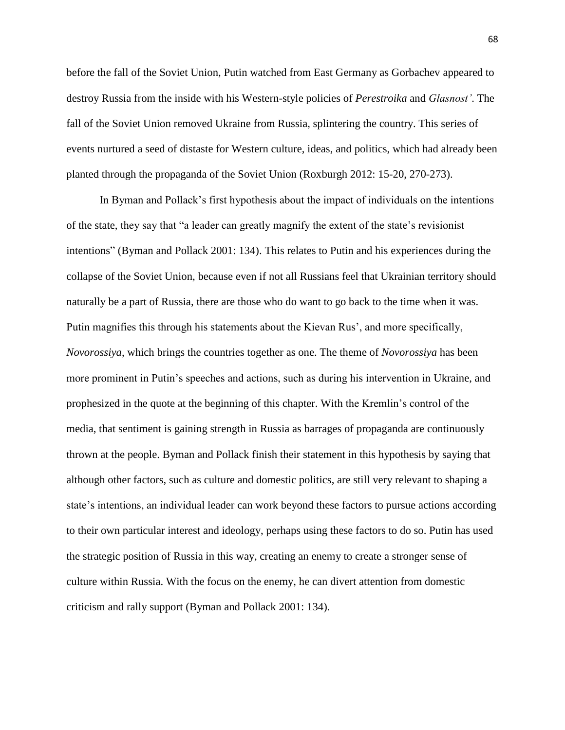before the fall of the Soviet Union, Putin watched from East Germany as Gorbachev appeared to destroy Russia from the inside with his Western-style policies of *Perestroika* and *Glasnost'*. The fall of the Soviet Union removed Ukraine from Russia, splintering the country. This series of events nurtured a seed of distaste for Western culture, ideas, and politics, which had already been planted through the propaganda of the Soviet Union (Roxburgh 2012: 15-20, 270-273).

In Byman and Pollack's first hypothesis about the impact of individuals on the intentions of the state, they say that "a leader can greatly magnify the extent of the state's revisionist intentions" (Byman and Pollack 2001: 134). This relates to Putin and his experiences during the collapse of the Soviet Union, because even if not all Russians feel that Ukrainian territory should naturally be a part of Russia, there are those who do want to go back to the time when it was. Putin magnifies this through his statements about the Kievan Rus', and more specifically, *Novorossiya*, which brings the countries together as one. The theme of *Novorossiya* has been more prominent in Putin's speeches and actions, such as during his intervention in Ukraine, and prophesized in the quote at the beginning of this chapter. With the Kremlin's control of the media, that sentiment is gaining strength in Russia as barrages of propaganda are continuously thrown at the people. Byman and Pollack finish their statement in this hypothesis by saying that although other factors, such as culture and domestic politics, are still very relevant to shaping a state's intentions, an individual leader can work beyond these factors to pursue actions according to their own particular interest and ideology, perhaps using these factors to do so. Putin has used the strategic position of Russia in this way, creating an enemy to create a stronger sense of culture within Russia. With the focus on the enemy, he can divert attention from domestic criticism and rally support (Byman and Pollack 2001: 134).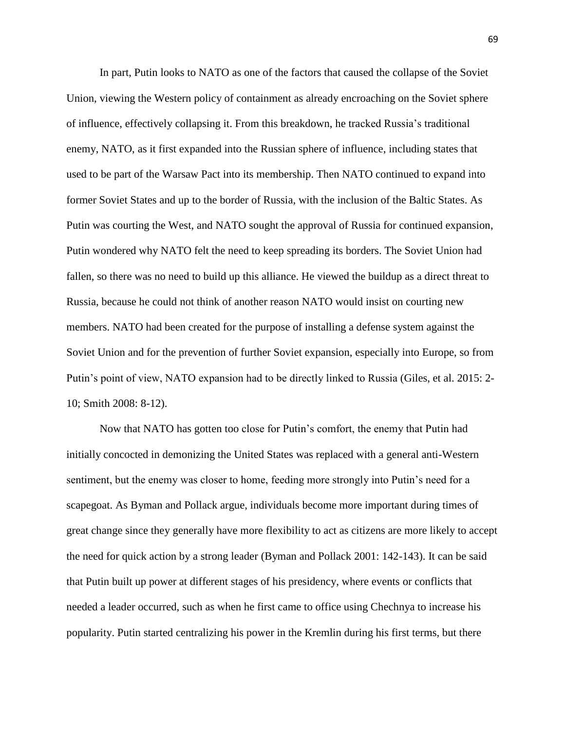In part, Putin looks to NATO as one of the factors that caused the collapse of the Soviet Union, viewing the Western policy of containment as already encroaching on the Soviet sphere of influence, effectively collapsing it. From this breakdown, he tracked Russia's traditional enemy, NATO, as it first expanded into the Russian sphere of influence, including states that used to be part of the Warsaw Pact into its membership. Then NATO continued to expand into former Soviet States and up to the border of Russia, with the inclusion of the Baltic States. As Putin was courting the West, and NATO sought the approval of Russia for continued expansion, Putin wondered why NATO felt the need to keep spreading its borders. The Soviet Union had fallen, so there was no need to build up this alliance. He viewed the buildup as a direct threat to Russia, because he could not think of another reason NATO would insist on courting new members. NATO had been created for the purpose of installing a defense system against the Soviet Union and for the prevention of further Soviet expansion, especially into Europe, so from Putin's point of view, NATO expansion had to be directly linked to Russia (Giles, et al. 2015: 2- 10; Smith 2008: 8-12).

Now that NATO has gotten too close for Putin's comfort, the enemy that Putin had initially concocted in demonizing the United States was replaced with a general anti-Western sentiment, but the enemy was closer to home, feeding more strongly into Putin's need for a scapegoat. As Byman and Pollack argue, individuals become more important during times of great change since they generally have more flexibility to act as citizens are more likely to accept the need for quick action by a strong leader (Byman and Pollack 2001: 142-143). It can be said that Putin built up power at different stages of his presidency, where events or conflicts that needed a leader occurred, such as when he first came to office using Chechnya to increase his popularity. Putin started centralizing his power in the Kremlin during his first terms, but there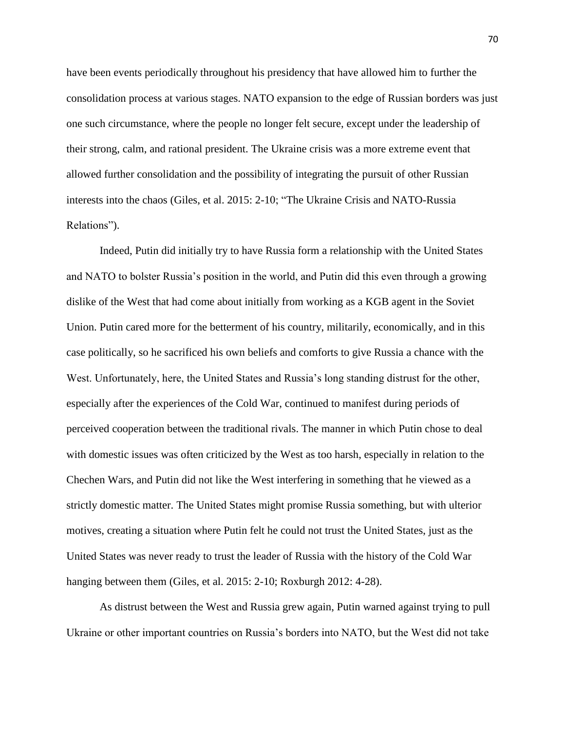have been events periodically throughout his presidency that have allowed him to further the consolidation process at various stages. NATO expansion to the edge of Russian borders was just one such circumstance, where the people no longer felt secure, except under the leadership of their strong, calm, and rational president. The Ukraine crisis was a more extreme event that allowed further consolidation and the possibility of integrating the pursuit of other Russian interests into the chaos (Giles, et al. 2015: 2-10; "The Ukraine Crisis and NATO-Russia Relations").

Indeed, Putin did initially try to have Russia form a relationship with the United States and NATO to bolster Russia's position in the world, and Putin did this even through a growing dislike of the West that had come about initially from working as a KGB agent in the Soviet Union. Putin cared more for the betterment of his country, militarily, economically, and in this case politically, so he sacrificed his own beliefs and comforts to give Russia a chance with the West. Unfortunately, here, the United States and Russia's long standing distrust for the other, especially after the experiences of the Cold War, continued to manifest during periods of perceived cooperation between the traditional rivals. The manner in which Putin chose to deal with domestic issues was often criticized by the West as too harsh, especially in relation to the Chechen Wars, and Putin did not like the West interfering in something that he viewed as a strictly domestic matter. The United States might promise Russia something, but with ulterior motives, creating a situation where Putin felt he could not trust the United States, just as the United States was never ready to trust the leader of Russia with the history of the Cold War hanging between them (Giles, et al. 2015: 2-10; Roxburgh 2012: 4-28).

As distrust between the West and Russia grew again, Putin warned against trying to pull Ukraine or other important countries on Russia's borders into NATO, but the West did not take

70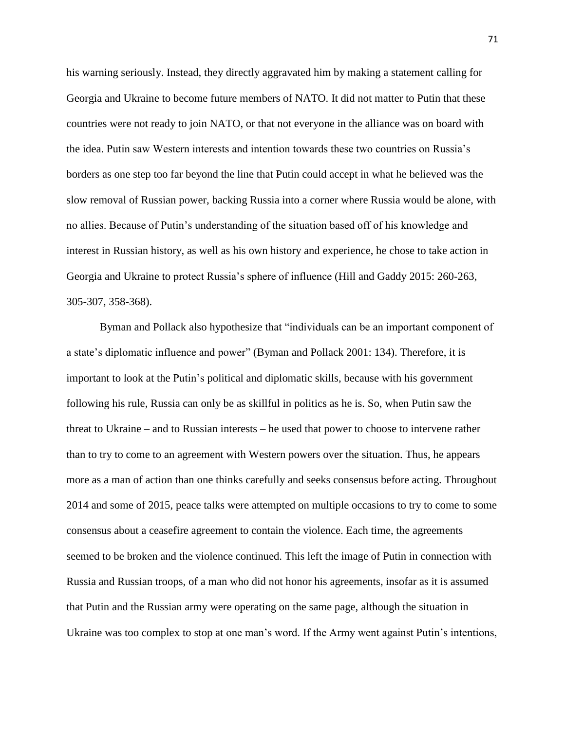his warning seriously. Instead, they directly aggravated him by making a statement calling for Georgia and Ukraine to become future members of NATO. It did not matter to Putin that these countries were not ready to join NATO, or that not everyone in the alliance was on board with the idea. Putin saw Western interests and intention towards these two countries on Russia's borders as one step too far beyond the line that Putin could accept in what he believed was the slow removal of Russian power, backing Russia into a corner where Russia would be alone, with no allies. Because of Putin's understanding of the situation based off of his knowledge and interest in Russian history, as well as his own history and experience, he chose to take action in Georgia and Ukraine to protect Russia's sphere of influence (Hill and Gaddy 2015: 260-263, 305-307, 358-368).

Byman and Pollack also hypothesize that "individuals can be an important component of a state's diplomatic influence and power" (Byman and Pollack 2001: 134). Therefore, it is important to look at the Putin's political and diplomatic skills, because with his government following his rule, Russia can only be as skillful in politics as he is. So, when Putin saw the threat to Ukraine – and to Russian interests – he used that power to choose to intervene rather than to try to come to an agreement with Western powers over the situation. Thus, he appears more as a man of action than one thinks carefully and seeks consensus before acting. Throughout 2014 and some of 2015, peace talks were attempted on multiple occasions to try to come to some consensus about a ceasefire agreement to contain the violence. Each time, the agreements seemed to be broken and the violence continued. This left the image of Putin in connection with Russia and Russian troops, of a man who did not honor his agreements, insofar as it is assumed that Putin and the Russian army were operating on the same page, although the situation in Ukraine was too complex to stop at one man's word. If the Army went against Putin's intentions,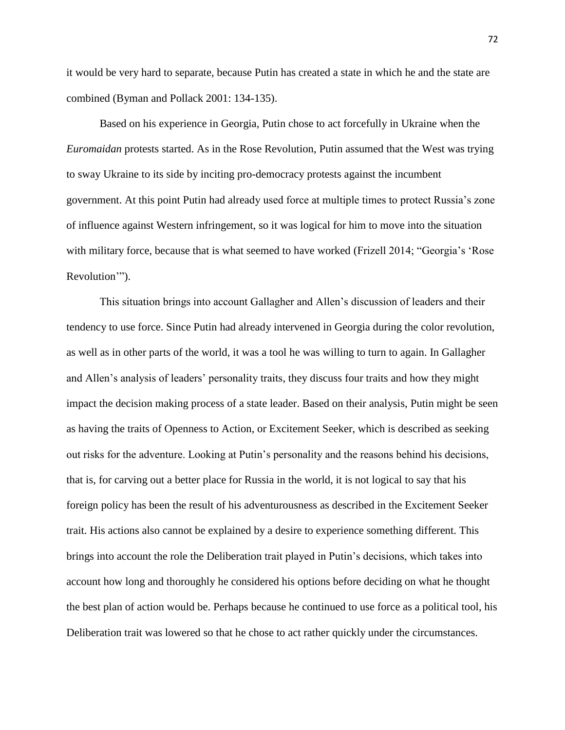it would be very hard to separate, because Putin has created a state in which he and the state are combined (Byman and Pollack 2001: 134-135).

Based on his experience in Georgia, Putin chose to act forcefully in Ukraine when the *Euromaidan* protests started. As in the Rose Revolution, Putin assumed that the West was trying to sway Ukraine to its side by inciting pro-democracy protests against the incumbent government. At this point Putin had already used force at multiple times to protect Russia's zone of influence against Western infringement, so it was logical for him to move into the situation with military force, because that is what seemed to have worked (Frizell 2014; "Georgia's 'Rose Revolution'").

This situation brings into account Gallagher and Allen's discussion of leaders and their tendency to use force. Since Putin had already intervened in Georgia during the color revolution, as well as in other parts of the world, it was a tool he was willing to turn to again. In Gallagher and Allen's analysis of leaders' personality traits, they discuss four traits and how they might impact the decision making process of a state leader. Based on their analysis, Putin might be seen as having the traits of Openness to Action, or Excitement Seeker, which is described as seeking out risks for the adventure. Looking at Putin's personality and the reasons behind his decisions, that is, for carving out a better place for Russia in the world, it is not logical to say that his foreign policy has been the result of his adventurousness as described in the Excitement Seeker trait. His actions also cannot be explained by a desire to experience something different. This brings into account the role the Deliberation trait played in Putin's decisions, which takes into account how long and thoroughly he considered his options before deciding on what he thought the best plan of action would be. Perhaps because he continued to use force as a political tool, his Deliberation trait was lowered so that he chose to act rather quickly under the circumstances.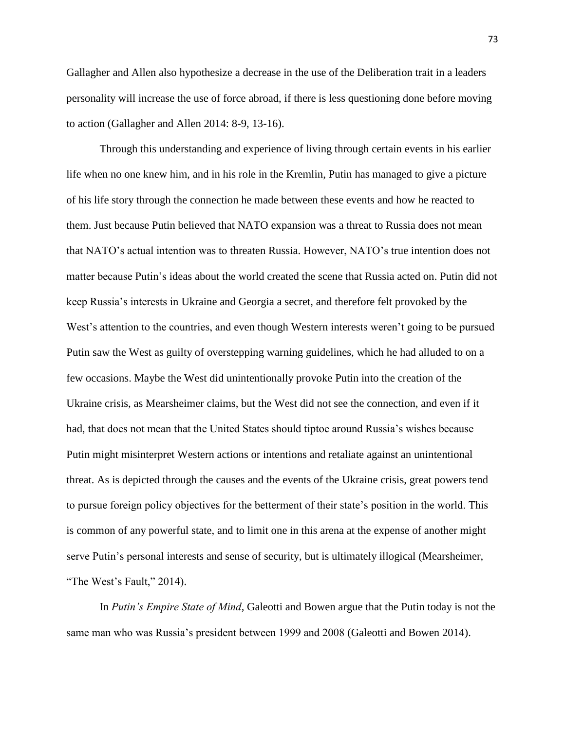Gallagher and Allen also hypothesize a decrease in the use of the Deliberation trait in a leaders personality will increase the use of force abroad, if there is less questioning done before moving to action (Gallagher and Allen 2014: 8-9, 13-16).

Through this understanding and experience of living through certain events in his earlier life when no one knew him, and in his role in the Kremlin, Putin has managed to give a picture of his life story through the connection he made between these events and how he reacted to them. Just because Putin believed that NATO expansion was a threat to Russia does not mean that NATO's actual intention was to threaten Russia. However, NATO's true intention does not matter because Putin's ideas about the world created the scene that Russia acted on. Putin did not keep Russia's interests in Ukraine and Georgia a secret, and therefore felt provoked by the West's attention to the countries, and even though Western interests weren't going to be pursued Putin saw the West as guilty of overstepping warning guidelines, which he had alluded to on a few occasions. Maybe the West did unintentionally provoke Putin into the creation of the Ukraine crisis, as Mearsheimer claims, but the West did not see the connection, and even if it had, that does not mean that the United States should tiptoe around Russia's wishes because Putin might misinterpret Western actions or intentions and retaliate against an unintentional threat. As is depicted through the causes and the events of the Ukraine crisis, great powers tend to pursue foreign policy objectives for the betterment of their state's position in the world. This is common of any powerful state, and to limit one in this arena at the expense of another might serve Putin's personal interests and sense of security, but is ultimately illogical (Mearsheimer, "The West's Fault," 2014).

In *Putin's Empire State of Mind*, Galeotti and Bowen argue that the Putin today is not the same man who was Russia's president between 1999 and 2008 (Galeotti and Bowen 2014).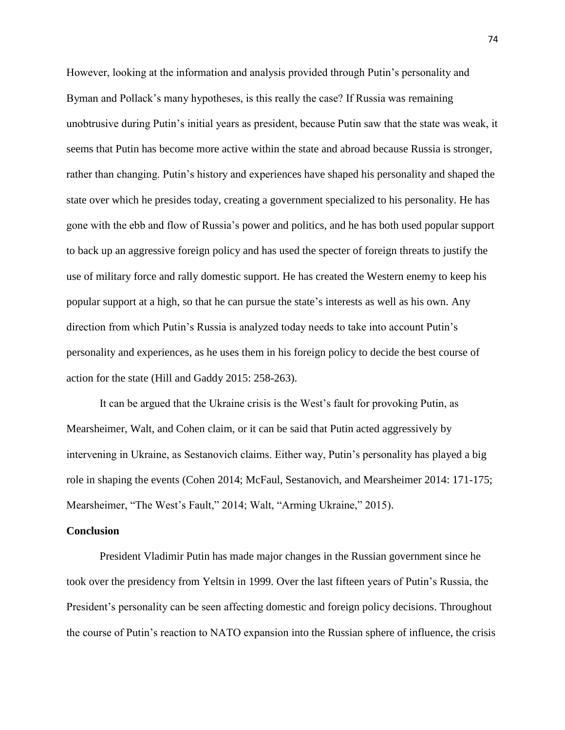However, looking at the information and analysis provided through Putin's personality and Byman and Pollack's many hypotheses, is this really the case? If Russia was remaining unobtrusive during Putin's initial years as president, because Putin saw that the state was weak, it seems that Putin has become more active within the state and abroad because Russia is stronger, rather than changing. Putin's history and experiences have shaped his personality and shaped the state over which he presides today, creating a government specialized to his personality. He has gone with the ebb and flow of Russia's power and politics, and he has both used popular support to back up an aggressive foreign policy and has used the specter of foreign threats to justify the use of military force and rally domestic support. He has created the Western enemy to keep his popular support at a high, so that he can pursue the state's interests as well as his own. Any direction from which Putin's Russia is analyzed today needs to take into account Putin's personality and experiences, as he uses them in his foreign policy to decide the best course of action for the state (Hill and Gaddy 2015: 258-263).

It can be argued that the Ukraine crisis is the West's fault for provoking Putin, as Mearsheimer, Walt, and Cohen claim, or it can be said that Putin acted aggressively by intervening in Ukraine, as Sestanovich claims. Either way, Putin's personality has played a big role in shaping the events (Cohen 2014; McFaul, Sestanovich, and Mearsheimer 2014: 171-175; Mearsheimer, "The West's Fault," 2014; Walt, "Arming Ukraine," 2015).

## **Conclusion**

President Vladimir Putin has made major changes in the Russian government since he took over the presidency from Yeltsin in 1999. Over the last fifteen years of Putin's Russia, the President's personality can be seen affecting domestic and foreign policy decisions. Throughout the course of Putin's reaction to NATO expansion into the Russian sphere of influence, the crisis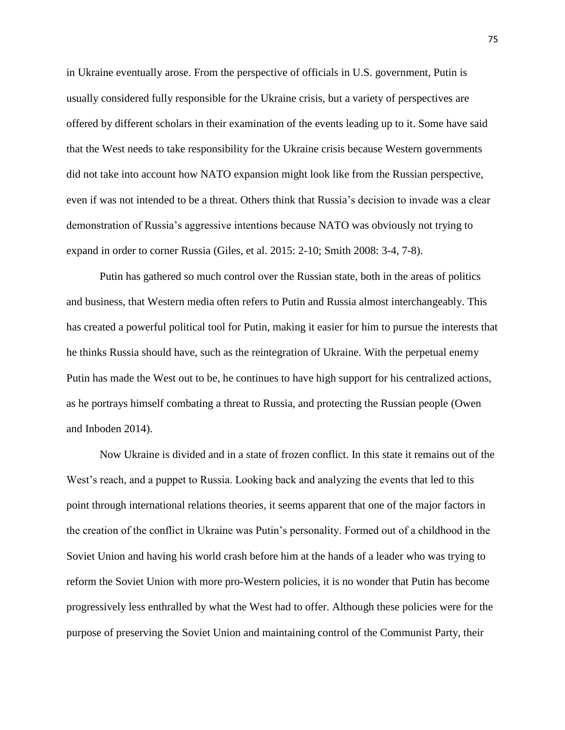in Ukraine eventually arose. From the perspective of officials in U.S. government, Putin is usually considered fully responsible for the Ukraine crisis, but a variety of perspectives are offered by different scholars in their examination of the events leading up to it. Some have said that the West needs to take responsibility for the Ukraine crisis because Western governments did not take into account how NATO expansion might look like from the Russian perspective, even if was not intended to be a threat. Others think that Russia's decision to invade was a clear demonstration of Russia's aggressive intentions because NATO was obviously not trying to expand in order to corner Russia (Giles, et al. 2015: 2-10; Smith 2008: 3-4, 7-8).

Putin has gathered so much control over the Russian state, both in the areas of politics and business, that Western media often refers to Putin and Russia almost interchangeably. This has created a powerful political tool for Putin, making it easier for him to pursue the interests that he thinks Russia should have, such as the reintegration of Ukraine. With the perpetual enemy Putin has made the West out to be, he continues to have high support for his centralized actions, as he portrays himself combating a threat to Russia, and protecting the Russian people (Owen and Inboden 2014).

Now Ukraine is divided and in a state of frozen conflict. In this state it remains out of the West's reach, and a puppet to Russia. Looking back and analyzing the events that led to this point through international relations theories, it seems apparent that one of the major factors in the creation of the conflict in Ukraine was Putin's personality. Formed out of a childhood in the Soviet Union and having his world crash before him at the hands of a leader who was trying to reform the Soviet Union with more pro-Western policies, it is no wonder that Putin has become progressively less enthralled by what the West had to offer. Although these policies were for the purpose of preserving the Soviet Union and maintaining control of the Communist Party, their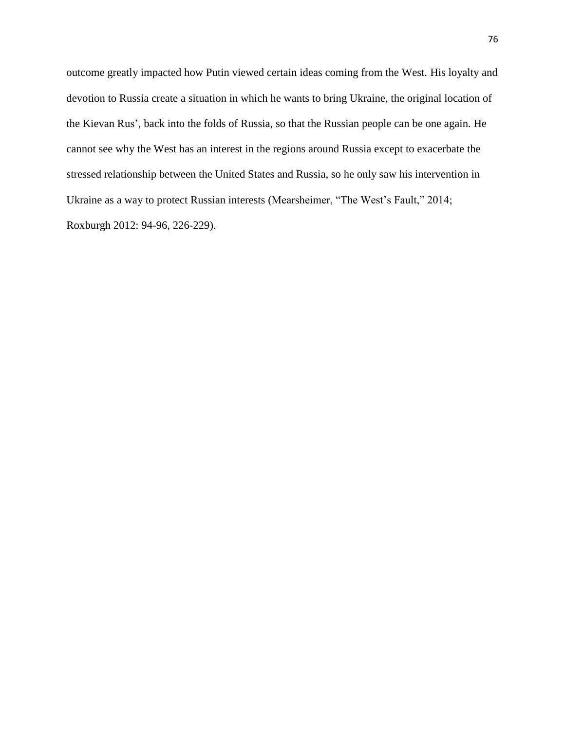outcome greatly impacted how Putin viewed certain ideas coming from the West. His loyalty and devotion to Russia create a situation in which he wants to bring Ukraine, the original location of the Kievan Rus', back into the folds of Russia, so that the Russian people can be one again. He cannot see why the West has an interest in the regions around Russia except to exacerbate the stressed relationship between the United States and Russia, so he only saw his intervention in Ukraine as a way to protect Russian interests (Mearsheimer, "The West's Fault," 2014; Roxburgh 2012: 94-96, 226-229).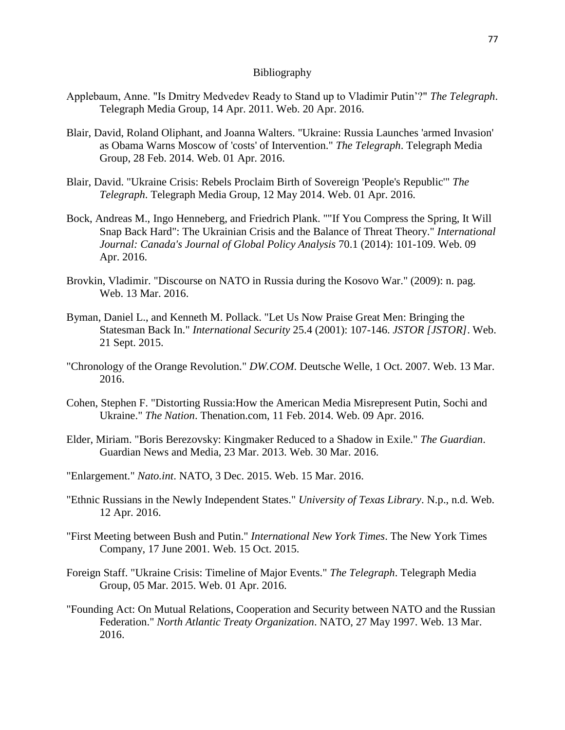## Bibliography

- Applebaum, Anne. "Is Dmitry Medvedev Ready to Stand up to Vladimir Putin'?" *The Telegraph*. Telegraph Media Group, 14 Apr. 2011. Web. 20 Apr. 2016.
- Blair, David, Roland Oliphant, and Joanna Walters. "Ukraine: Russia Launches 'armed Invasion' as Obama Warns Moscow of 'costs' of Intervention." *The Telegraph*. Telegraph Media Group, 28 Feb. 2014. Web. 01 Apr. 2016.
- Blair, David. "Ukraine Crisis: Rebels Proclaim Birth of Sovereign 'People's Republic'" *The Telegraph*. Telegraph Media Group, 12 May 2014. Web. 01 Apr. 2016.
- Bock, Andreas M., Ingo Henneberg, and Friedrich Plank. ""If You Compress the Spring, It Will Snap Back Hard": The Ukrainian Crisis and the Balance of Threat Theory." *International Journal: Canada's Journal of Global Policy Analysis* 70.1 (2014): 101-109. Web. 09 Apr. 2016.
- Brovkin, Vladimir. "Discourse on NATO in Russia during the Kosovo War." (2009): n. pag. Web. 13 Mar. 2016.
- Byman, Daniel L., and Kenneth M. Pollack. "Let Us Now Praise Great Men: Bringing the Statesman Back In." *International Security* 25.4 (2001): 107-146. *JSTOR [JSTOR]*. Web. 21 Sept. 2015.
- "Chronology of the Orange Revolution." *DW.COM*. Deutsche Welle, 1 Oct. 2007. Web. 13 Mar. 2016.
- Cohen, Stephen F. "Distorting Russia:How the American Media Misrepresent Putin, Sochi and Ukraine." *The Nation*. Thenation.com, 11 Feb. 2014. Web. 09 Apr. 2016.
- Elder, Miriam. "Boris Berezovsky: Kingmaker Reduced to a Shadow in Exile." *The Guardian*. Guardian News and Media, 23 Mar. 2013. Web. 30 Mar. 2016.
- "Enlargement." *Nato.int*. NATO, 3 Dec. 2015. Web. 15 Mar. 2016.
- "Ethnic Russians in the Newly Independent States." *University of Texas Library*. N.p., n.d. Web. 12 Apr. 2016.
- "First Meeting between Bush and Putin." *International New York Times*. The New York Times Company, 17 June 2001. Web. 15 Oct. 2015.
- Foreign Staff. "Ukraine Crisis: Timeline of Major Events." *The Telegraph*. Telegraph Media Group, 05 Mar. 2015. Web. 01 Apr. 2016.
- "Founding Act: On Mutual Relations, Cooperation and Security between NATO and the Russian Federation." *North Atlantic Treaty Organization*. NATO, 27 May 1997. Web. 13 Mar. 2016.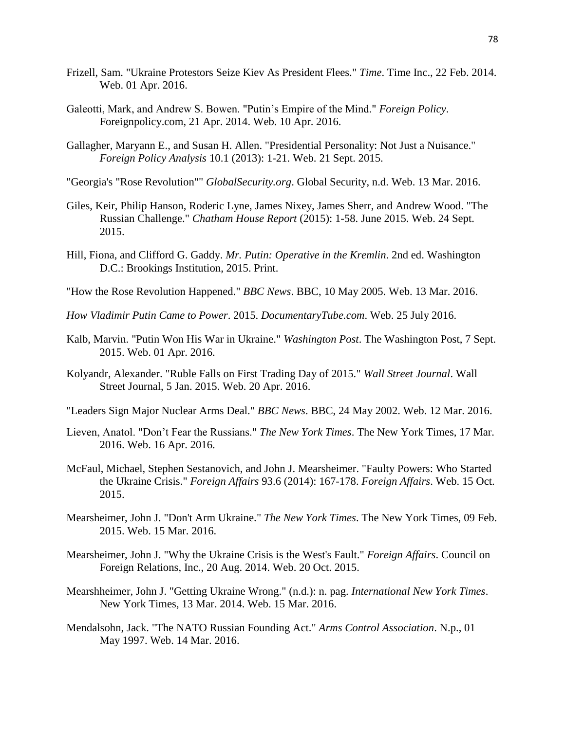- Frizell, Sam. "Ukraine Protestors Seize Kiev As President Flees." *Time*. Time Inc., 22 Feb. 2014. Web. 01 Apr. 2016.
- Galeotti, Mark, and Andrew S. Bowen. "Putin's Empire of the Mind." *Foreign Policy*. Foreignpolicy.com, 21 Apr. 2014. Web. 10 Apr. 2016.
- Gallagher, Maryann E., and Susan H. Allen. "Presidential Personality: Not Just a Nuisance." *Foreign Policy Analysis* 10.1 (2013): 1-21. Web. 21 Sept. 2015.
- "Georgia's "Rose Revolution"" *GlobalSecurity.org*. Global Security, n.d. Web. 13 Mar. 2016.
- Giles, Keir, Philip Hanson, Roderic Lyne, James Nixey, James Sherr, and Andrew Wood. "The Russian Challenge." *Chatham House Report* (2015): 1-58. June 2015. Web. 24 Sept. 2015.
- Hill, Fiona, and Clifford G. Gaddy. *Mr. Putin: Operative in the Kremlin*. 2nd ed. Washington D.C.: Brookings Institution, 2015. Print.
- "How the Rose Revolution Happened." *BBC News*. BBC, 10 May 2005. Web. 13 Mar. 2016.
- *How Vladimir Putin Came to Power*. 2015. *DocumentaryTube.com*. Web. 25 July 2016.
- Kalb, Marvin. "Putin Won His War in Ukraine." *Washington Post*. The Washington Post, 7 Sept. 2015. Web. 01 Apr. 2016.
- Kolyandr, Alexander. "Ruble Falls on First Trading Day of 2015." *Wall Street Journal*. Wall Street Journal, 5 Jan. 2015. Web. 20 Apr. 2016.
- "Leaders Sign Major Nuclear Arms Deal." *BBC News*. BBC, 24 May 2002. Web. 12 Mar. 2016.
- Lieven, Anatol. "Don't Fear the Russians." *The New York Times*. The New York Times, 17 Mar. 2016. Web. 16 Apr. 2016.
- McFaul, Michael, Stephen Sestanovich, and John J. Mearsheimer. "Faulty Powers: Who Started the Ukraine Crisis." *Foreign Affairs* 93.6 (2014): 167-178. *Foreign Affairs*. Web. 15 Oct. 2015.
- Mearsheimer, John J. "Don't Arm Ukraine." *The New York Times*. The New York Times, 09 Feb. 2015. Web. 15 Mar. 2016.
- Mearsheimer, John J. "Why the Ukraine Crisis is the West's Fault." *Foreign Affairs*. Council on Foreign Relations, Inc., 20 Aug. 2014. Web. 20 Oct. 2015.
- Mearshheimer, John J. "Getting Ukraine Wrong." (n.d.): n. pag. *International New York Times*. New York Times, 13 Mar. 2014. Web. 15 Mar. 2016.
- Mendalsohn, Jack. "The NATO Russian Founding Act." *Arms Control Association*. N.p., 01 May 1997. Web. 14 Mar. 2016.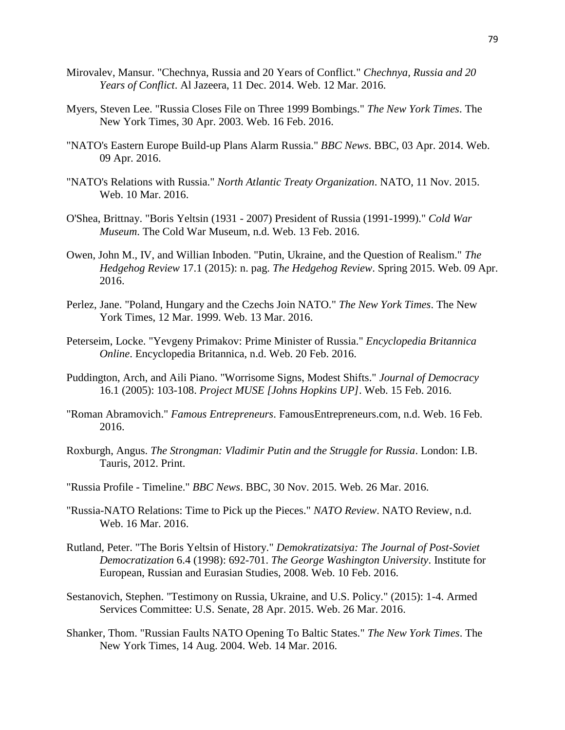- Mirovalev, Mansur. "Chechnya, Russia and 20 Years of Conflict." *Chechnya, Russia and 20 Years of Conflict*. Al Jazeera, 11 Dec. 2014. Web. 12 Mar. 2016.
- Myers, Steven Lee. "Russia Closes File on Three 1999 Bombings." *The New York Times*. The New York Times, 30 Apr. 2003. Web. 16 Feb. 2016.
- "NATO's Eastern Europe Build-up Plans Alarm Russia." *BBC News*. BBC, 03 Apr. 2014. Web. 09 Apr. 2016.
- "NATO's Relations with Russia." *North Atlantic Treaty Organization*. NATO, 11 Nov. 2015. Web. 10 Mar. 2016.
- O'Shea, Brittnay. "Boris Yeltsin (1931 2007) President of Russia (1991-1999)." *Cold War Museum*. The Cold War Museum, n.d. Web. 13 Feb. 2016.
- Owen, John M., IV, and Willian Inboden. "Putin, Ukraine, and the Question of Realism." *The Hedgehog Review* 17.1 (2015): n. pag. *The Hedgehog Review*. Spring 2015. Web. 09 Apr. 2016.
- Perlez, Jane. "Poland, Hungary and the Czechs Join NATO." *The New York Times*. The New York Times, 12 Mar. 1999. Web. 13 Mar. 2016.
- Peterseim, Locke. "Yevgeny Primakov: Prime Minister of Russia." *Encyclopedia Britannica Online*. Encyclopedia Britannica, n.d. Web. 20 Feb. 2016.
- Puddington, Arch, and Aili Piano. "Worrisome Signs, Modest Shifts." *Journal of Democracy* 16.1 (2005): 103-108. *Project MUSE [Johns Hopkins UP]*. Web. 15 Feb. 2016.
- "Roman Abramovich." *Famous Entrepreneurs*. FamousEntrepreneurs.com, n.d. Web. 16 Feb. 2016.
- Roxburgh, Angus. *The Strongman: Vladimir Putin and the Struggle for Russia*. London: I.B. Tauris, 2012. Print.
- "Russia Profile Timeline." *BBC News*. BBC, 30 Nov. 2015. Web. 26 Mar. 2016.
- "Russia-NATO Relations: Time to Pick up the Pieces." *NATO Review*. NATO Review, n.d. Web. 16 Mar. 2016.
- Rutland, Peter. "The Boris Yeltsin of History." *Demokratizatsiya: The Journal of Post-Soviet Democratization* 6.4 (1998): 692-701. *The George Washington University*. Institute for European, Russian and Eurasian Studies, 2008. Web. 10 Feb. 2016.
- Sestanovich, Stephen. "Testimony on Russia, Ukraine, and U.S. Policy." (2015): 1-4. Armed Services Committee: U.S. Senate, 28 Apr. 2015. Web. 26 Mar. 2016.
- Shanker, Thom. "Russian Faults NATO Opening To Baltic States." *The New York Times*. The New York Times, 14 Aug. 2004. Web. 14 Mar. 2016.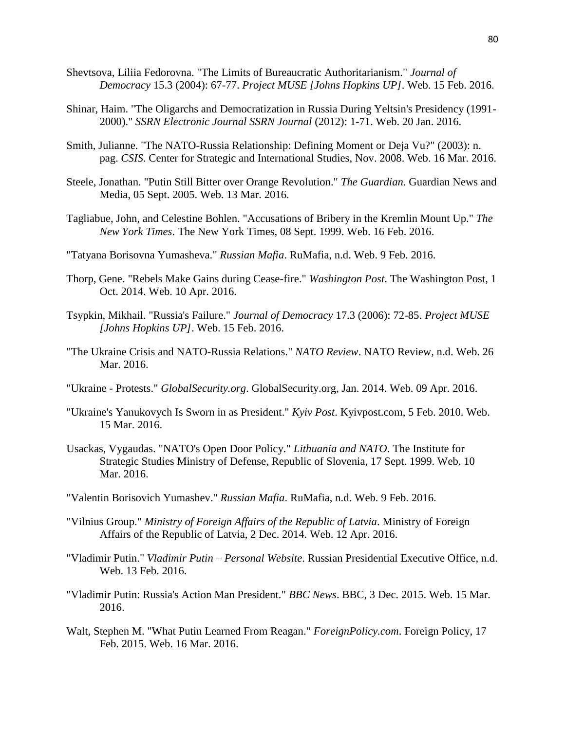- Shevtsova, Liliia Fedorovna. "The Limits of Bureaucratic Authoritarianism." *Journal of Democracy* 15.3 (2004): 67-77. *Project MUSE [Johns Hopkins UP]*. Web. 15 Feb. 2016.
- Shinar, Haim. "The Oligarchs and Democratization in Russia During Yeltsin's Presidency (1991- 2000)." *SSRN Electronic Journal SSRN Journal* (2012): 1-71. Web. 20 Jan. 2016.
- Smith, Julianne. "The NATO-Russia Relationship: Defining Moment or Deja Vu?" (2003): n. pag. *CSIS*. Center for Strategic and International Studies, Nov. 2008. Web. 16 Mar. 2016.
- Steele, Jonathan. "Putin Still Bitter over Orange Revolution." *The Guardian*. Guardian News and Media, 05 Sept. 2005. Web. 13 Mar. 2016.
- Tagliabue, John, and Celestine Bohlen. "Accusations of Bribery in the Kremlin Mount Up." *The New York Times*. The New York Times, 08 Sept. 1999. Web. 16 Feb. 2016.
- "Tatyana Borisovna Yumasheva." *Russian Mafia*. RuMafia, n.d. Web. 9 Feb. 2016.
- Thorp, Gene. "Rebels Make Gains during Cease-fire." *Washington Post*. The Washington Post, 1 Oct. 2014. Web. 10 Apr. 2016.
- Tsypkin, Mikhail. "Russia's Failure." *Journal of Democracy* 17.3 (2006): 72-85. *Project MUSE [Johns Hopkins UP]*. Web. 15 Feb. 2016.
- "The Ukraine Crisis and NATO-Russia Relations." *NATO Review*. NATO Review, n.d. Web. 26 Mar. 2016.
- "Ukraine Protests." *GlobalSecurity.org*. GlobalSecurity.org, Jan. 2014. Web. 09 Apr. 2016.
- "Ukraine's Yanukovych Is Sworn in as President." *Kyiv Post*. Kyivpost.com, 5 Feb. 2010. Web. 15 Mar. 2016.
- Usackas, Vygaudas. "NATO's Open Door Policy." *Lithuania and NATO*. The Institute for Strategic Studies Ministry of Defense, Republic of Slovenia, 17 Sept. 1999. Web. 10 Mar. 2016.
- "Valentin Borisovich Yumashev." *Russian Mafia*. RuMafia, n.d. Web. 9 Feb. 2016.
- "Vilnius Group." *Ministry of Foreign Affairs of the Republic of Latvia*. Ministry of Foreign Affairs of the Republic of Latvia, 2 Dec. 2014. Web. 12 Apr. 2016.
- "Vladimir Putin." *Vladimir Putin – Personal Website*. Russian Presidential Executive Office, n.d. Web. 13 Feb. 2016.
- "Vladimir Putin: Russia's Action Man President." *BBC News*. BBC, 3 Dec. 2015. Web. 15 Mar. 2016.
- Walt, Stephen M. "What Putin Learned From Reagan." *ForeignPolicy.com*. Foreign Policy, 17 Feb. 2015. Web. 16 Mar. 2016.